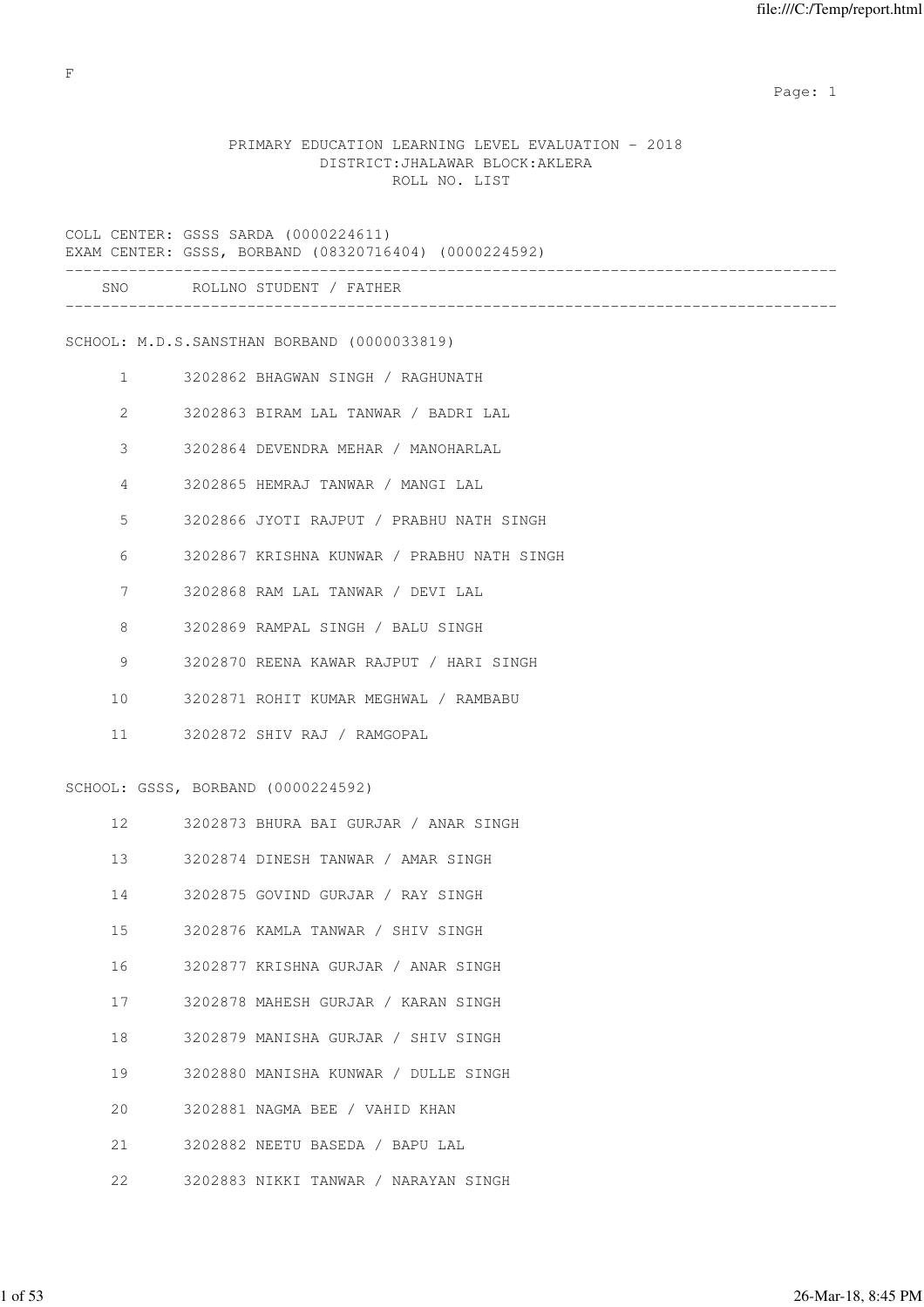expected to the control of the control of the control of the control of the control of the control of the control of the control of the control of the control of the control of the control of the control of the control of

# PRIMARY EDUCATION LEARNING LEVEL EVALUATION - 2018 DISTRICT:JHALAWAR BLOCK:AKLERA ROLL NO. LIST

COLL CENTER: GSSS SARDA (0000224611) .<br>EXAM CORRAND (08320716404) (0000224592)

| EXAM |  | CENIER: GSSS, BORBAND (08320716404) |  |
|------|--|-------------------------------------|--|
|      |  |                                     |  |

| SNC |  | ROLLNO STUDENT |  | FATHER |
|-----|--|----------------|--|--------|
|-----|--|----------------|--|--------|

-------------------------------------------------------------------------------------

SCHOOL: M.D.S.SANSTHAN BORBAND (0000033819)

- 1 3202862 BHAGWAN SINGH / RAGHUNATH
- 2 3202863 BIRAM LAL TANWAR / BADRI LAL
- 3 3202864 DEVENDRA MEHAR / MANOHARLAL
- 4 3202865 HEMRAJ TANWAR / MANGI LAL
- 5 3202866 JYOTI RAJPUT / PRABHU NATH SINGH
- 6 3202867 KRISHNA KUNWAR / PRABHU NATH SINGH
- 7 3202868 RAM LAL TANWAR / DEVI LAL
- 8 3202869 RAMPAL SINGH / BALU SINGH
- 9 3202870 REENA KAWAR RAJPUT / HARI SINGH
- 10 3202871 ROHIT KUMAR MEGHWAL / RAMBABU
- 11 3202872 SHIV RAJ / RAMGOPAL

#### SCHOOL: GSSS, BORBAND (0000224592)

| 12 <sup>7</sup> | 3202873 BHURA BAI GURJAR / ANAR SINGH |
|-----------------|---------------------------------------|
| 13              | 3202874 DINESH TANWAR / AMAR SINGH    |
| 14              | 3202875 GOVIND GURJAR / RAY SINGH     |
| 15              | 3202876 KAMLA TANWAR / SHIV SINGH     |
| 16              | 3202877 KRISHNA GURJAR / ANAR SINGH   |
| 17              | 3202878 MAHESH GURJAR / KARAN SINGH   |
| 18              | 3202879 MANISHA GURJAR / SHIV SINGH   |
| 19              | 3202880 MANISHA KUNWAR / DULLE SINGH  |
| $20^{\circ}$    | 3202881 NAGMA BEE / VAHID KHAN        |
| 21              | 3202882 NEETU BASEDA / BAPU LAL       |
| 2.2             | 3202883 NIKKI TANWAR / NARAYAN SINGH  |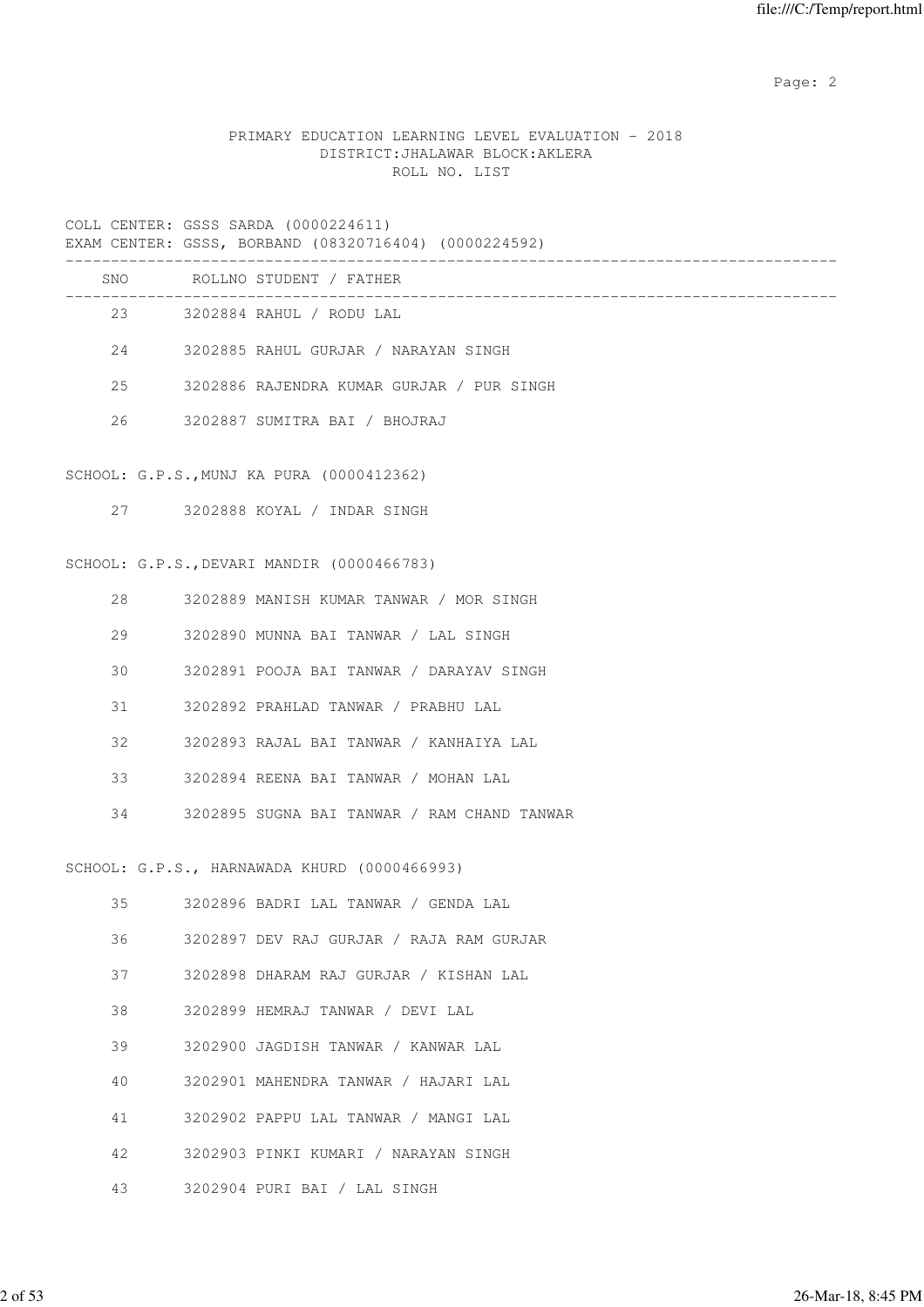Page: 2  $P$  and 2  $P$  and 2  $P$  and 2  $P$  and 2  $P$  and 2  $P$  and 2  $P$  and 2  $P$  and 2  $P$  and 2  $P$  and 2  $P$  and 2  $P$  and 2  $P$  and 2  $P$  and 2  $P$  and 2  $P$  and 2  $P$  and 2  $P$  and 2  $P$  and 2  $P$  and 2  $P$  and 2  $P$ 

# PRIMARY EDUCATION LEARNING LEVEL EVALUATION - 2018 DISTRICT:JHALAWAR BLOCK:AKLERA ROLL NO. LIST

COLL CENTER: GSSS SARDA (0000224611)

|     | EXAM CENTER: GSSS, BORBAND (08320716404) (0000224592) |
|-----|-------------------------------------------------------|
| SNO | ROLLNO STUDENT / FATHER                               |
| 23  | 3202884 RAHUL / RODU LAL                              |
| 2.4 | 3202885 RAHUL GURJAR / NARAYAN SINGH                  |
| 2.5 | 3202886 RAJENDRA KUMAR GURJAR / PUR SINGH             |
| 26  | 3202887 SUMITRA BAI / BHOJRAJ                         |
|     |                                                       |

#### SCHOOL: G.P.S.,MUNJ KA PURA (0000412362)

27 3202888 KOYAL / INDAR SINGH

#### SCHOOL: G.P.S.,DEVARI MANDIR (0000466783)

| 2.8 | 3202889 MANISH KUMAR TANWAR / MOR SINGH     |
|-----|---------------------------------------------|
| 29  | 3202890 MUNNA BAI TANWAR / LAL SINGH        |
| 30  | 3202891 POOJA BAI TANWAR / DARAYAV SINGH    |
| 31  | 3202892 PRAHLAD TANWAR / PRABHU LAL         |
| 32  | 3202893 RAJAL BAI TANWAR / KANHAIYA LAL     |
| 33  | 3202894 REENA BAI TANWAR / MOHAN LAL        |
| 34  | 3202895 SUGNA BAI TANWAR / RAM CHAND TANWAR |
|     |                                             |

# SCHOOL: G.P.S., HARNAWADA KHURD (0000466993)

| 35 | 3202896 BADRI LAL TANWAR / GENDA LAL     |
|----|------------------------------------------|
| 36 | 3202897 DEV RAJ GURJAR / RAJA RAM GURJAR |
| 37 | 3202898 DHARAM RAJ GURJAR / KISHAN LAL   |
| 38 | 3202899 HEMRAJ TANWAR / DEVI LAL         |
| 39 | 3202900 JAGDISH TANWAR / KANWAR LAL      |
| 40 | 3202901 MAHENDRA TANWAR / HAJARI LAL     |
| 41 | 3202902 PAPPU LAL TANWAR / MANGI LAL     |
| 42 | 3202903 PINKI KUMARI / NARAYAN SINGH     |
| 43 | 3202904 PURI BAI / LAL SINGH             |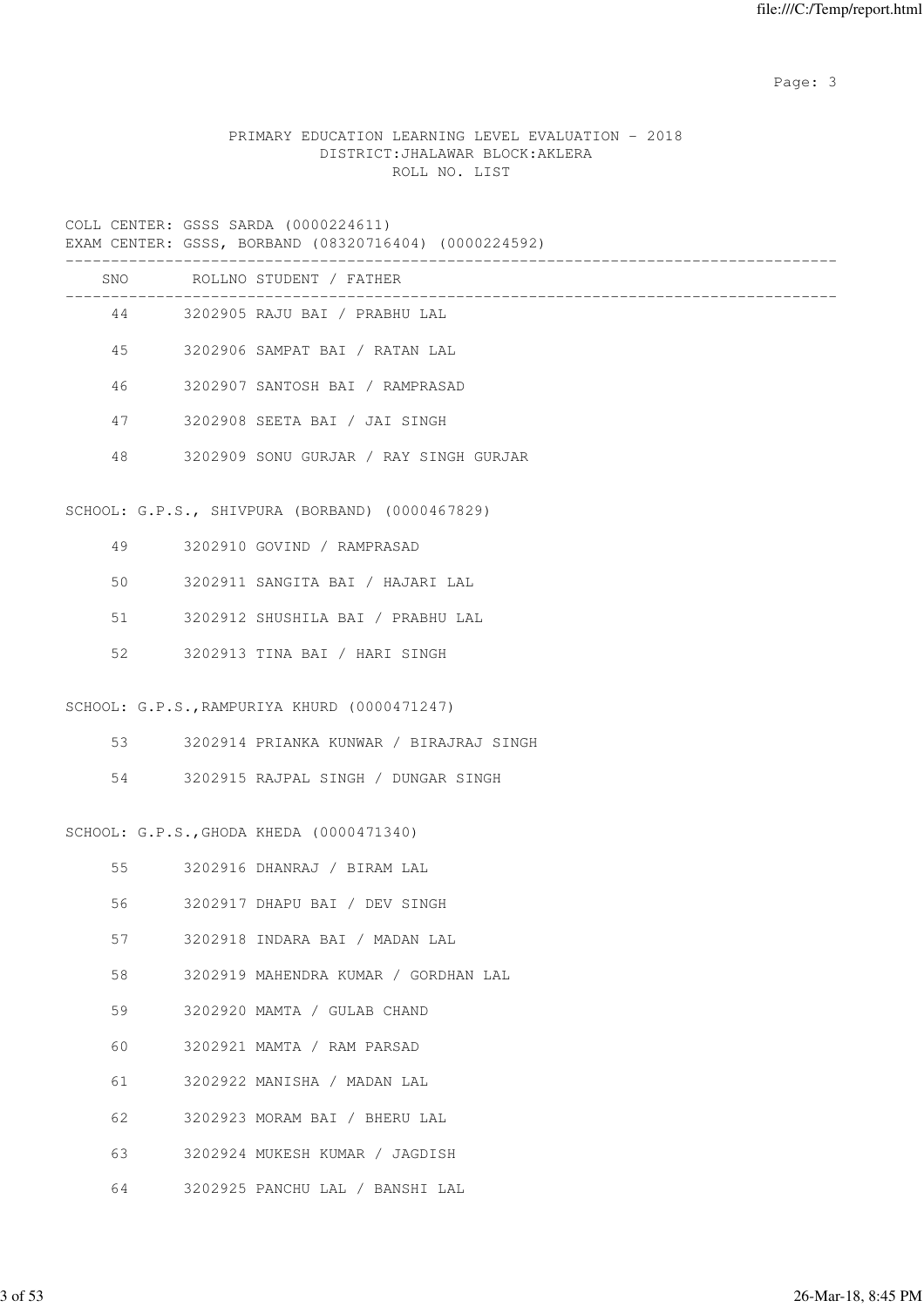Page: 3

# PRIMARY EDUCATION LEARNING LEVEL EVALUATION - 2018 DISTRICT:JHALAWAR BLOCK:AKLERA ROLL NO. LIST

COLL CENTER: GSSS SARDA (0000224611)<br>EXAM CENTER: GSSS RORRAND (08320716)

|  |  | EXAM CENTER: GSSS, BORBAND (08320716404) (0000224592) |  |
|--|--|-------------------------------------------------------|--|

|    | SNO ROLLNO STUDENT / FATHER                     |
|----|-------------------------------------------------|
|    | 44 3202905 RAJU BAI / PRABHU LAL                |
| 45 | 3202906 SAMPAT BAI / RATAN LAL                  |
| 46 | 3202907 SANTOSH BAI / RAMPRASAD                 |
| 47 | 3202908 SEETA BAI / JAI SINGH                   |
| 48 | 3202909 SONU GURJAR / RAY SINGH GURJAR          |
|    | SCHOOL: G.P.S., SHIVPURA (BORBAND) (0000467829) |
| 49 | 3202910 GOVIND / RAMPRASAD                      |
| 50 | 3202911 SANGITA BAI / HAJARI LAL                |
| 51 | 3202912 SHUSHILA BAI / PRABHU LAL               |
| 52 | 3202913 TINA BAI / HARI SINGH                   |
|    | SCHOOL: G.P.S., RAMPURIYA KHURD (0000471247)    |
| 53 | 3202914 PRIANKA KUNWAR / BIRAJRAJ SINGH         |
| 54 | 3202915 RAJPAL SINGH / DUNGAR SINGH             |
|    | SCHOOL: G.P.S., GHODA KHEDA (0000471340)        |
| 55 | 3202916 DHANRAJ / BIRAM LAL                     |
| 56 | 3202917 DHAPU BAI / DEV SINGH                   |
| 57 | 3202918 INDARA BAI / MADAN LAL                  |
| 58 | 3202919 MAHENDRA KUMAR / GORDHAN LAL            |
| 59 | 3202920 MAMTA / GULAB CHAND                     |
| 60 | 3202921 MAMTA / RAM PARSAD                      |
| 61 | 3202922 MANISHA / MADAN LAL                     |
| 62 | 3202923 MORAM BAI / BHERU LAL                   |
| 63 | 3202924 MUKESH KUMAR / JAGDISH                  |
| 64 | 3202925 PANCHU LAL / BANSHI LAL                 |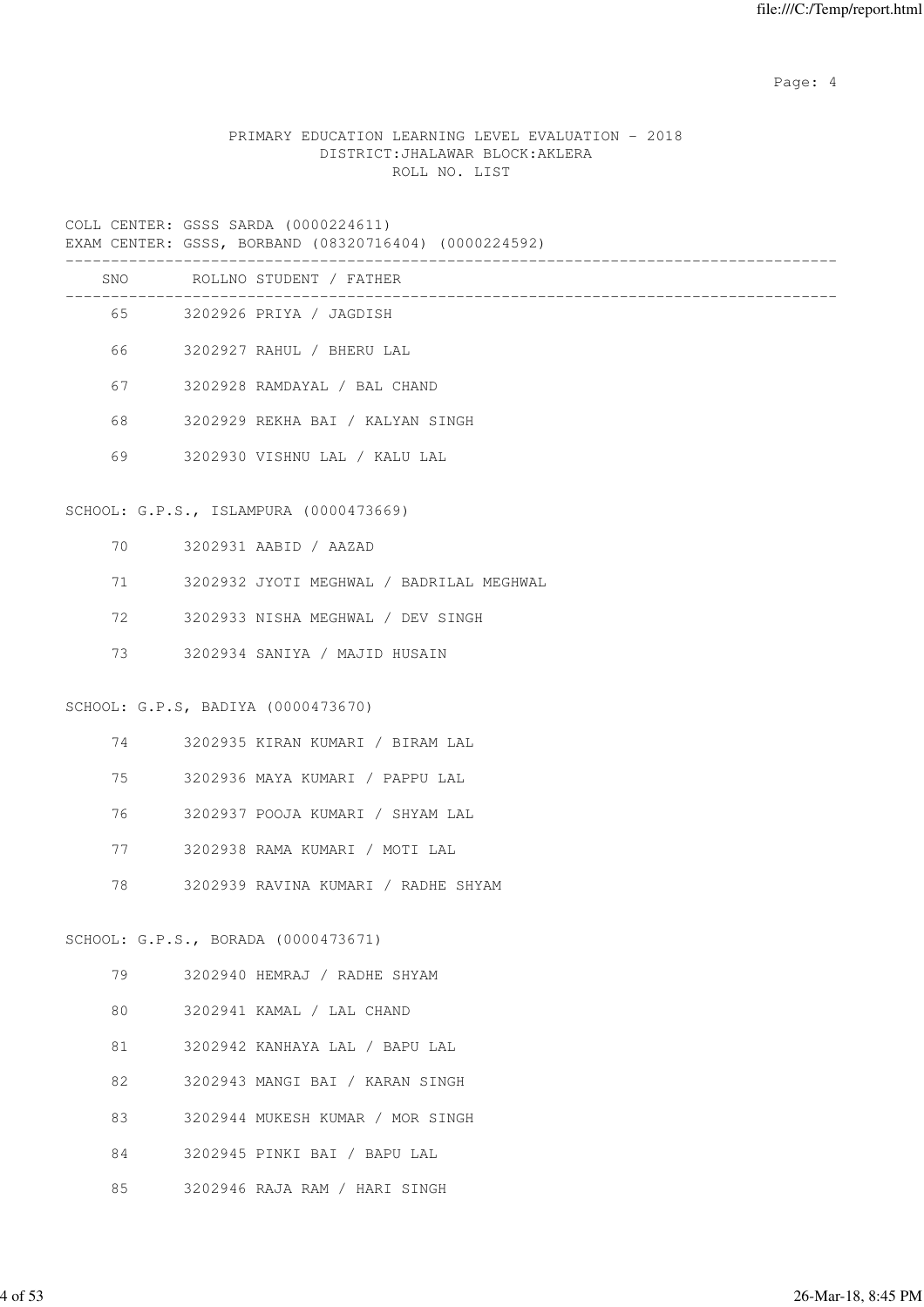Page: 4  $P$ 

#### PRIMARY EDUCATION LEARNING LEVEL EVALUATION - 2018 DISTRICT:JHALAWAR BLOCK:AKLERA ROLL NO. LIST

COLL CENTER: GSSS SARDA (0000224611)

EXAM CENTER: GSSS, BORBAND (08320716404) (0000224592)

|    |         | SNO ROLLNO STUDENT / FATHER              |
|----|---------|------------------------------------------|
|    |         | 65 3202926 PRIYA / JAGDISH               |
|    | 66 10   | 3202927 RAHUL / BHERU LAL                |
|    | 67 — 10 | 3202928 RAMDAYAL / BAL CHAND             |
| 68 |         | 3202929 REKHA BAI / KALYAN SINGH         |
| 69 |         | 3202930 VISHNU LAL / KALU LAL            |
|    |         | SCHOOL: G.P.S., ISLAMPURA (0000473669)   |
|    | 70 — 20 | 3202931 AABID / AAZAD                    |
|    | 71 — 20 | 3202932 JYOTI MEGHWAL / BADRILAL MEGHWAL |
|    | 72 — 10 | 3202933 NISHA MEGHWAL / DEV SINGH        |
|    | 73 — 17 | 3202934 SANIYA / MAJID HUSAIN            |
|    |         | SCHOOL: G.P.S, BADIYA (0000473670)       |
|    | 74 — 20 | 3202935 KIRAN KUMARI / BIRAM LAL         |
|    | 75      | 3202936 MAYA KUMARI / PAPPU LAL          |
|    | 76 76   | 3202937 POOJA KUMARI / SHYAM LAL         |
|    | 77 — 20 | 3202938 RAMA KUMARI / MOTI LAL           |
| 78 |         | 3202939 RAVINA KUMARI / RADHE SHYAM      |
|    |         | SCHOOL: G.P.S., BORADA (0000473671)      |
| 79 |         | 3202940 HEMRAJ / RADHE SHYAM             |
| 80 |         | 3202941 KAMAL / LAL CHAND                |
| 81 |         | 3202942 KANHAYA LAL / BAPU LAL           |
| 82 |         | 3202943 MANGI BAI / KARAN SINGH          |
| 83 |         | 3202944 MUKESH KUMAR / MOR SINGH         |
|    |         |                                          |

- 84 3202945 PINKI BAI / BAPU LAL
- 85 3202946 RAJA RAM / HARI SINGH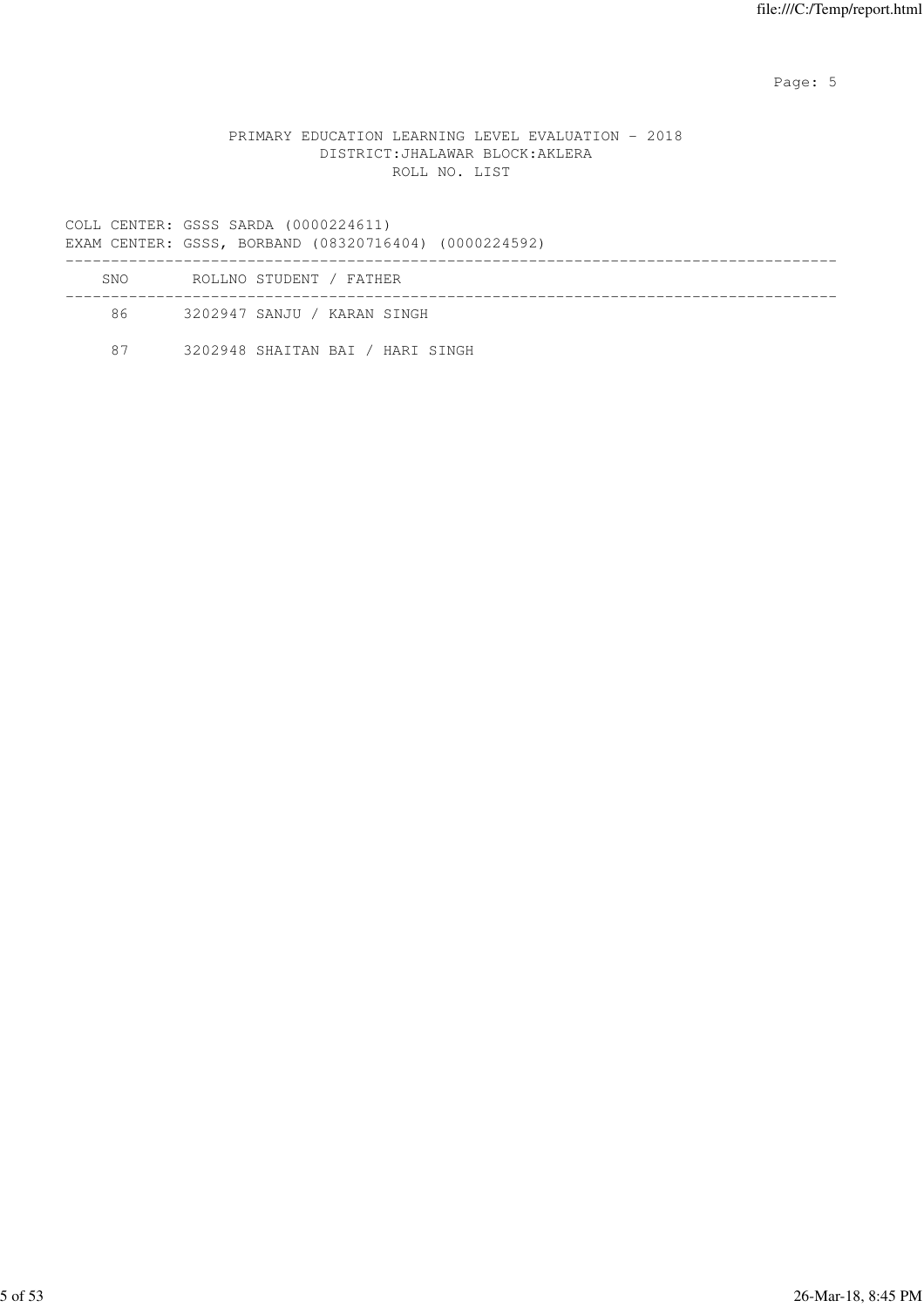Page: 5  $P$  and  $P$  and  $P$  and  $P$  and  $P$  and  $P$  and  $P$  and  $P$  and  $P$  and  $P$  and  $P$  and  $P$  and  $P$  and  $P$  and  $P$  and  $P$  and  $P$  and  $P$  and  $P$  and  $P$  and  $P$  and  $P$  and  $P$  and  $P$  and  $P$  and  $P$  and  $P$  an

#### PRIMARY EDUCATION LEARNING LEVEL EVALUATION - 2018 DISTRICT:JHALAWAR BLOCK:AKLERA ROLL NO. LIST

COLL CENTER: GSSS SARDA (0000224611)

EXAM CENTER: GSSS, BORBAND (08320716404) (0000224592)

| <b>SNO</b> | ROLLNO STUDENT / FATHER          |  |
|------------|----------------------------------|--|
| 86         | 3202947 SANJU / KARAN SINGH      |  |
| 87         | 3202948 SHAITAN BAI / HARI SINGH |  |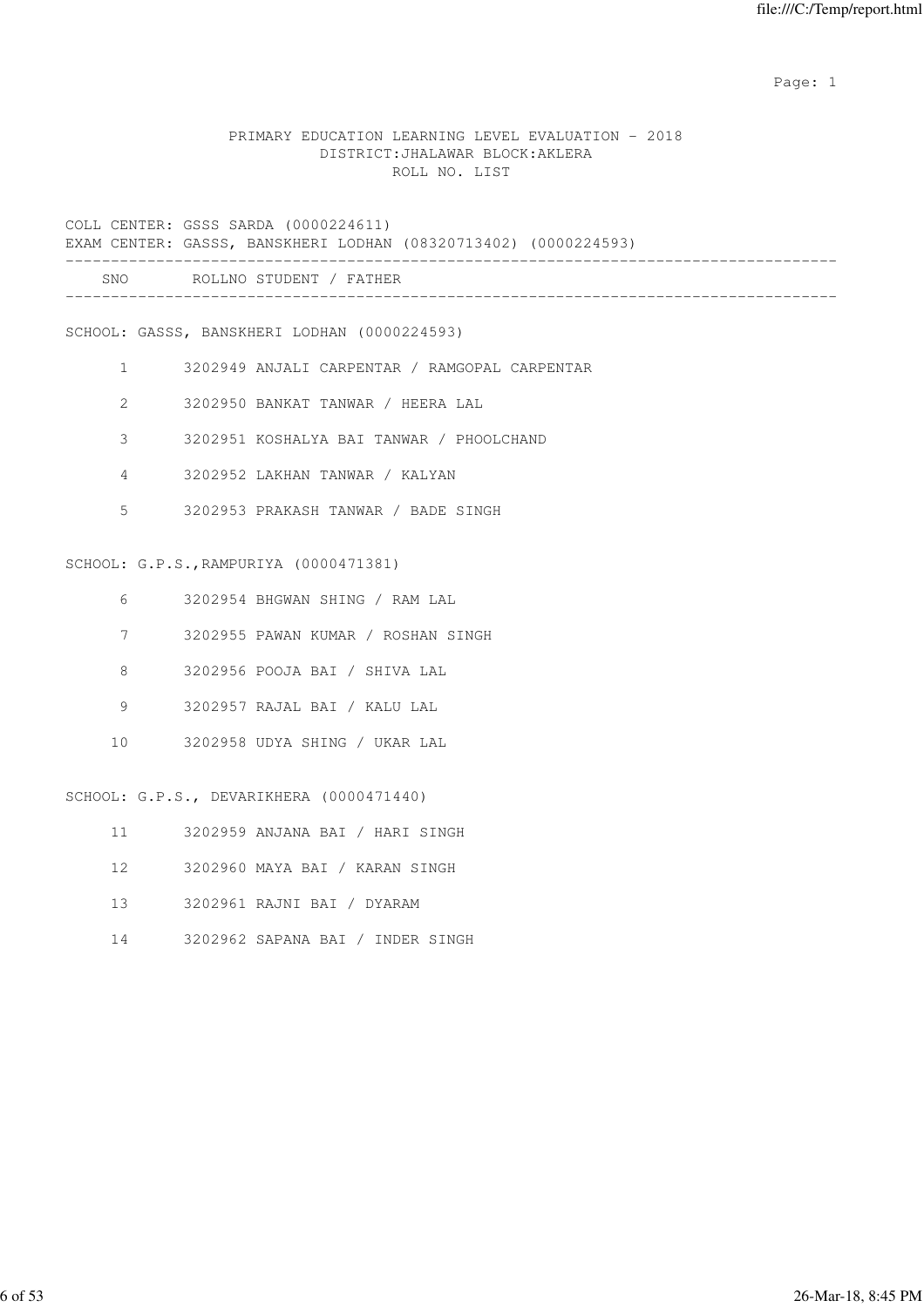expected to the control of the control of the control of the control of the control of the control of the control of the control of the control of the control of the control of the control of the control of the control of

#### PRIMARY EDUCATION LEARNING LEVEL EVALUATION - 2018 DISTRICT:JHALAWAR BLOCK:AKLERA ROLL NO. LIST

COLL CENTER: GSSS SARDA (0000224611) EXAM CENTER: GASSS, BANSKHERI LODHAN (08320713402) (0000224593) ------------------------------------------------------------------------------------- SNO ROLLNO STUDENT / FATHER -------------------------------------------------------------------------------------

SCHOOL: GASSS, BANSKHERI LODHAN (0000224593)

- 1 3202949 ANJALI CARPENTAR / RAMGOPAL CARPENTAR
- 2 3202950 BANKAT TANWAR / HEERA LAL
- 3 3202951 KOSHALYA BAI TANWAR / PHOOLCHAND
- 4 3202952 LAKHAN TANWAR / KALYAN
- 5 3202953 PRAKASH TANWAR / BADE SINGH

#### SCHOOL: G.P.S.,RAMPURIYA (0000471381)

- 6 3202954 BHGWAN SHING / RAM LAL
- 7 3202955 PAWAN KUMAR / ROSHAN SINGH
- 8 3202956 POOJA BAI / SHIVA LAL
- 9 3202957 RAJAL BAI / KALU LAL
- 10 3202958 UDYA SHING / UKAR LAL

SCHOOL: G.P.S., DEVARIKHERA (0000471440)

- 11 3202959 ANJANA BAI / HARI SINGH
- 12 3202960 MAYA BAI / KARAN SINGH
- 13 3202961 RAJNI BAI / DYARAM
- 14 3202962 SAPANA BAI / INDER SINGH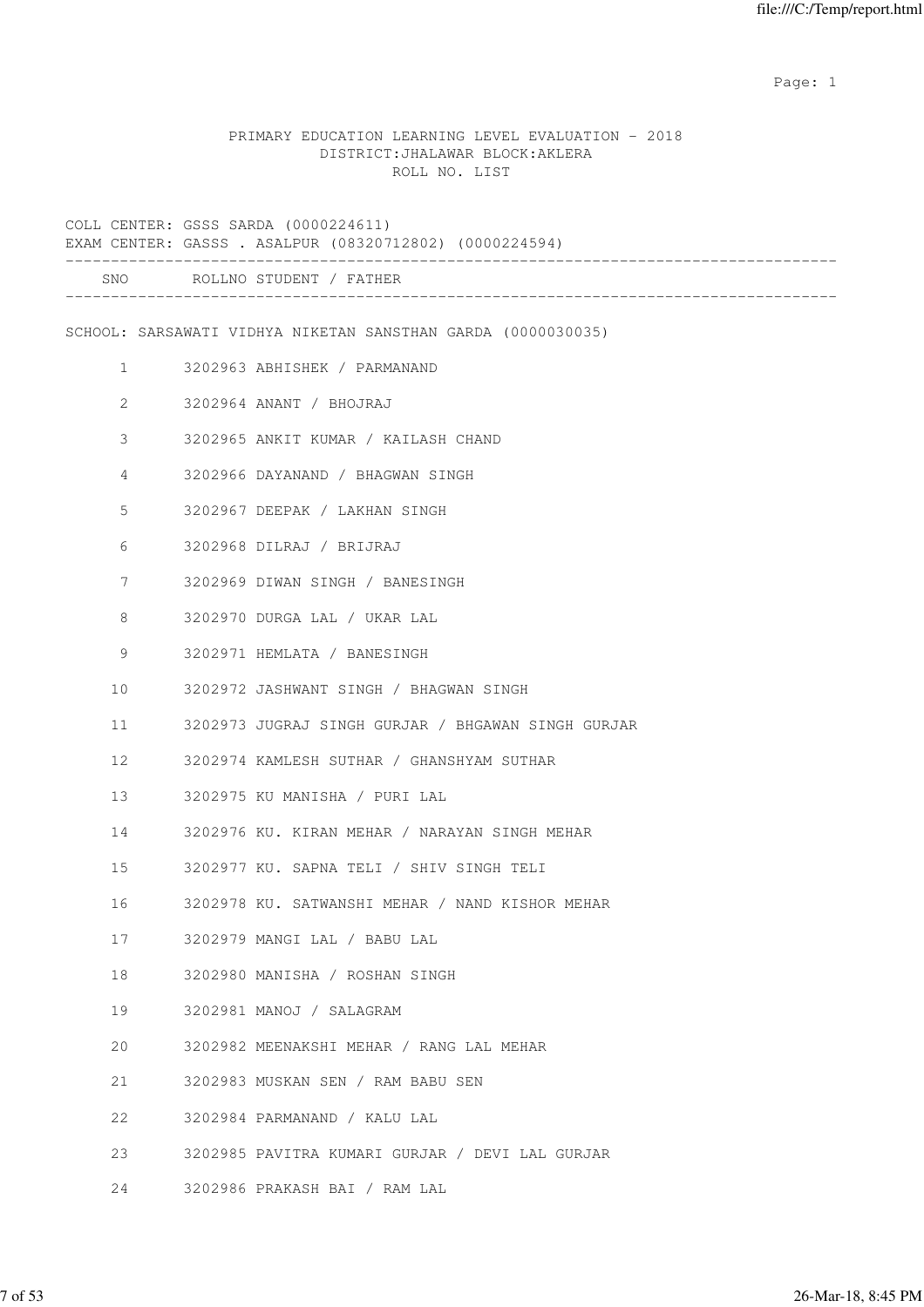expected to the control of the control of the control of the control of the control of the control of the control of the control of the control of the control of the control of the control of the control of the control of

#### PRIMARY EDUCATION LEARNING LEVEL EVALUATION - 2018 DISTRICT:JHALAWAR BLOCK:AKLERA ROLL NO. LIST

COLL CENTER: GSSS SARDA (0000224611) EXAM CENTER: GASSS . ASALPUR (08320712802) (0000224594) ------------------------------------------------------------------------------------- SNO ROLLNO STUDENT / FATHER ------------------------------------------------------------------------------------- SCHOOL: SARSAWATI VIDHYA NIKETAN SANSTHAN GARDA (0000030035) 1 3202963 ABHISHEK / PARMANAND 2 3202964 ANANT / BHOJRAJ 3 3202965 ANKIT KUMAR / KAILASH CHAND 4 3202966 DAYANAND / BHAGWAN SINGH 5 3202967 DEEPAK / LAKHAN SINGH 6 3202968 DILRAJ / BRIJRAJ 7 3202969 DIWAN SINGH / BANESINGH 8 3202970 DURGA LAL / UKAR LAL 9 3202971 HEMLATA / BANESINGH 10 3202972 JASHWANT SINGH / BHAGWAN SINGH 11 3202973 JUGRAJ SINGH GURJAR / BHGAWAN SINGH GURJAR 12 3202974 KAMLESH SUTHAR / GHANSHYAM SUTHAR 13 3202975 KU MANISHA / PURI LAL 14 3202976 KU. KIRAN MEHAR / NARAYAN SINGH MEHAR 15 3202977 KU. SAPNA TELI / SHIV SINGH TELI 16 3202978 KU. SATWANSHI MEHAR / NAND KISHOR MEHAR 17 3202979 MANGI LAL / BABU LAL 18 3202980 MANISHA / ROSHAN SINGH 19 3202981 MANOJ / SALAGRAM 20 3202982 MEENAKSHI MEHAR / RANG LAL MEHAR 21 3202983 MUSKAN SEN / RAM BABU SEN 22 3202984 PARMANAND / KALU LAL 23 3202985 PAVITRA KUMARI GURJAR / DEVI LAL GURJAR

24 3202986 PRAKASH BAI / RAM LAL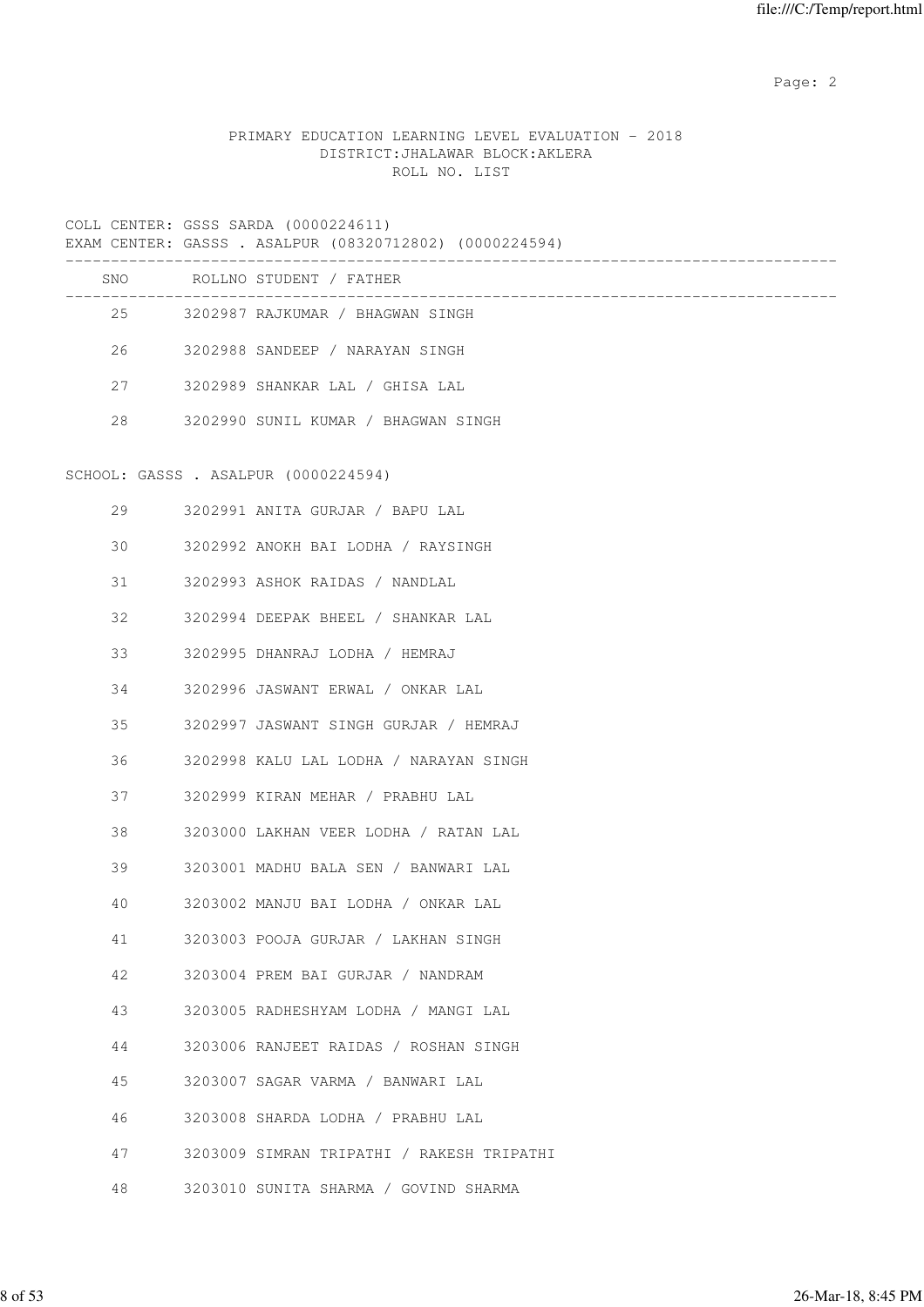Page: 2  $P$  and 2  $P$  and 2  $P$  and 2  $P$  and 2  $P$  and 2  $P$  and 2  $P$  and 2  $P$  and 2  $P$  and 2  $P$  and 2  $P$  and 2  $P$  and 2  $P$  and 2  $P$  and 2  $P$  and 2  $P$  and 2  $P$  and 2  $P$  and 2  $P$  and 2  $P$  and 2  $P$  and 2  $P$ 

# PRIMARY EDUCATION LEARNING LEVEL EVALUATION - 2018 DISTRICT:JHALAWAR BLOCK:AKLERA ROLL NO. LIST

COLL CENTER: GSSS SARDA (0000224611)

|     | EXAM CENTER: GASSS . ASALPUR (08320712802) (0000224594) |
|-----|---------------------------------------------------------|
| SNO | ROLLNO STUDENT / FATHER                                 |
| 2.5 | 3202987 RAJKUMAR / BHAGWAN SINGH                        |
| 26  | 3202988 SANDEEP / NARAYAN SINGH                         |
| 27  | 3202989 SHANKAR LAL / GHISA LAL                         |
| 2.8 | 3202990 SUNIL KUMAR / BHAGWAN SINGH                     |
|     |                                                         |

# SCHOOL: GASSS . ASALPUR (0000224594)

| 29 | 3202991 ANITA GURJAR / BAPU LAL           |
|----|-------------------------------------------|
|    | 30 3202992 ANOKH BAI LODHA / RAYSINGH     |
| 31 | 3202993 ASHOK RAIDAS / NANDLAL            |
| 32 | 3202994 DEEPAK BHEEL / SHANKAR LAL        |
| 33 | 3202995 DHANRAJ LODHA / HEMRAJ            |
| 34 | 3202996 JASWANT ERWAL / ONKAR LAL         |
| 35 | 3202997 JASWANT SINGH GURJAR / HEMRAJ     |
| 36 | 3202998 KALU LAL LODHA / NARAYAN SINGH    |
| 37 | 3202999 KIRAN MEHAR / PRABHU LAL          |
| 38 | 3203000 LAKHAN VEER LODHA / RATAN LAL     |
| 39 | 3203001 MADHU BALA SEN / BANWARI LAL      |
| 40 | 3203002 MANJU BAI LODHA / ONKAR LAL       |
| 41 | 3203003 POOJA GURJAR / LAKHAN SINGH       |
| 42 | 3203004 PREM BAI GURJAR / NANDRAM         |
| 43 | 3203005 RADHESHYAM LODHA / MANGI LAL      |
| 44 | 3203006 RANJEET RAIDAS / ROSHAN SINGH     |
| 45 | 3203007 SAGAR VARMA / BANWARI LAL         |
| 46 | 3203008 SHARDA LODHA / PRABHU LAL         |
| 47 | 3203009 SIMRAN TRIPATHI / RAKESH TRIPATHI |
| 48 | 3203010 SUNITA SHARMA / GOVIND SHARMA     |
|    |                                           |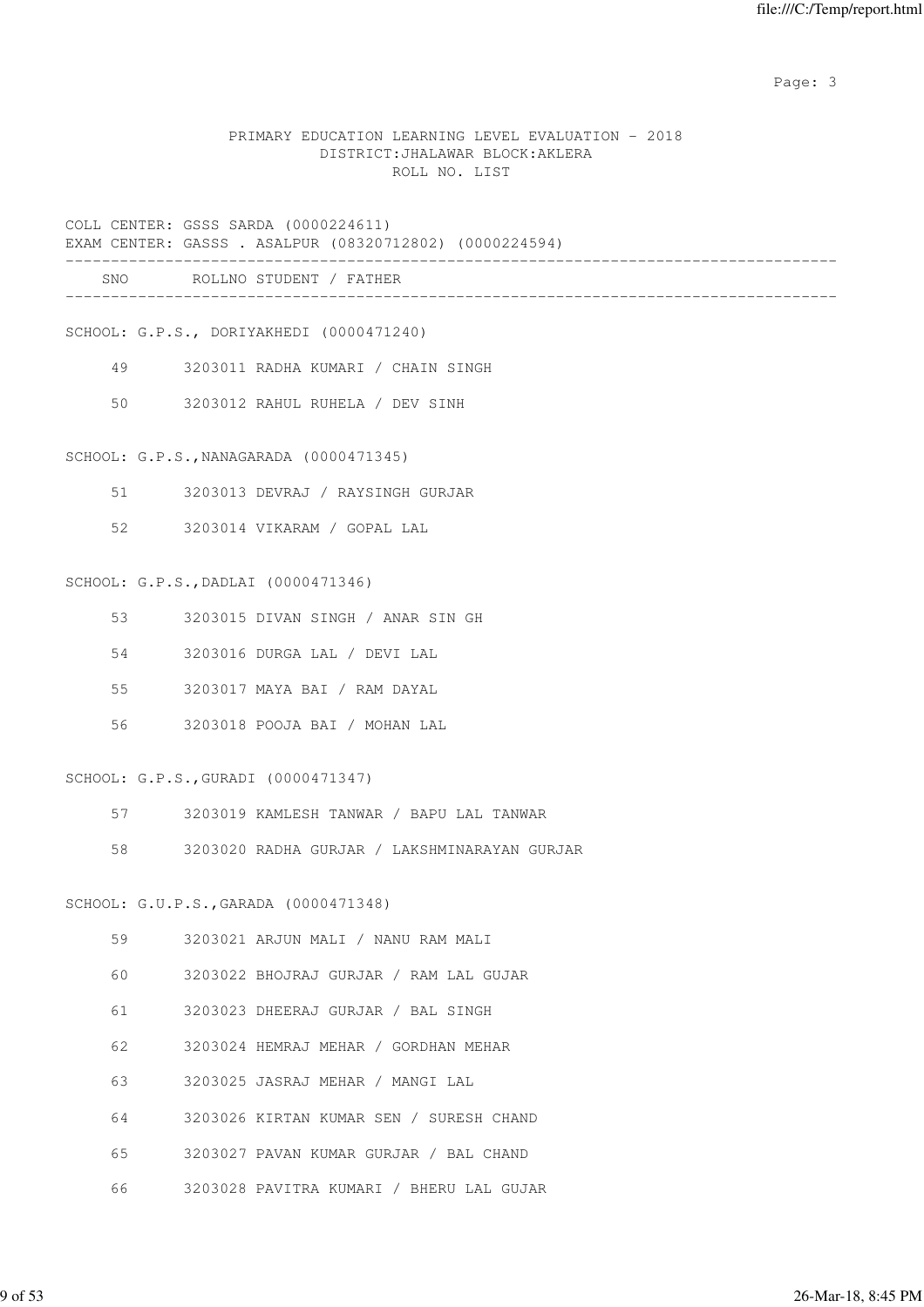Page: 3

#### PRIMARY EDUCATION LEARNING LEVEL EVALUATION - 2018 DISTRICT:JHALAWAR BLOCK:AKLERA ROLL NO. LIST

# COLL CENTER: GSSS SARDA (0000224611) EXAM CENTER: GASSS . ASALPUR (08320712802) (0000224594) ------------------------------------------------------------------------------------- SNO ROLLNO STUDENT / FATHER -------------------------------------------------------------------------------------

SCHOOL: G.P.S., DORIYAKHEDI (0000471240)

- 49 3203011 RADHA KUMARI / CHAIN SINGH
- 50 3203012 RAHUL RUHELA / DEV SINH

SCHOOL: G.P.S.,NANAGARADA (0000471345)

- 51 3203013 DEVRAJ / RAYSINGH GURJAR
- 52 3203014 VIKARAM / GOPAL LAL

#### SCHOOL: G.P.S.,DADLAI (0000471346)

- 53 3203015 DIVAN SINGH / ANAR SIN GH
- 54 3203016 DURGA LAL / DEVI LAL
- 55 3203017 MAYA BAI / RAM DAYAL
- 56 3203018 POOJA BAI / MOHAN LAL

#### SCHOOL: G.P.S.,GURADI (0000471347)

- 57 3203019 KAMLESH TANWAR / BAPU LAL TANWAR
- 58 3203020 RADHA GURJAR / LAKSHMINARAYAN GURJAR

#### SCHOOL: G.U.P.S.,GARADA (0000471348)

| 59 | 3203021 ARJUN MALI / NANU RAM MALI      |
|----|-----------------------------------------|
| 60 | 3203022 BHOJRAJ GURJAR / RAM LAL GUJAR  |
| 61 | 3203023 DHEERAJ GURJAR / BAL SINGH      |
| 62 | 3203024 HEMRAJ MEHAR / GORDHAN MEHAR    |
| 63 | 3203025 JASRAJ MEHAR / MANGI LAL        |
| 64 | 3203026 KIRTAN KUMAR SEN / SURESH CHAND |
| 65 | 3203027 PAVAN KUMAR GURJAR / BAL CHAND  |
|    |                                         |

66 3203028 PAVITRA KUMARI / BHERU LAL GUJAR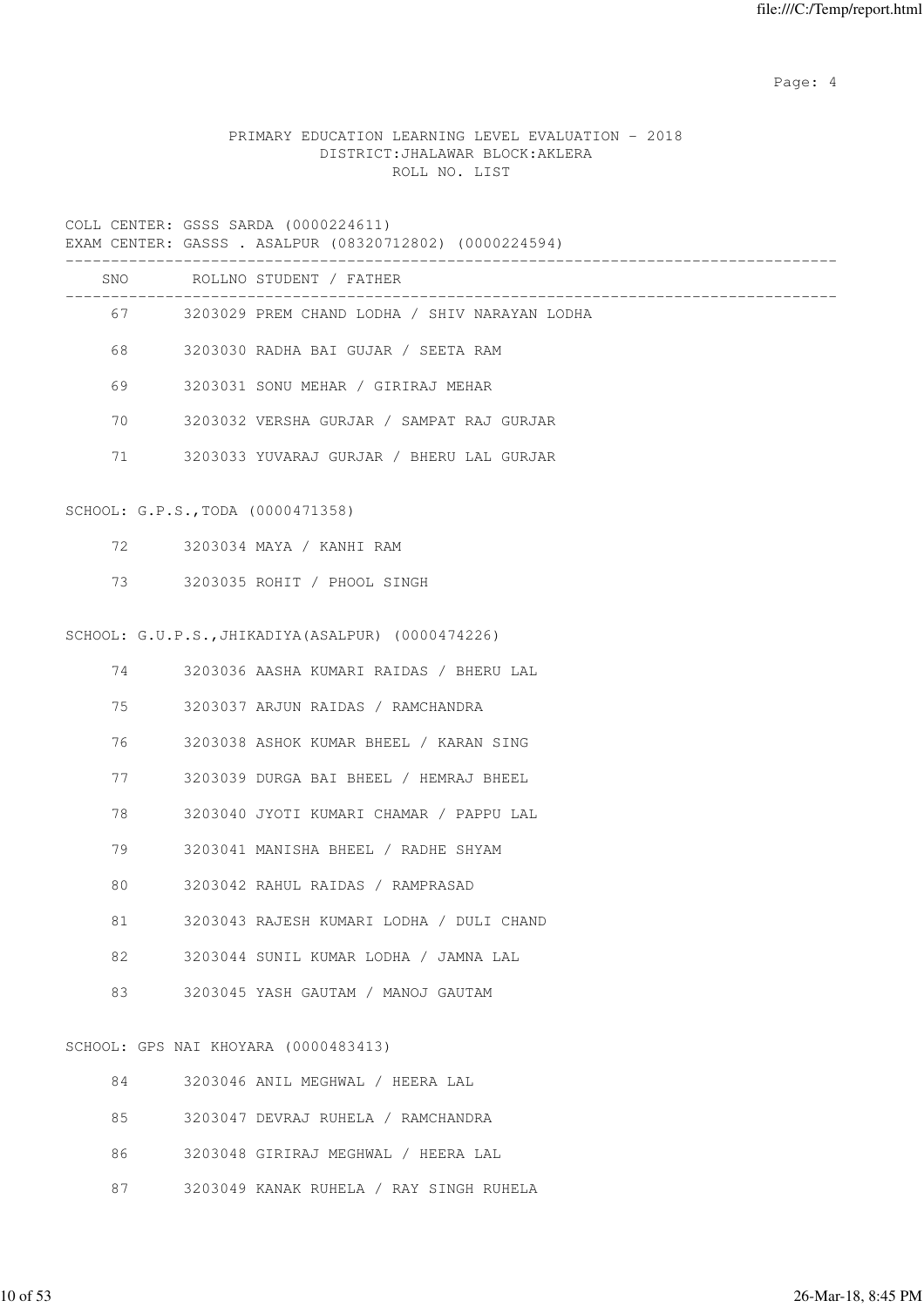Page: 4  $P$ 

# PRIMARY EDUCATION LEARNING LEVEL EVALUATION - 2018 DISTRICT:JHALAWAR BLOCK:AKLERA ROLL NO. LIST

|          | COLL CENTER: GSSS SARDA (0000224611)<br>EXAM CENTER: GASSS . ASALPUR (08320712802) (0000224594) |
|----------|-------------------------------------------------------------------------------------------------|
|          | SNO ROLLNO STUDENT / FATHER                                                                     |
|          | 67 3203029 PREM CHAND LODHA / SHIV NARAYAN LODHA                                                |
| 68       | 3203030 RADHA BAI GUJAR / SEETA RAM                                                             |
| 69       | 3203031 SONU MEHAR / GIRIRAJ MEHAR                                                              |
| 70       | 3203032 VERSHA GURJAR / SAMPAT RAJ GURJAR                                                       |
| 71       | 3203033 YUVARAJ GURJAR / BHERU LAL GURJAR                                                       |
|          | SCHOOL: G.P.S., TODA (0000471358)                                                               |
| 72 —     | 3203034 MAYA / KANHI RAM                                                                        |
| 73       | 3203035 ROHIT / PHOOL SINGH                                                                     |
|          | SCHOOL: G.U.P.S., JHIKADIYA (ASALPUR) (0000474226)                                              |
| 74 — 200 | 3203036 AASHA KUMARI RAIDAS / BHERU LAL                                                         |
| 75       | 3203037 ARJUN RAIDAS / RAMCHANDRA                                                               |
| 76       | 3203038 ASHOK KUMAR BHEEL / KARAN SING                                                          |
| 77       | 3203039 DURGA BAI BHEEL / HEMRAJ BHEEL                                                          |
| 78       | 3203040 JYOTI KUMARI CHAMAR / PAPPU LAL                                                         |
| 79       | 3203041 MANISHA BHEEL / RADHE SHYAM                                                             |
| 80       | 3203042 RAHUL RAIDAS / RAMPRASAD                                                                |
| 81       | 3203043 RAJESH KUMARI LODHA / DULI CHAND                                                        |
| 82       | 3203044 SUNIL KUMAR LODHA / JAMNA LAL                                                           |
| 83       | 3203045 YASH GAUTAM / MANOJ GAUTAM                                                              |
|          | SCHOOL: GPS NAI KHOYARA (0000483413)                                                            |

| 84      | 3203046 ANIL MEGHWAL / HEERA LAL        |
|---------|-----------------------------------------|
| 8.5     | 3203047 DEVRAJ RUHELA / RAMCHANDRA      |
| 86 - 1  | 3203048 GIRIRAJ MEGHWAL / HEERA LAL     |
| 87 — 18 | 3203049 KANAK RUHELA / RAY SINGH RUHELA |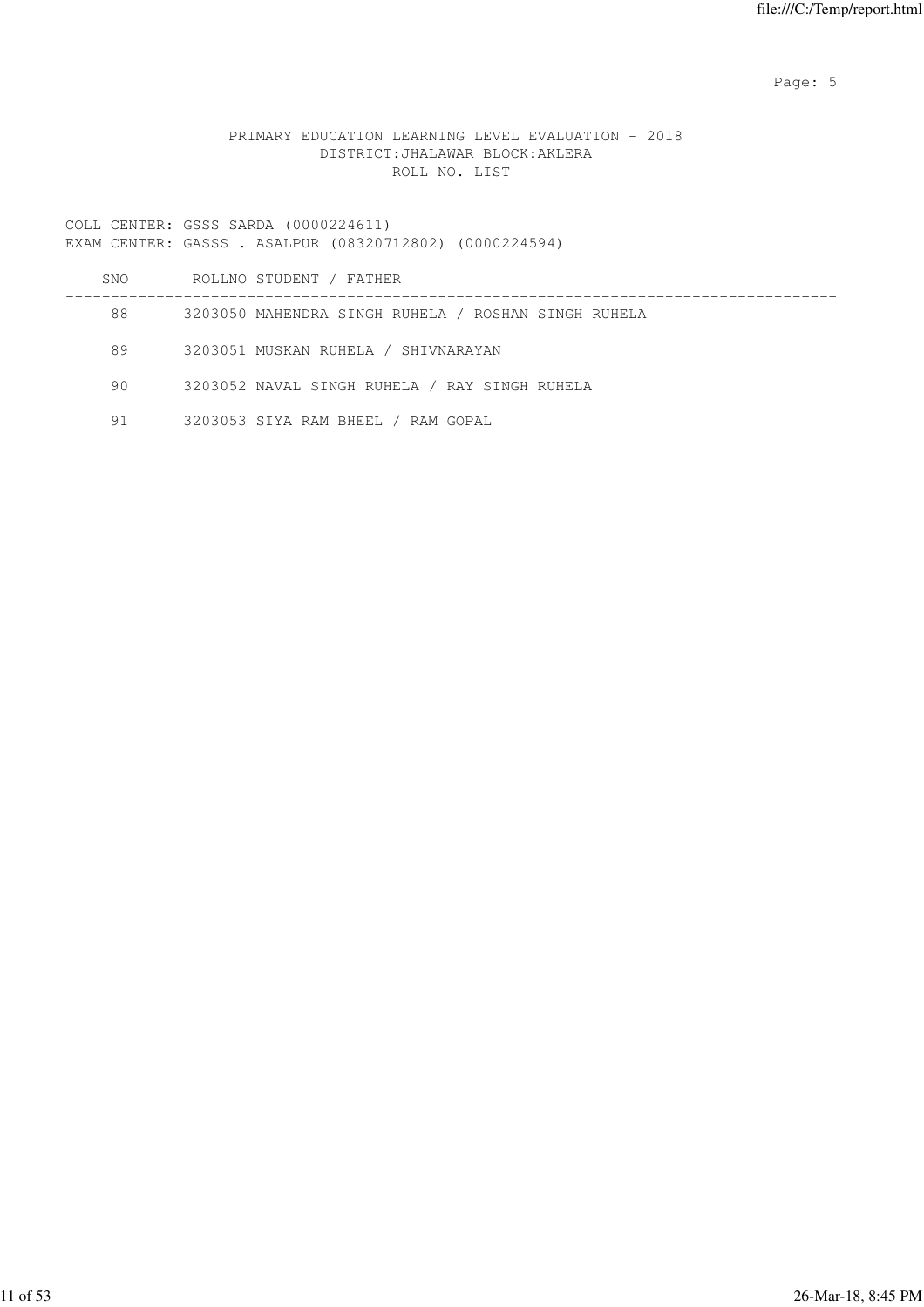Page: 5  $P$  and  $P$  and  $P$  and  $P$  and  $P$  and  $P$  and  $P$  and  $P$  and  $P$  and  $P$  and  $P$  and  $P$  and  $P$  and  $P$  and  $P$  and  $P$  and  $P$  and  $P$  and  $P$  and  $P$  and  $P$  and  $P$  and  $P$  and  $P$  and  $P$  and  $P$  and  $P$  an

# PRIMARY EDUCATION LEARNING LEVEL EVALUATION - 2018 DISTRICT:JHALAWAR BLOCK:AKLERA ROLL NO. LIST

|     | EXAM CENTER: GASSS . ASALPUR (08320712802) (0000224594) |
|-----|---------------------------------------------------------|
| SNO | ROLLNO STUDENT / FATHER                                 |
| 88  | 3203050 MAHENDRA SINGH RUHELA / ROSHAN SINGH RUHELA     |
| 89  | 3203051 MUSKAN RUHELA / SHIVNARAYAN                     |
| 90  | 3203052 NAVAL SINGH RUHELA / RAY SINGH RUHELA           |
| 91  | 3203053 SIYA RAM BHEEL / RAM GOPAL                      |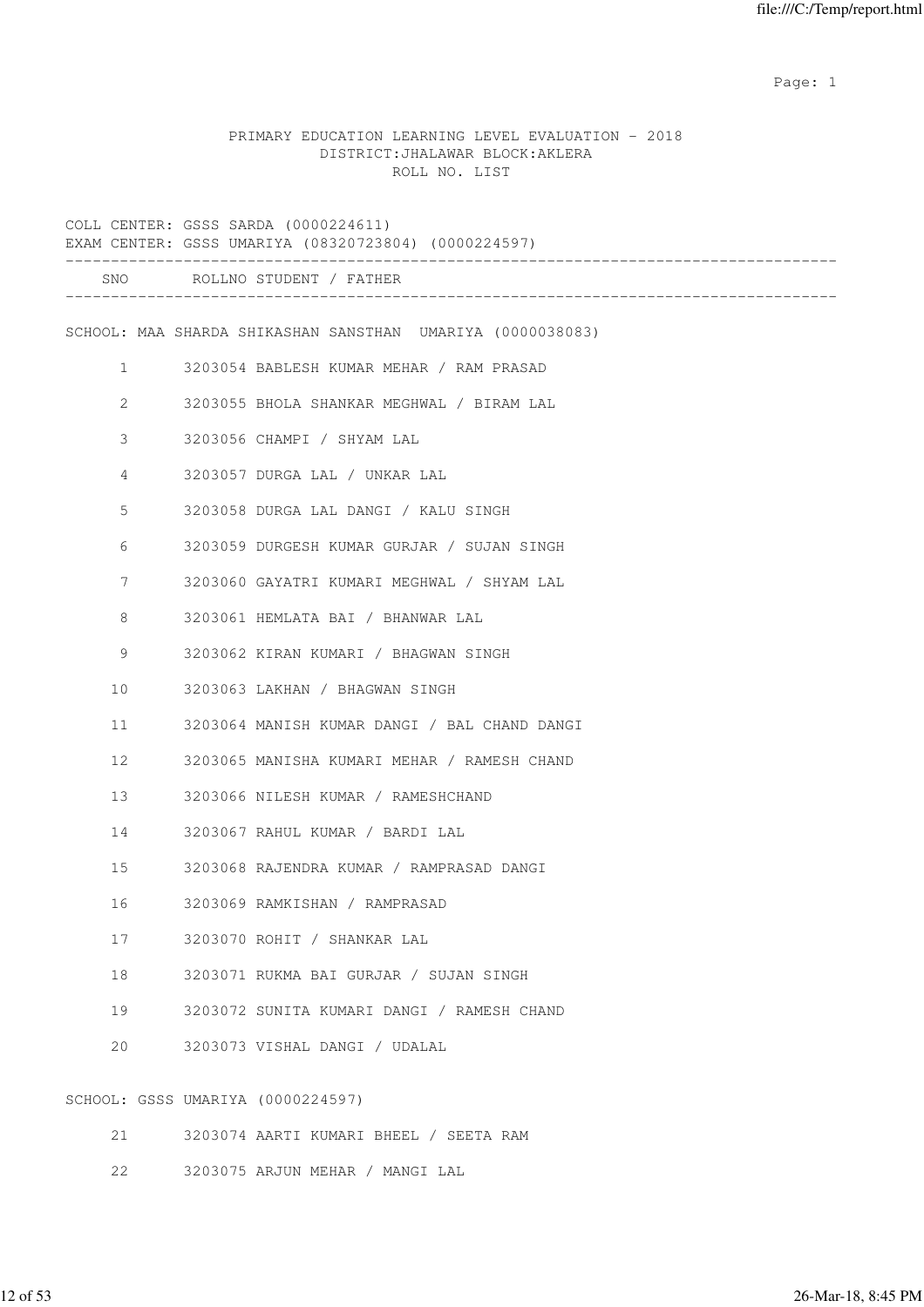example of the state of the state of the state of the state of the state of the state of the state of the state of the state of the state of the state of the state of the state of the state of the state of the state of the

#### PRIMARY EDUCATION LEARNING LEVEL EVALUATION - 2018 DISTRICT:JHALAWAR BLOCK:AKLERA ROLL NO. LIST

|                |                                   | COLL CENTER: GSSS SARDA (0000224611)<br>EXAM CENTER: GSSS UMARIYA (08320723804) (0000224597) |
|----------------|-----------------------------------|----------------------------------------------------------------------------------------------|
|                |                                   | SNO ROLLNO STUDENT / FATHER                                                                  |
|                |                                   | SCHOOL: MAA SHARDA SHIKASHAN SANSTHAN UMARIYA (0000038083)                                   |
| $\mathbf{1}$   |                                   | 3203054 BABLESH KUMAR MEHAR / RAM PRASAD                                                     |
| $\overline{2}$ |                                   | 3203055 BHOLA SHANKAR MEGHWAL / BIRAM LAL                                                    |
| 3              |                                   | 3203056 CHAMPI / SHYAM LAL                                                                   |
| 4              |                                   | 3203057 DURGA LAL / UNKAR LAL                                                                |
| 5              |                                   | 3203058 DURGA LAL DANGI / KALU SINGH                                                         |
| 6              |                                   | 3203059 DURGESH KUMAR GURJAR / SUJAN SINGH                                                   |
| 7              |                                   | 3203060 GAYATRI KUMARI MEGHWAL / SHYAM LAL                                                   |
| 8              |                                   | 3203061 HEMLATA BAI / BHANWAR LAL                                                            |
| 9              |                                   | 3203062 KIRAN KUMARI / BHAGWAN SINGH                                                         |
| 10             |                                   | 3203063 LAKHAN / BHAGWAN SINGH                                                               |
| 11             |                                   | 3203064 MANISH KUMAR DANGI / BAL CHAND DANGI                                                 |
| 12             |                                   | 3203065 MANISHA KUMARI MEHAR / RAMESH CHAND                                                  |
| 13             |                                   | 3203066 NILESH KUMAR / RAMESHCHAND                                                           |
| 14             |                                   | 3203067 RAHUL KUMAR / BARDI LAL                                                              |
| 15             |                                   | 3203068 RAJENDRA KUMAR / RAMPRASAD DANGI                                                     |
| 16             |                                   | 3203069 RAMKISHAN / RAMPRASAD                                                                |
| 17             |                                   | 3203070 ROHIT / SHANKAR LAL                                                                  |
| 18             |                                   | 3203071 RUKMA BAI GURJAR / SUJAN SINGH                                                       |
| 19             |                                   | 3203072 SUNITA KUMARI DANGI / RAMESH CHAND                                                   |
| 20             |                                   | 3203073 VISHAL DANGI / UDALAL                                                                |
|                | SCHOOL: GSSS UMARIYA (0000224597) |                                                                                              |

- 21 3203074 AARTI KUMARI BHEEL / SEETA RAM
- 22 3203075 ARJUN MEHAR / MANGI LAL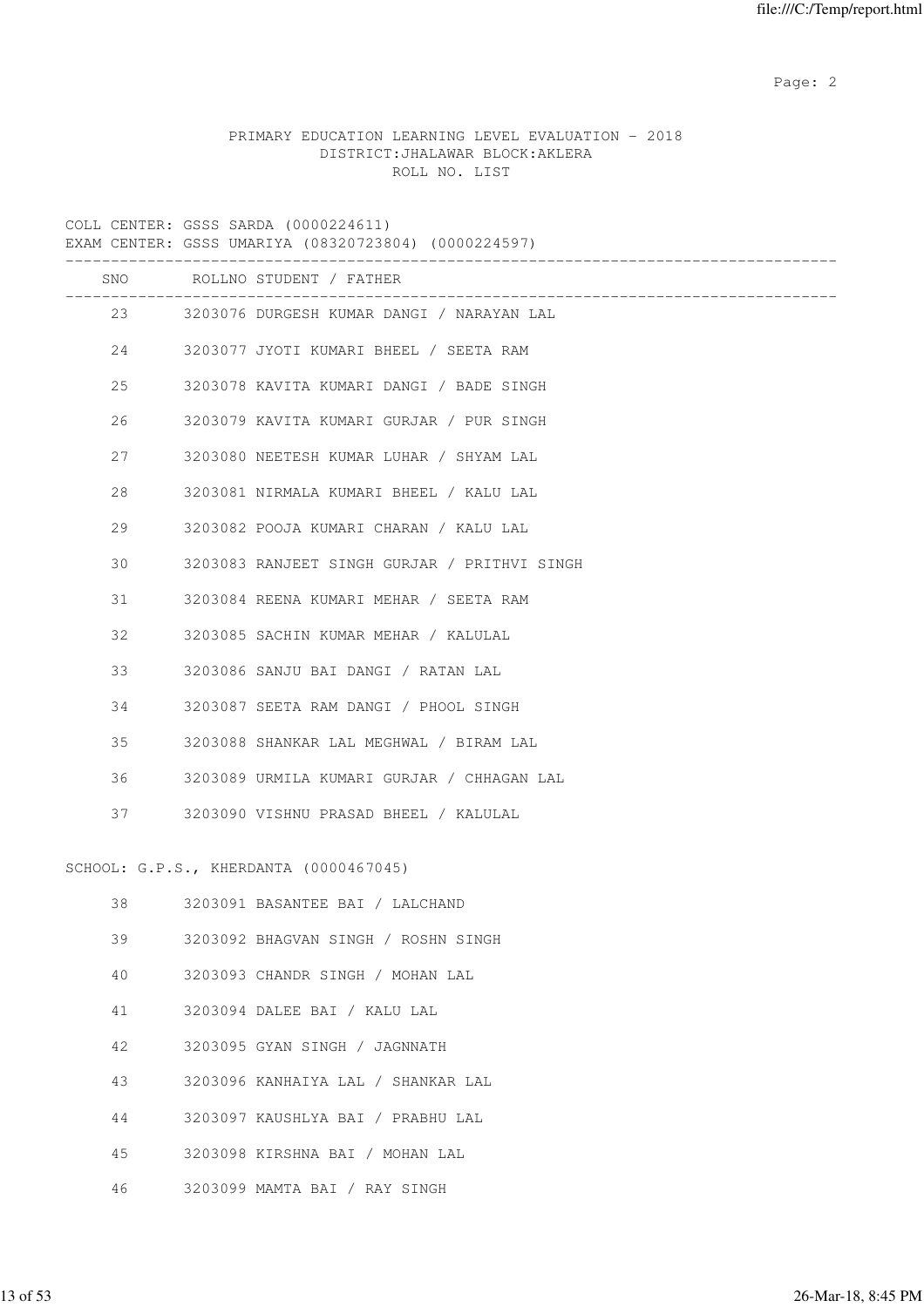Page: 2  $P$  and 2  $P$  and 2  $P$  and 2  $P$  and 2  $P$  and 2  $P$  and 2  $P$  and 2  $P$  and 2  $P$  and 2  $P$  and 2  $P$  and 2  $P$  and 2  $P$  and 2  $P$  and 2  $P$  and 2  $P$  and 2  $P$  and 2  $P$  and 2  $P$  and 2  $P$  and 2  $P$  and 2  $P$ 

# PRIMARY EDUCATION LEARNING LEVEL EVALUATION - 2018 DISTRICT:JHALAWAR BLOCK:AKLERA ROLL NO. LIST

COLL CENTER: GSSS SARDA (0000224611) EXAM CENTER: GSSS UMARIYA (08320723804) (0000224597) ------------------------------------------------------------------------------------- SNO ROLLNO STUDENT / FATHER ------------------------------------------------------------------------------------- 23 3203076 DURGESH KUMAR DANGI / NARAYAN LAL 24 3203077 JYOTI KUMARI BHEEL / SEETA RAM 25 3203078 KAVITA KUMARI DANGI / BADE SINGH 26 3203079 KAVITA KUMARI GURJAR / PUR SINGH 27 3203080 NEETESH KUMAR LUHAR / SHYAM LAL 28 3203081 NIRMALA KUMARI BHEEL / KALU LAL 29 3203082 POOJA KUMARI CHARAN / KALU LAL 30 3203083 RANJEET SINGH GURJAR / PRITHVI SINGH 31 3203084 REENA KUMARI MEHAR / SEETA RAM 32 3203085 SACHIN KUMAR MEHAR / KALULAL 33 3203086 SANJU BAI DANGI / RATAN LAL 34 3203087 SEETA RAM DANGI / PHOOL SINGH 35 3203088 SHANKAR LAL MEGHWAL / BIRAM LAL 36 3203089 URMILA KUMARI GURJAR / CHHAGAN LAL 37 3203090 VISHNU PRASAD BHEEL / KALULAL SCHOOL: G.P.S., KHERDANTA (0000467045) 38 3203091 BASANTEE BAI / LALCHAND 39 3203092 BHAGVAN SINGH / ROSHN SINGH 40 3203093 CHANDR SINGH / MOHAN LAL 41 3203094 DALEE BAI / KALU LAL 42 3203095 GYAN SINGH / JAGNNATH 43 3203096 KANHAIYA LAL / SHANKAR LAL 44 3203097 KAUSHLYA BAI / PRABHU LAL 45 3203098 KIRSHNA BAI / MOHAN LAL 46 3203099 MAMTA BAI / RAY SINGH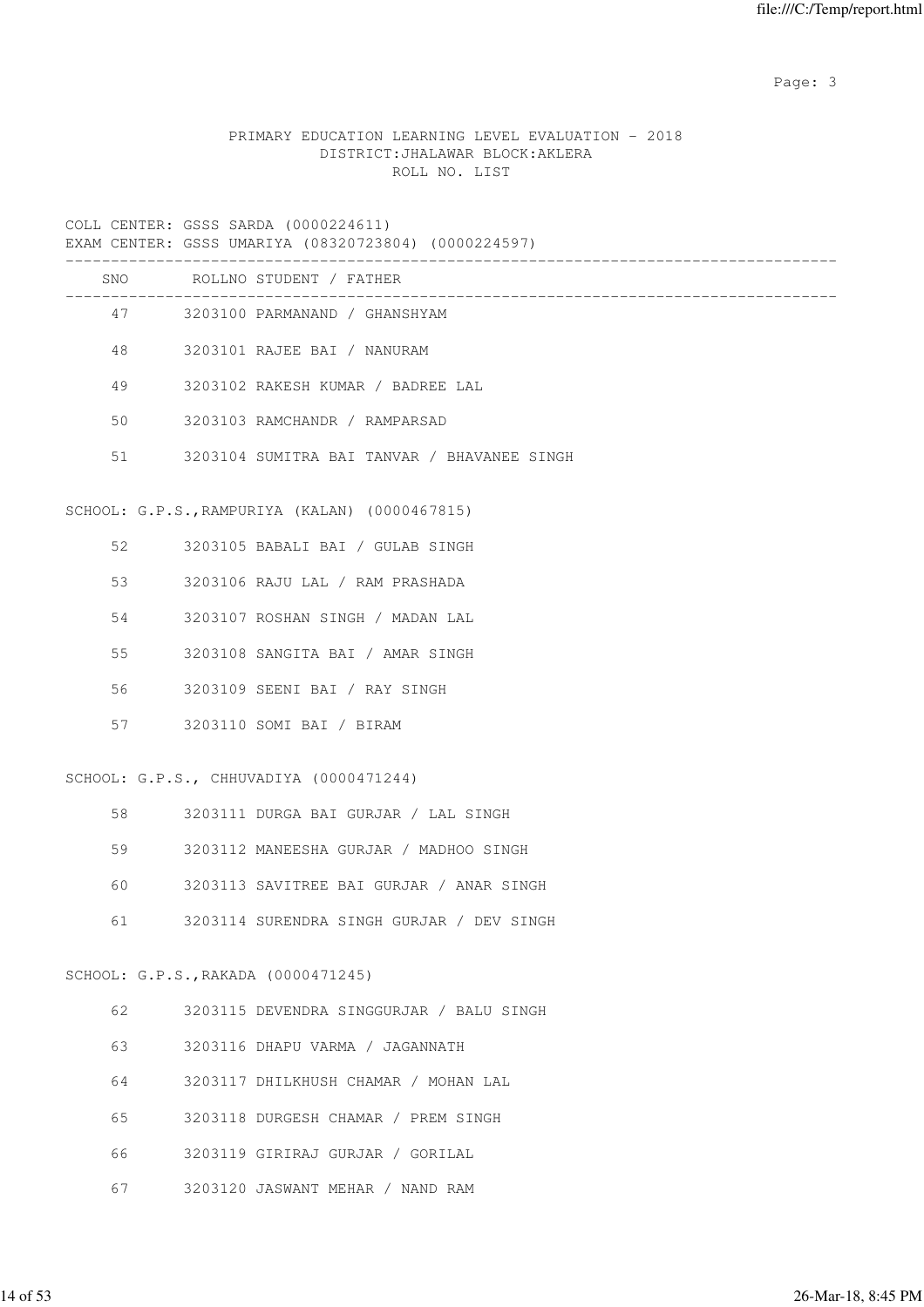Page: 3

## PRIMARY EDUCATION LEARNING LEVEL EVALUATION - 2018 DISTRICT:JHALAWAR BLOCK:AKLERA ROLL NO. LIST

| EXAM CENTER: GSSS UMARIYA (08320723804) (0000224597) |  |  |  |
|------------------------------------------------------|--|--|--|
|------------------------------------------------------|--|--|--|

|    | SNO ROLLNO STUDENT / FATHER                    |
|----|------------------------------------------------|
|    | 47 3203100 PARMANAND / GHANSHYAM               |
| 48 | 3203101 RAJEE BAI / NANURAM                    |
| 49 | 3203102 RAKESH KUMAR / BADREE LAL              |
| 50 | 3203103 RAMCHANDR / RAMPARSAD                  |
| 51 | 3203104 SUMITRA BAI TANVAR / BHAVANEE SINGH    |
|    | SCHOOL: G.P.S., RAMPURIYA (KALAN) (0000467815) |
| 52 | 3203105 BABALI BAI / GULAB SINGH               |
| 53 | 3203106 RAJU LAL / RAM PRASHADA                |
| 54 | 3203107 ROSHAN SINGH / MADAN LAL               |
| 55 | 3203108 SANGITA BAI / AMAR SINGH               |
| 56 | 3203109 SEENI BAI / RAY SINGH                  |
| 57 | 3203110 SOMI BAI / BIRAM                       |
|    | SCHOOL: G.P.S., CHHUVADIYA (0000471244)        |
| 58 | 3203111 DURGA BAI GURJAR / LAL SINGH           |
| 59 | 3203112 MANEESHA GURJAR / MADHOO SINGH         |
| 60 | 3203113 SAVITREE BAI GURJAR / ANAR SINGH       |
| 61 | 3203114 SURENDRA SINGH GURJAR / DEV SINGH      |
|    | SCHOOL: G.P.S., RAKADA (0000471245)            |
| 62 | 3203115 DEVENDRA SINGGURJAR / BALU SINGH       |
| 63 | 3203116 DHAPU VARMA / JAGANNATH                |
| 64 | 3203117 DHILKHUSH CHAMAR / MOHAN LAL           |
| 65 | 3203118 DURGESH CHAMAR / PREM SINGH            |

- 66 3203119 GIRIRAJ GURJAR / GORILAL
- 67 3203120 JASWANT MEHAR / NAND RAM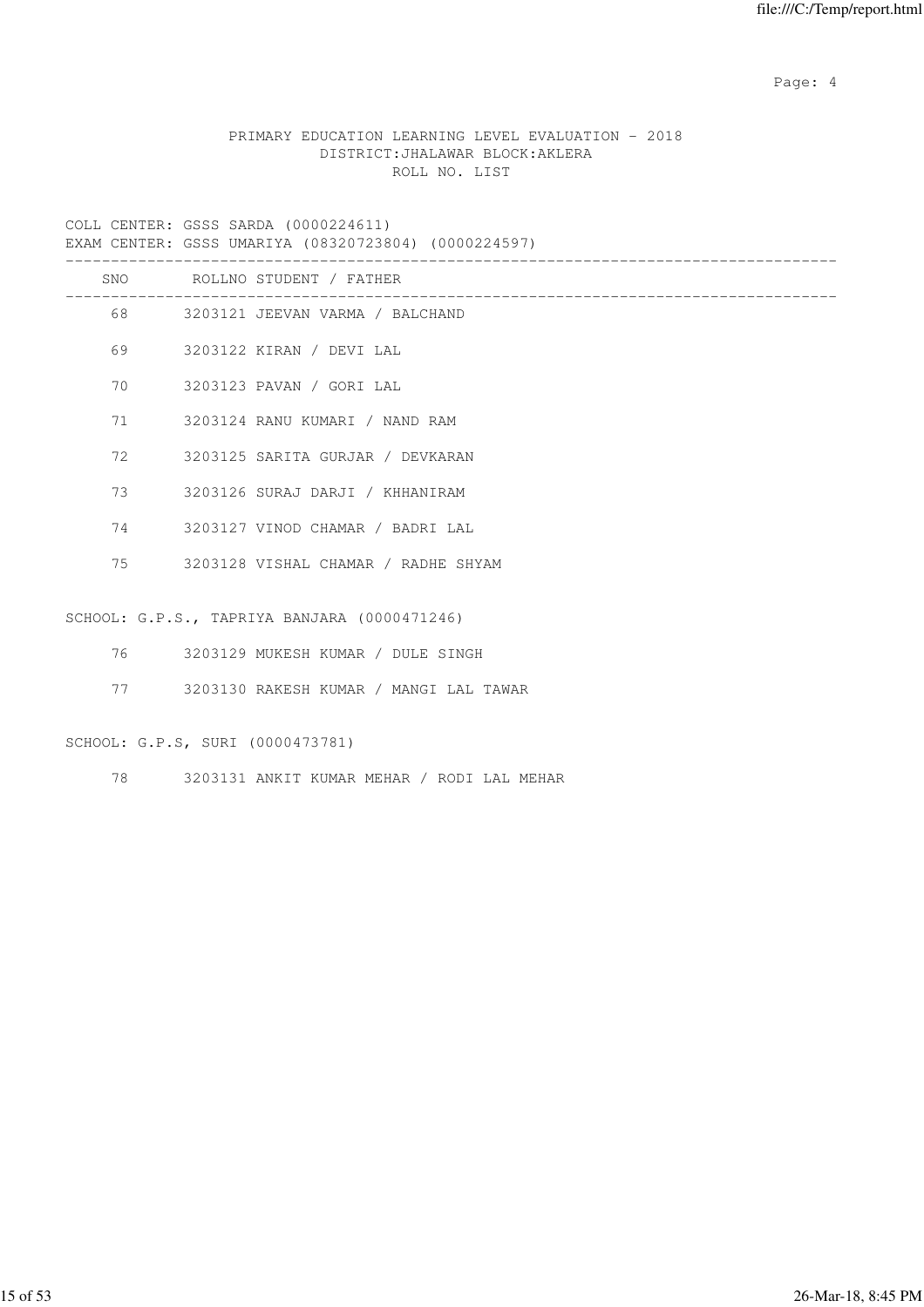Page: 4  $P$ 

# PRIMARY EDUCATION LEARNING LEVEL EVALUATION - 2018 DISTRICT:JHALAWAR BLOCK:AKLERA ROLL NO. LIST

COLL CENTER: GSSS SARDA (0000224611)

|  |  | EXAM CENTER: GSSS UMARIYA (08320723804) (0000224597) |  |
|--|--|------------------------------------------------------|--|
|  |  |                                                      |  |

|    |         | SNO ROLLNO STUDENT / FATHER                  |
|----|---------|----------------------------------------------|
|    |         | 68 3203121 JEEVAN VARMA / BALCHAND           |
| 69 |         | 3203122 KIRAN / DEVI LAL                     |
| 70 |         | 3203123 PAVAN / GORI LAL                     |
| 71 |         | 3203124 RANU KUMARI / NAND RAM               |
| 72 |         | 3203125 SARITA GURJAR / DEVKARAN             |
| 73 |         | 3203126 SURAJ DARJI / KHHANIRAM              |
|    |         | 74 3203127 VINOD CHAMAR / BADRI LAL          |
|    |         | 75 3203128 VISHAL CHAMAR / RADHE SHYAM       |
|    |         |                                              |
|    |         | SCHOOL: G.P.S., TAPRIYA BANJARA (0000471246) |
|    | 76 — 76 | 3203129 MUKESH KUMAR / DULE SINGH            |
| 77 |         | 3203130 RAKESH KUMAR / MANGI LAL TAWAR       |

# SCHOOL: G.P.S, SURI (0000473781)

78 3203131 ANKIT KUMAR MEHAR / RODI LAL MEHAR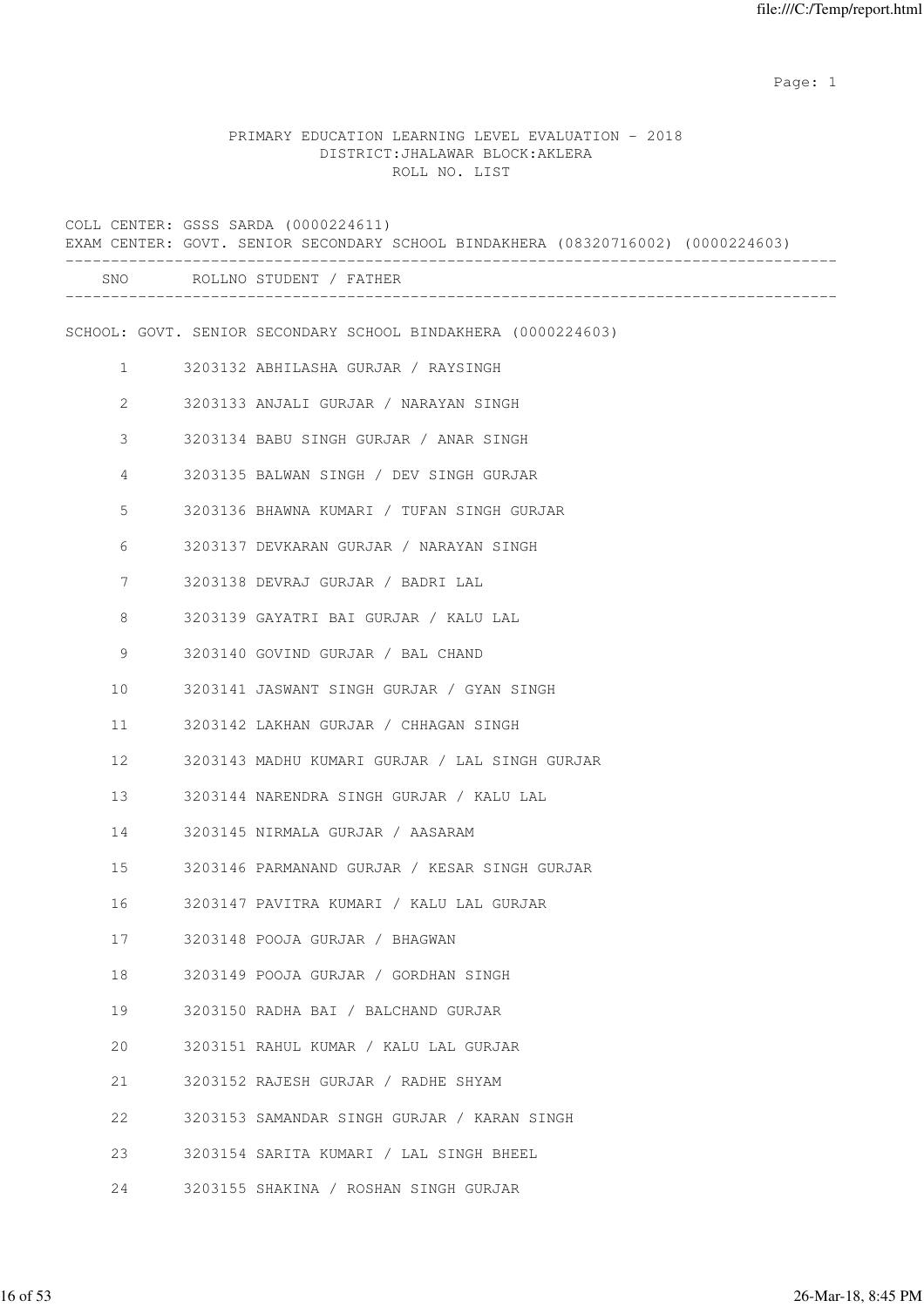example of the state of the state of the state of the state of the state of the state of the state of the state of the state of the state of the state of the state of the state of the state of the state of the state of the

# PRIMARY EDUCATION LEARNING LEVEL EVALUATION - 2018 DISTRICT:JHALAWAR BLOCK:AKLERA ROLL NO. LIST

|              | COLL CENTER: GSSS SARDA (0000224611)<br>EXAM CENTER: GOVT. SENIOR SECONDARY SCHOOL BINDAKHERA (08320716002) (0000224603) |
|--------------|--------------------------------------------------------------------------------------------------------------------------|
|              | SNO ROLLNO STUDENT / FATHER                                                                                              |
|              | SCHOOL: GOVT. SENIOR SECONDARY SCHOOL BINDAKHERA (0000224603)                                                            |
| $\mathbf{1}$ | 3203132 ABHILASHA GURJAR / RAYSINGH                                                                                      |
| 2            | 3203133 ANJALI GURJAR / NARAYAN SINGH                                                                                    |
| 3            | 3203134 BABU SINGH GURJAR / ANAR SINGH                                                                                   |
| 4            | 3203135 BALWAN SINGH / DEV SINGH GURJAR                                                                                  |
| 5            | 3203136 BHAWNA KUMARI / TUFAN SINGH GURJAR                                                                               |
| 6            | 3203137 DEVKARAN GURJAR / NARAYAN SINGH                                                                                  |
| 7            | 3203138 DEVRAJ GURJAR / BADRI LAL                                                                                        |
| 8            | 3203139 GAYATRI BAI GURJAR / KALU LAL                                                                                    |
| 9            | 3203140 GOVIND GURJAR / BAL CHAND                                                                                        |
| 10           | 3203141 JASWANT SINGH GURJAR / GYAN SINGH                                                                                |
| 11           | 3203142 LAKHAN GURJAR / CHHAGAN SINGH                                                                                    |
| 12           | 3203143 MADHU KUMARI GURJAR / LAL SINGH GURJAR                                                                           |
| 13           | 3203144 NARENDRA SINGH GURJAR / KALU LAL                                                                                 |
| 14           | 3203145 NIRMALA GURJAR / AASARAM                                                                                         |
| 15           | 3203146 PARMANAND GURJAR / KESAR SINGH GURJAR                                                                            |
| 16           | 3203147 PAVITRA KUMARI / KALU LAL GURJAR                                                                                 |
| 17           | 3203148 POOJA GURJAR / BHAGWAN                                                                                           |
| 18           | 3203149 POOJA GURJAR / GORDHAN SINGH                                                                                     |
| 19           | 3203150 RADHA BAI / BALCHAND GURJAR                                                                                      |
| 20           | 3203151 RAHUL KUMAR / KALU LAL GURJAR                                                                                    |
| 21           | 3203152 RAJESH GURJAR / RADHE SHYAM                                                                                      |
| 22           | 3203153 SAMANDAR SINGH GURJAR / KARAN SINGH                                                                              |
| 23           | 3203154 SARITA KUMARI / LAL SINGH BHEEL                                                                                  |
| 24           | 3203155 SHAKINA / ROSHAN SINGH GURJAR                                                                                    |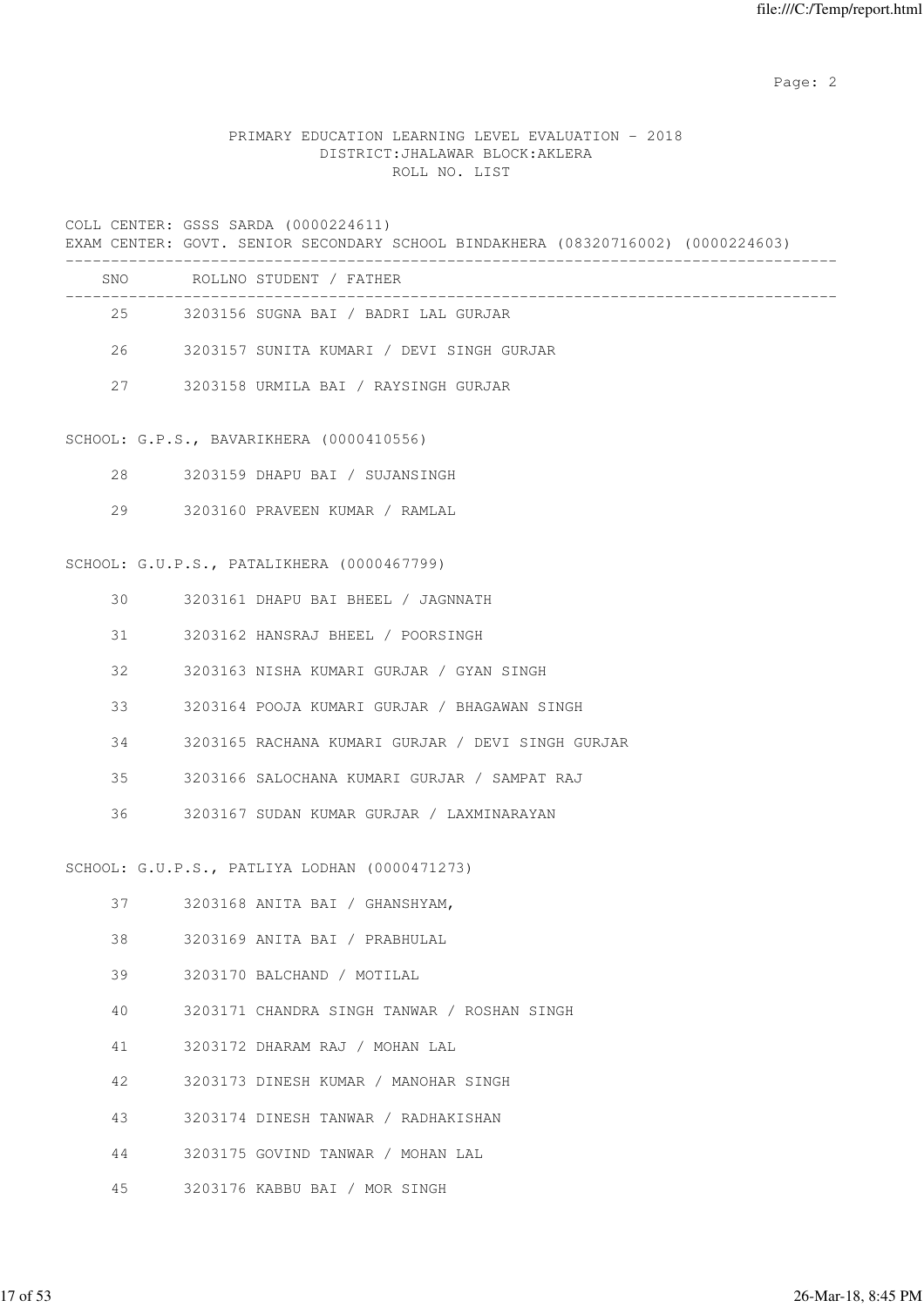Page: 2  $P$  and 2  $P$  and 2  $P$  and 2  $P$  and 2  $P$  and 2  $P$  and 2  $P$  and 2  $P$  and 2  $P$  and 2  $P$  and 2  $P$  and 2  $P$  and 2  $P$  and 2  $P$  and 2  $P$  and 2  $P$  and 2  $P$  and 2  $P$  and 2  $P$  and 2  $P$  and 2  $P$  and 2  $P$ 

# PRIMARY EDUCATION LEARNING LEVEL EVALUATION - 2018 DISTRICT:JHALAWAR BLOCK:AKLERA ROLL NO. LIST

COLL CENTER: GSSS SARDA (0000224611)

EXAM CENTER: GOVT. SENIOR SECONDARY SCHOOL BINDAKHERA (08320716002) (0000224603) -------------------------------------------------------------------------------------

| SNO | ROLLNO STUDENT / FATHER                   |  |
|-----|-------------------------------------------|--|
| 2.5 | 3203156 SUGNA BAI / BADRI LAL GURJAR      |  |
| 26  | 3203157 SUNITA KUMARI / DEVI SINGH GURJAR |  |
| 27  | 3203158 URMILA BAI / RAYSINGH GURJAR      |  |

#### SCHOOL: G.P.S., BAVARIKHERA (0000410556)

- 28 3203159 DHAPU BAI / SUJANSINGH
- 29 3203160 PRAVEEN KUMAR / RAMLAL

#### SCHOOL: G.U.P.S., PATALIKHERA (0000467799)

| 30 | 3203161 DHAPU BAI BHEEL / JAGNNATH                 |
|----|----------------------------------------------------|
|    | 31 3203162 HANSRAJ BHEEL / POORSINGH               |
| 32 | 3203163 NISHA KUMARI GURJAR / GYAN SINGH           |
|    | 33<br>3203164 POOJA KUMARI GURJAR / BHAGAWAN SINGH |
| 34 | 3203165 RACHANA KUMARI GURJAR / DEVI SINGH GURJAR  |
| 35 | 3203166 SALOCHANA KUMARI GURJAR / SAMPAT RAJ       |
|    | 36 3203167 SUDAN KUMAR GURJAR / LAXMINARAYAN       |
|    |                                                    |
|    | SCHOOL: G.U.P.S., PATLIYA LODHAN (0000471273)      |
|    | 37 3203168 ANITA BAI / GHANSHYAM,                  |
|    | 38 3203169 ANITA BAI / PRABHULAL                   |
| 39 | 3203170 BALCHAND / MOTILAL                         |
|    |                                                    |

- 40 3203171 CHANDRA SINGH TANWAR / ROSHAN SINGH
- 41 3203172 DHARAM RAJ / MOHAN LAL
- 42 3203173 DINESH KUMAR / MANOHAR SINGH
- 43 3203174 DINESH TANWAR / RADHAKISHAN
- 44 3203175 GOVIND TANWAR / MOHAN LAL
- 45 3203176 KABBU BAI / MOR SINGH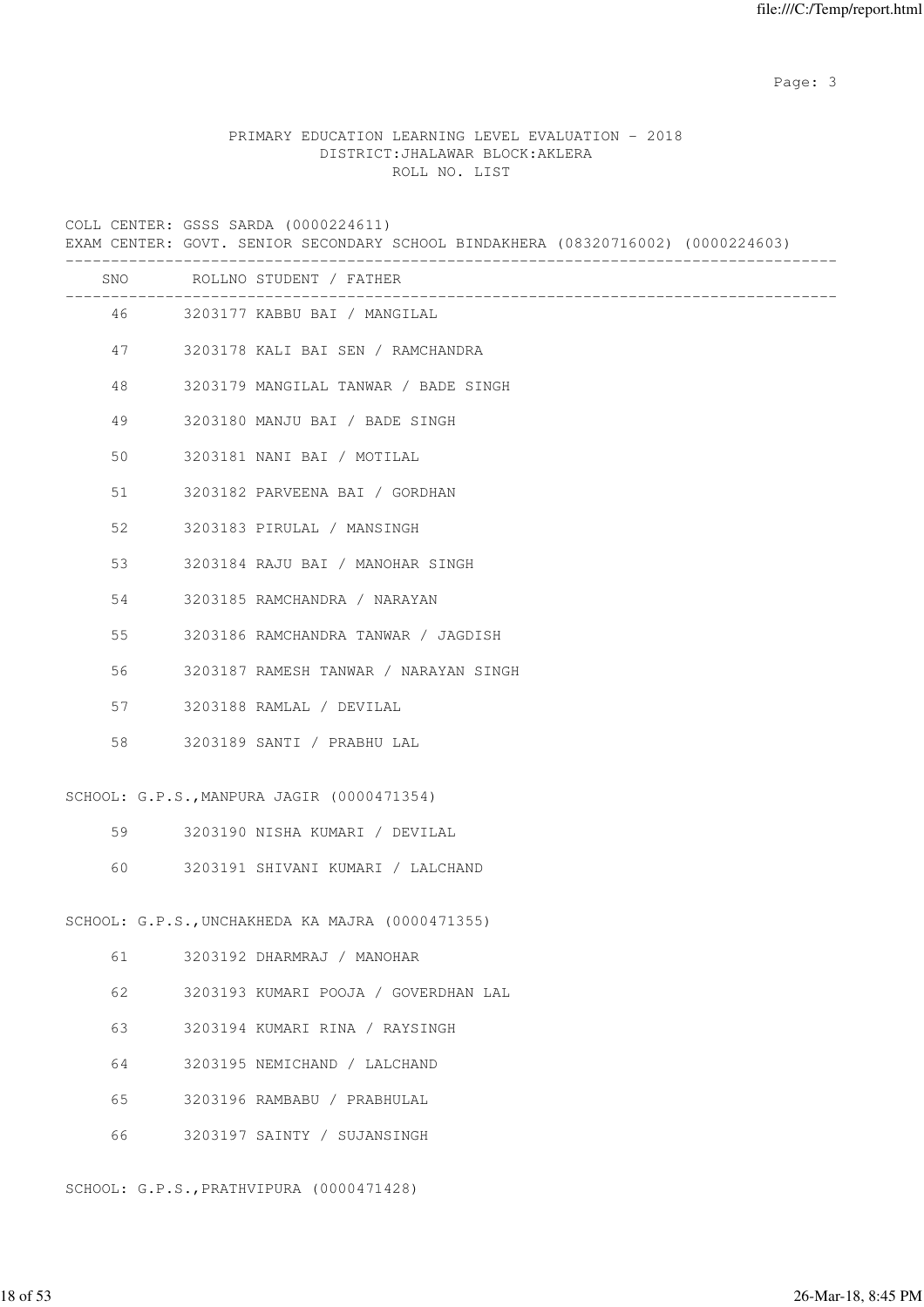Page: 3

# PRIMARY EDUCATION LEARNING LEVEL EVALUATION - 2018 DISTRICT:JHALAWAR BLOCK:AKLERA ROLL NO. LIST

COLL CENTER: GSSS SARDA (0000224611)

EXAM CENTER: GOVT. SENIOR SECONDARY SCHOOL BINDAKHERA (08320716002) (0000224603)

|    | SNO ROLLNO STUDENT / FATHER                      |
|----|--------------------------------------------------|
|    | 46 3203177 KABBU BAI / MANGILAL                  |
| 47 | 3203178 KALI BAI SEN / RAMCHANDRA                |
| 48 | 3203179 MANGILAL TANWAR / BADE SINGH             |
| 49 | 3203180 MANJU BAI / BADE SINGH                   |
| 50 | 3203181 NANI BAI / MOTILAL                       |
| 51 | 3203182 PARVEENA BAI / GORDHAN                   |
| 52 | 3203183 PIRULAL / MANSINGH                       |
| 53 | 3203184 RAJU BAI / MANOHAR SINGH                 |
| 54 | 3203185 RAMCHANDRA / NARAYAN                     |
| 55 | 3203186 RAMCHANDRA TANWAR / JAGDISH              |
| 56 | 3203187 RAMESH TANWAR / NARAYAN SINGH            |
| 57 | 3203188 RAMLAL / DEVILAL                         |
| 58 | 3203189 SANTI / PRABHU LAL                       |
|    | SCHOOL: G.P.S., MANPURA JAGIR (0000471354)       |
| 59 | 3203190 NISHA KUMARI / DEVILAL                   |
| 60 | 3203191 SHIVANI KUMARI / LALCHAND                |
|    | SCHOOL: G.P.S., UNCHAKHEDA KA MAJRA (0000471355) |
| 61 | 3203192 DHARMRAJ / MANOHAR                       |
| 62 | 3203193 KUMARI POOJA / GOVERDHAN LAL             |
| 63 | 3203194 KUMARI RINA / RAYSINGH                   |
| 64 | 3203195 NEMICHAND / LALCHAND                     |
| 65 | 3203196 RAMBABU / PRABHULAL                      |
| 66 | 3203197 SAINTY / SUJANSINGH                      |

#### SCHOOL: G.P.S.,PRATHVIPURA (0000471428)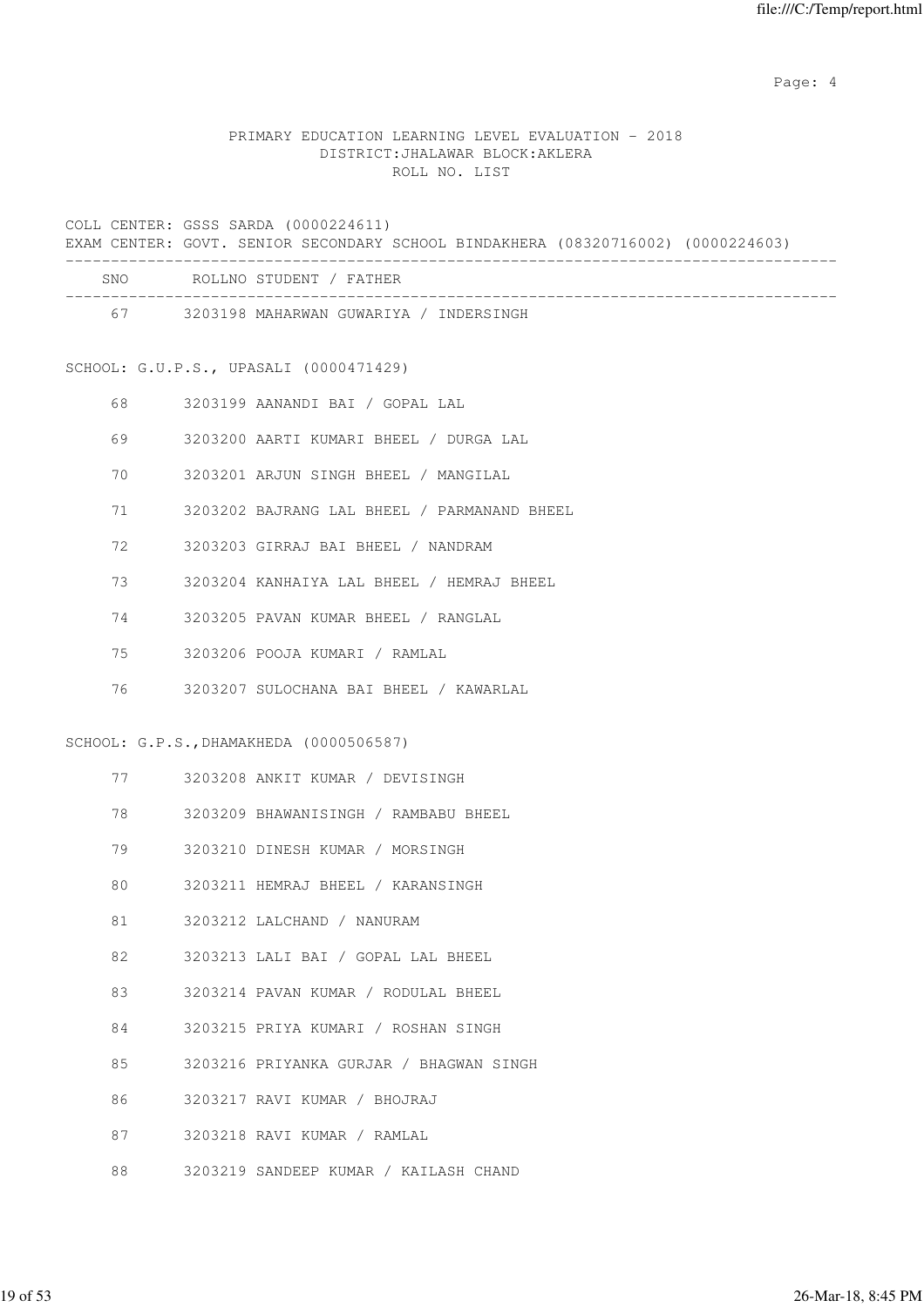Page: 4  $P$ 

# PRIMARY EDUCATION LEARNING LEVEL EVALUATION - 2018 DISTRICT:JHALAWAR BLOCK:AKLERA ROLL NO. LIST

COLL CENTER: GSSS SARDA (0000224611) EXAM CENTER: GOVT. SENIOR SECONDARY SCHOOL BINDAKHERA (08320716002) (0000224603)

|    |          | SNO ROLLNO STUDENT / FATHER                 |
|----|----------|---------------------------------------------|
|    |          | 67 3203198 MAHARWAN GUWARIYA / INDERSINGH   |
|    |          | SCHOOL: G.U.P.S., UPASALI (0000471429)      |
| 68 |          | 3203199 AANANDI BAI / GOPAL LAL             |
| 69 |          | 3203200 AARTI KUMARI BHEEL / DURGA LAL      |
| 70 |          | 3203201 ARJUN SINGH BHEEL / MANGILAL        |
| 71 |          | 3203202 BAJRANG LAL BHEEL / PARMANAND BHEEL |
| 72 |          | 3203203 GIRRAJ BAI BHEEL / NANDRAM          |
| 73 |          | 3203204 KANHAIYA LAL BHEEL / HEMRAJ BHEEL   |
| 74 |          | 3203205 PAVAN KUMAR BHEEL / RANGLAL         |
| 75 |          | 3203206 POOJA KUMARI / RAMLAL               |
| 76 |          | 3203207 SULOCHANA BAI BHEEL / KAWARLAL      |
|    |          | SCHOOL: G.P.S., DHAMAKHEDA (0000506587)     |
|    | 77 — 20  | 3203208 ANKIT KUMAR / DEVISINGH             |
|    | 78 — 178 | 3203209 BHAWANISINGH / RAMBABU BHEEL        |
| 79 |          | 3203210 DINESH KUMAR / MORSINGH             |
| 80 |          | 3203211 HEMRAJ BHEEL / KARANSINGH           |
| 81 |          | 3203212 LALCHAND / NANURAM                  |
| 82 |          | 3203213 LALI BAI / GOPAL LAL BHEEL          |
| 83 |          | 3203214 PAVAN KUMAR / RODULAL BHEEL         |
| 84 |          | 3203215 PRIYA KUMARI / ROSHAN SINGH         |
| 85 |          | 3203216 PRIYANKA GURJAR / BHAGWAN SINGH     |
| 86 |          | 3203217 RAVI KUMAR / BHOJRAJ                |
| 87 |          | 3203218 RAVI KUMAR / RAMLAL                 |

88 3203219 SANDEEP KUMAR / KAILASH CHAND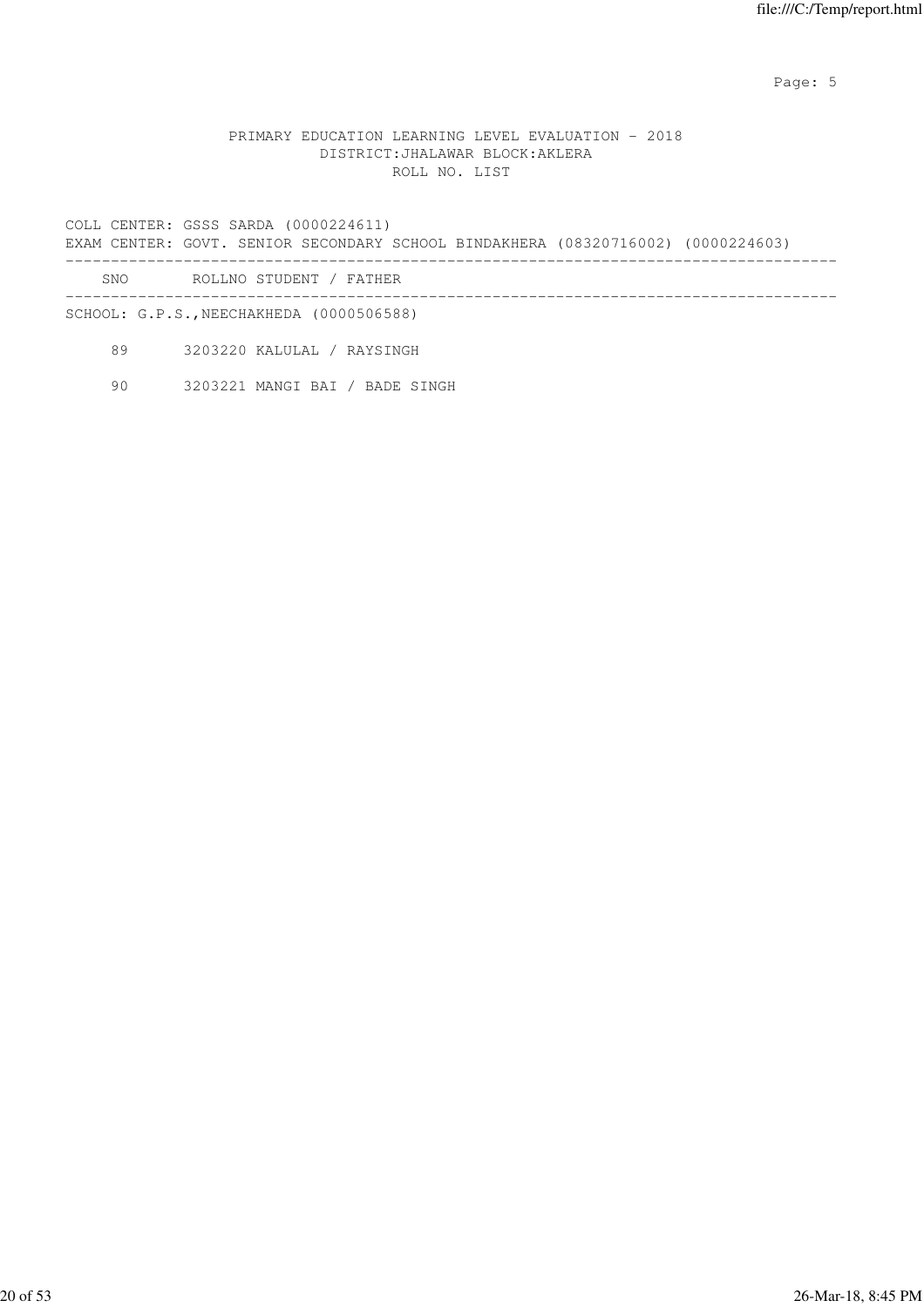Page: 5  $P$  and  $P$  and  $P$  and  $P$  and  $P$  and  $P$  and  $P$  and  $P$  and  $P$  and  $P$  and  $P$  and  $P$  and  $P$  and  $P$  and  $P$  and  $P$  and  $P$  and  $P$  and  $P$  and  $P$  and  $P$  and  $P$  and  $P$  and  $P$  and  $P$  and  $P$  and  $P$  an

#### PRIMARY EDUCATION LEARNING LEVEL EVALUATION - 2018 DISTRICT:JHALAWAR BLOCK:AKLERA ROLL NO. LIST

COLL CENTER: GSSS SARDA (0000224611) EXAM CENTER: GOVT. SENIOR SECONDARY SCHOOL BINDAKHERA (08320716002) (0000224603) ------------------------------------------------------------------------------------- SNO ROLLNO STUDENT / FATHER

------------------------------------------------------------------------------------- SCHOOL: G.P.S.,NEECHAKHEDA (0000506588)

89 3203220 KALULAL / RAYSINGH

90 3203221 MANGI BAI / BADE SINGH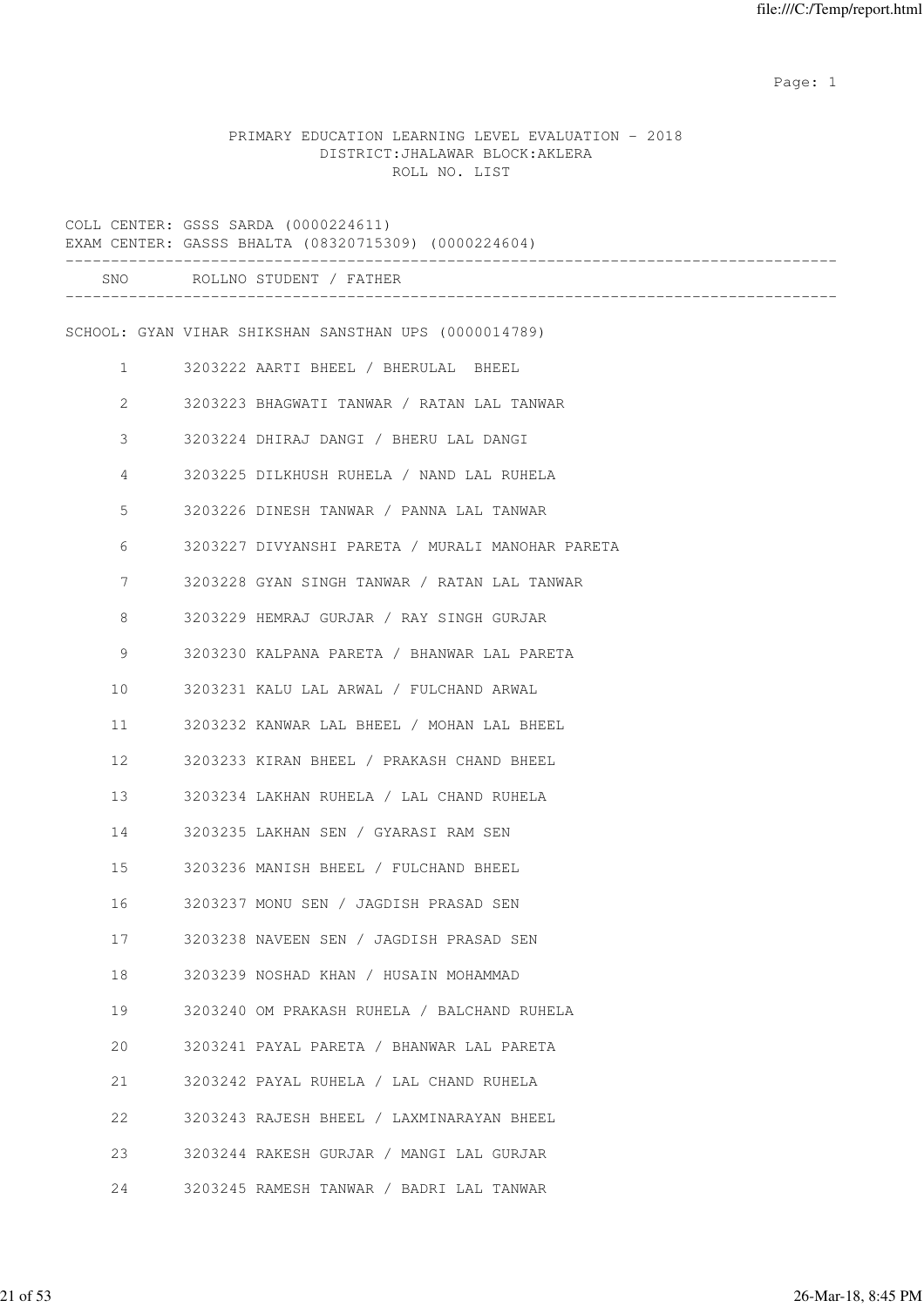example of the state of the state of the state of the state of the state of the state of the state of the state of the state of the state of the state of the state of the state of the state of the state of the state of the

## PRIMARY EDUCATION LEARNING LEVEL EVALUATION - 2018 DISTRICT:JHALAWAR BLOCK:AKLERA ROLL NO. LIST

|              | COLL CENTER: GSSS SARDA (0000224611)<br>EXAM CENTER: GASSS BHALTA (08320715309) (0000224604) |
|--------------|----------------------------------------------------------------------------------------------|
|              | SNO ROLLNO STUDENT / FATHER                                                                  |
|              | SCHOOL: GYAN VIHAR SHIKSHAN SANSTHAN UPS (0000014789)                                        |
| $\mathbf{1}$ | 3203222 AARTI BHEEL / BHERULAL BHEEL                                                         |
| 2            | 3203223 BHAGWATI TANWAR / RATAN LAL TANWAR                                                   |
| 3            | 3203224 DHIRAJ DANGI / BHERU LAL DANGI                                                       |
| 4            | 3203225 DILKHUSH RUHELA / NAND LAL RUHELA                                                    |
| 5            | 3203226 DINESH TANWAR / PANNA LAL TANWAR                                                     |
| 6            | 3203227 DIVYANSHI PARETA / MURALI MANOHAR PARETA                                             |
| 7            | 3203228 GYAN SINGH TANWAR / RATAN LAL TANWAR                                                 |
| 8            | 3203229 HEMRAJ GURJAR / RAY SINGH GURJAR                                                     |
| 9            | 3203230 KALPANA PARETA / BHANWAR LAL PARETA                                                  |
| 10           | 3203231 KALU LAL ARWAL / FULCHAND ARWAL                                                      |
| 11           | 3203232 KANWAR LAL BHEEL / MOHAN LAL BHEEL                                                   |
| 12           | 3203233 KIRAN BHEEL / PRAKASH CHAND BHEEL                                                    |
| 13           | 3203234 LAKHAN RUHELA / LAL CHAND RUHELA                                                     |
| 14           | 3203235 LAKHAN SEN / GYARASI RAM SEN                                                         |
| 15           | 3203236 MANISH BHEEL / FULCHAND BHEEL                                                        |
| 16           | 3203237 MONU SEN / JAGDISH PRASAD SEN                                                        |
| 17           | 3203238 NAVEEN SEN / JAGDISH PRASAD SEN                                                      |
| 18           | 3203239 NOSHAD KHAN / HUSAIN MOHAMMAD                                                        |
| 19           | 3203240 OM PRAKASH RUHELA / BALCHAND RUHELA                                                  |
| 20           | 3203241 PAYAL PARETA / BHANWAR LAL PARETA                                                    |
| 21           | 3203242 PAYAL RUHELA / LAL CHAND RUHELA                                                      |
| 22           | 3203243 RAJESH BHEEL / LAXMINARAYAN BHEEL                                                    |
| 23           | 3203244 RAKESH GURJAR / MANGI LAL GURJAR                                                     |
| 24           | 3203245 RAMESH TANWAR / BADRI LAL TANWAR                                                     |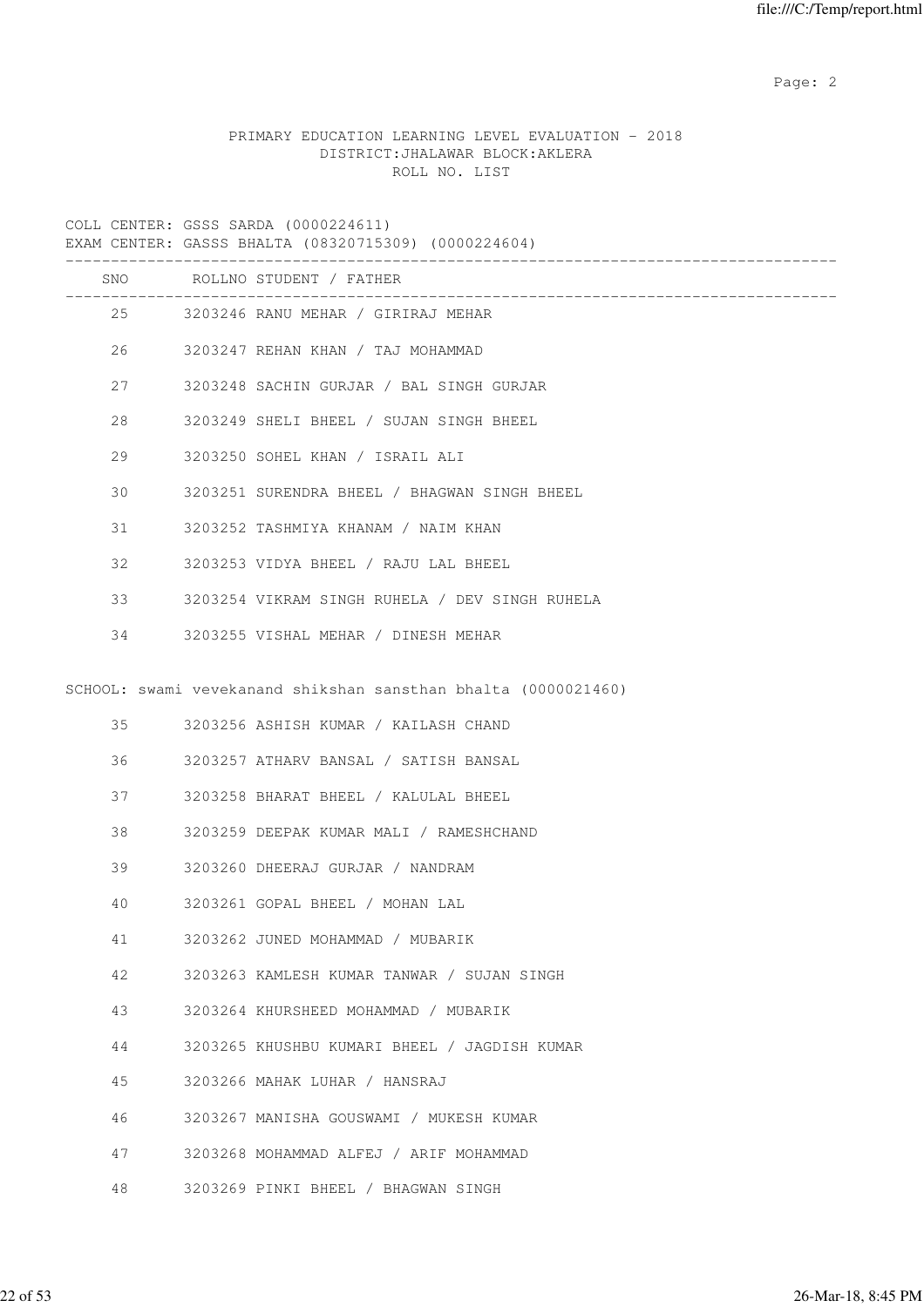Page: 2  $P$  and 2  $P$  and 2  $P$  and 2  $P$  and 2  $P$  and 2  $P$  and 2  $P$  and 2  $P$  and 2  $P$  and 2  $P$  and 2  $P$  and 2  $P$  and 2  $P$  and 2  $P$  and 2  $P$  and 2  $P$  and 2  $P$  and 2  $P$  and 2  $P$  and 2  $P$  and 2  $P$  and 2  $P$ 

# PRIMARY EDUCATION LEARNING LEVEL EVALUATION - 2018 DISTRICT:JHALAWAR BLOCK:AKLERA ROLL NO. LIST

|    | EXAM CENTER: GASSS BHALTA (08320715309) (0000224604)           |
|----|----------------------------------------------------------------|
|    | SNO ROLLNO STUDENT / FATHER<br>___________                     |
|    | 25<br>3203246 RANU MEHAR / GIRIRAJ MEHAR                       |
|    | 26 7<br>3203247 REHAN KHAN / TAJ MOHAMMAD                      |
| 27 | 3203248 SACHIN GURJAR / BAL SINGH GURJAR                       |
| 28 | 3203249 SHELI BHEEL / SUJAN SINGH BHEEL                        |
| 29 | 3203250 SOHEL KHAN / ISRAIL ALI                                |
| 30 | 3203251 SURENDRA BHEEL / BHAGWAN SINGH BHEEL                   |
| 31 | 3203252 TASHMIYA KHANAM / NAIM KHAN                            |
| 32 | 3203253 VIDYA BHEEL / RAJU LAL BHEEL                           |
| 33 | 3203254 VIKRAM SINGH RUHELA / DEV SINGH RUHELA                 |
| 34 | 3203255 VISHAL MEHAR / DINESH MEHAR                            |
|    | SCHOOL: swami vevekanand shikshan sansthan bhalta (0000021460) |
| 35 | 3203256 ASHISH KUMAR / KAILASH CHAND                           |
| 36 | 3203257 ATHARV BANSAL / SATISH BANSAL                          |
| 37 | 3203258 BHARAT BHEEL / KALULAL BHEEL                           |
| 38 | 3203259 DEEPAK KUMAR MALI / RAMESHCHAND                        |
| 39 | 3203260 DHEERAJ GURJAR / NANDRAM                               |
| 40 | 3203261 GOPAL BHEEL / MOHAN LAL                                |
| 41 | 3203262 JUNED MOHAMMAD / MUBARIK                               |
| 42 | 3203263 KAMLESH KUMAR TANWAR / SUJAN SINGH                     |
| 43 | 3203264 KHURSHEED MOHAMMAD / MUBARIK                           |
| 44 | 3203265 KHUSHBU KUMARI BHEEL / JAGDISH KUMAR                   |
| 45 |                                                                |
|    | 3203266 MAHAK LUHAR / HANSRAJ                                  |
| 46 | 3203267 MANISHA GOUSWAMI / MUKESH KUMAR                        |
| 47 | 3203268 MOHAMMAD ALFEJ / ARIF MOHAMMAD                         |
| 48 | 3203269 PINKI BHEEL / BHAGWAN SINGH                            |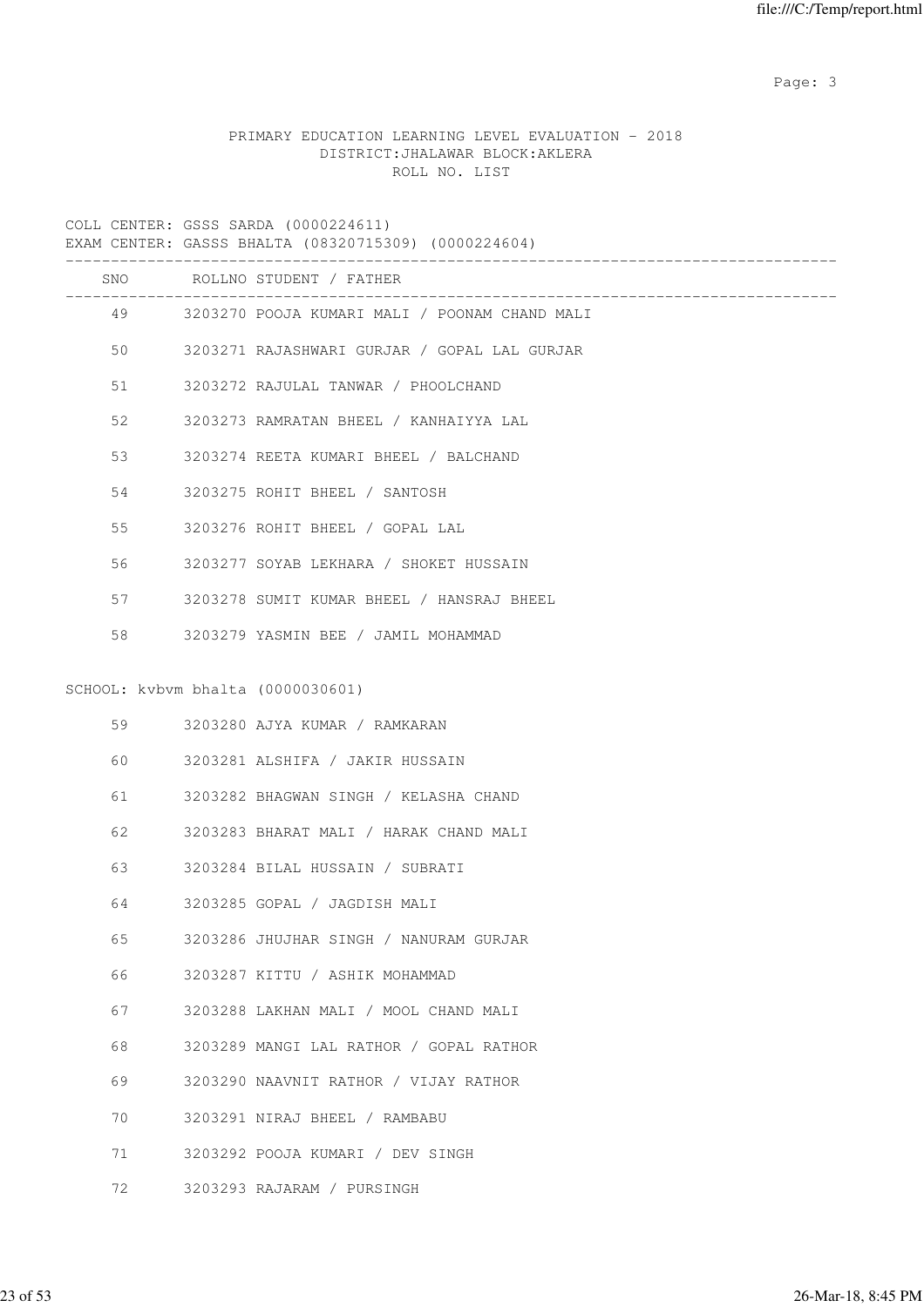Page: 3

# PRIMARY EDUCATION LEARNING LEVEL EVALUATION - 2018 DISTRICT:JHALAWAR BLOCK:AKLERA ROLL NO. LIST

|    | COLL CENIER. GOOD DARDA (UUUUZZHUII)<br>EXAM CENTER: GASSS BHALTA (08320715309) (0000224604) |
|----|----------------------------------------------------------------------------------------------|
|    | SNO ROLLNO STUDENT / FATHER                                                                  |
|    | 49 3203270 POOJA KUMARI MALI / POONAM CHAND MALI                                             |
| 50 | 3203271 RAJASHWARI GURJAR / GOPAL LAL GURJAR                                                 |
| 51 | 3203272 RAJULAL TANWAR / PHOOLCHAND                                                          |
| 52 | 3203273 RAMRATAN BHEEL / KANHAIYYA LAL                                                       |
| 53 | 3203274 REETA KUMARI BHEEL / BALCHAND                                                        |
| 54 | 3203275 ROHIT BHEEL / SANTOSH                                                                |
| 55 | 3203276 ROHIT BHEEL / GOPAL LAL                                                              |
| 56 | 3203277 SOYAB LEKHARA / SHOKET HUSSAIN                                                       |
| 57 | 3203278 SUMIT KUMAR BHEEL / HANSRAJ BHEEL                                                    |
| 58 | 3203279 YASMIN BEE / JAMIL MOHAMMAD                                                          |
|    | SCHOOL: kvbvm bhalta (0000030601)                                                            |
| 59 | 3203280 AJYA KUMAR / RAMKARAN                                                                |
| 60 | 3203281 ALSHIFA / JAKIR HUSSAIN                                                              |
| 61 | 3203282 BHAGWAN SINGH / KELASHA CHAND                                                        |
| 62 | 3203283 BHARAT MALI / HARAK CHAND MALI                                                       |
| 63 | 3203284 BILAL HUSSAIN / SUBRATI                                                              |
| 64 | 3203285 GOPAL / JAGDISH MALI                                                                 |
| 65 | 3203286 JHUJHAR SINGH / NANURAM GURJAR                                                       |
| 66 | 3203287 KITTU / ASHIK MOHAMMAD                                                               |

- 67 3203288 LAKHAN MALI / MOOL CHAND MALI
- 68 3203289 MANGI LAL RATHOR / GOPAL RATHOR
- 69 3203290 NAAVNIT RATHOR / VIJAY RATHOR
- 70 3203291 NIRAJ BHEEL / RAMBABU
- 71 3203292 POOJA KUMARI / DEV SINGH
- 72 3203293 RAJARAM / PURSINGH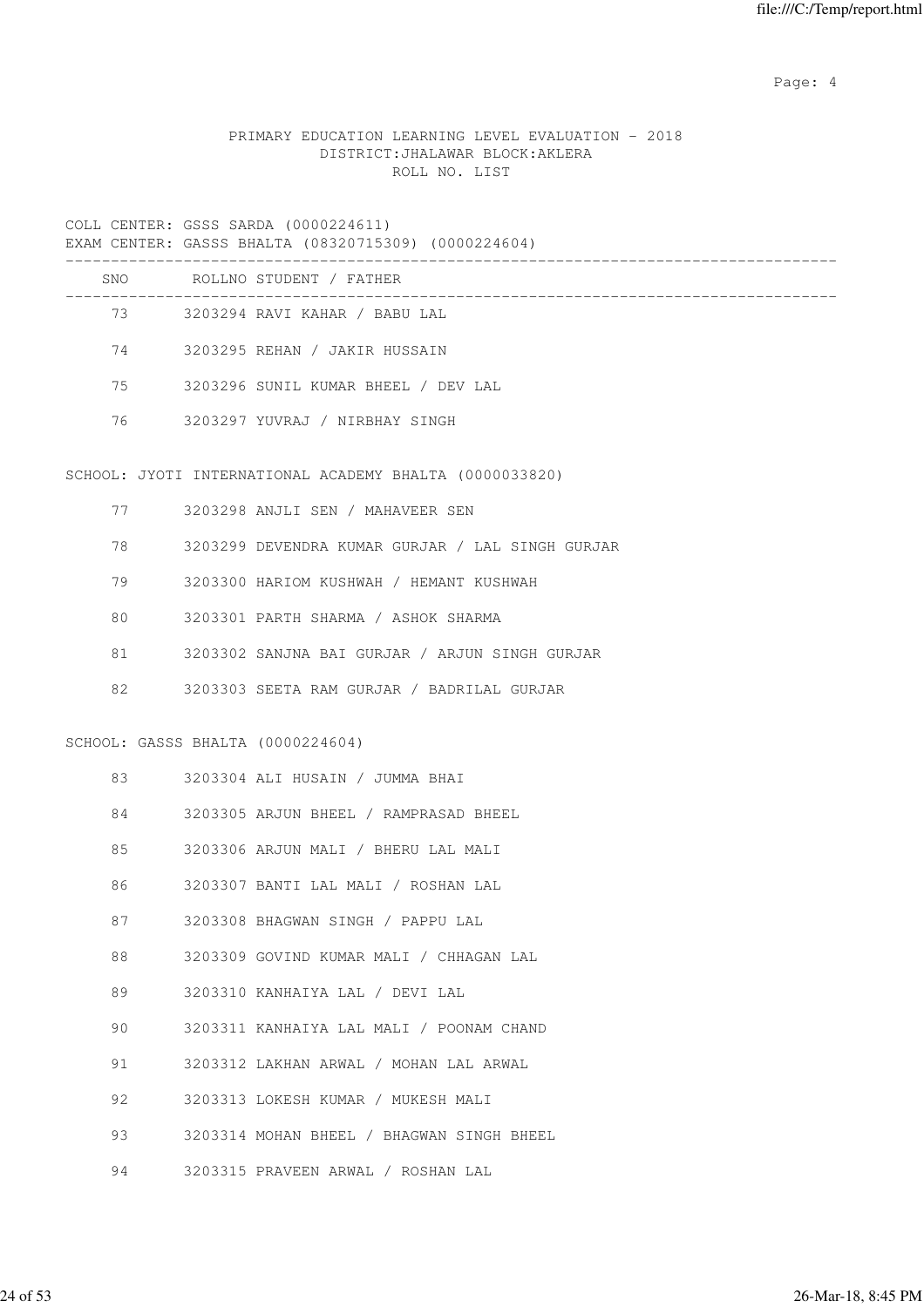Page: 4  $P$ 

# PRIMARY EDUCATION LEARNING LEVEL EVALUATION - 2018 DISTRICT:JHALAWAR BLOCK:AKLERA ROLL NO. LIST

COLL CENTER: GSSS SARDA (0000224611) EXAM CENTER: GASSS BHALTA (08320715309) (0000224604)

| SNO | ROLLNO STUDENT / FATHER             |
|-----|-------------------------------------|
| 73  | 3203294 RAVI KAHAR / BABU LAL       |
| 74  | 3203295 REHAN / JAKIR HUSSAIN       |
| 75  | 3203296 SUNIL KUMAR BHEEL / DEV LAL |
| 76  | 3203297 YUVRAJ / NIRBHAY SINGH      |
|     |                                     |
|     |                                     |

# SCHOOL: JYOTI INTERNATIONAL ACADEMY BHALTA (0000033820)

|    | 77                                                                                                            | 3203298 ANJLI SEN / MAHAVEER SEN                 |
|----|---------------------------------------------------------------------------------------------------------------|--------------------------------------------------|
|    | 78 — 178 — 178 — 178 — 178 — 178 — 178 — 178 — 178 — 178 — 178 — 178 — 178 — 178 — 178 — 178 — 178 — 178 — 17 | 3203299 DEVENDRA KUMAR GURJAR / LAL SINGH GURJAR |
| 79 |                                                                                                               | 3203300 HARIOM KUSHWAH / HEMANT KUSHWAH          |
| 80 |                                                                                                               | 3203301 PARTH SHARMA / ASHOK SHARMA              |
| 81 |                                                                                                               | 3203302 SANJNA BAI GURJAR / ARJUN SINGH GURJAR   |
| 82 |                                                                                                               | 3203303 SEETA RAM GURJAR / BADRILAL GURJAR       |
|    |                                                                                                               |                                                  |
|    | SCHOOL: GASSS BHALTA (0000224604)                                                                             |                                                  |
| 83 |                                                                                                               | 3203304 ALI HUSAIN / JUMMA BHAI                  |
| 84 |                                                                                                               | 3203305 ARJUN BHEEL / RAMPRASAD BHEEL            |
| 85 |                                                                                                               | 3203306 ARJUN MALI / BHERU LAL MALI              |
| 86 |                                                                                                               | 3203307 BANTI LAL MALI / ROSHAN LAL              |
| 87 |                                                                                                               | 3203308 BHAGWAN SINGH / PAPPU LAL                |
| 88 |                                                                                                               | 3203309 GOVIND KUMAR MALI / CHHAGAN LAL          |
| 89 |                                                                                                               | 3203310 KANHAIYA LAL / DEVI LAL                  |
| 90 |                                                                                                               | 3203311 KANHAIYA LAL MALI / POONAM CHAND         |
| 91 |                                                                                                               | 3203312 LAKHAN ARWAL / MOHAN LAL ARWAL           |
| 92 |                                                                                                               | 3203313 LOKESH KUMAR / MUKESH MALI               |
| 93 |                                                                                                               | 3203314 MOHAN BHEEL / BHAGWAN SINGH BHEEL        |
| 94 |                                                                                                               | 3203315 PRAVEEN ARWAL / ROSHAN LAL               |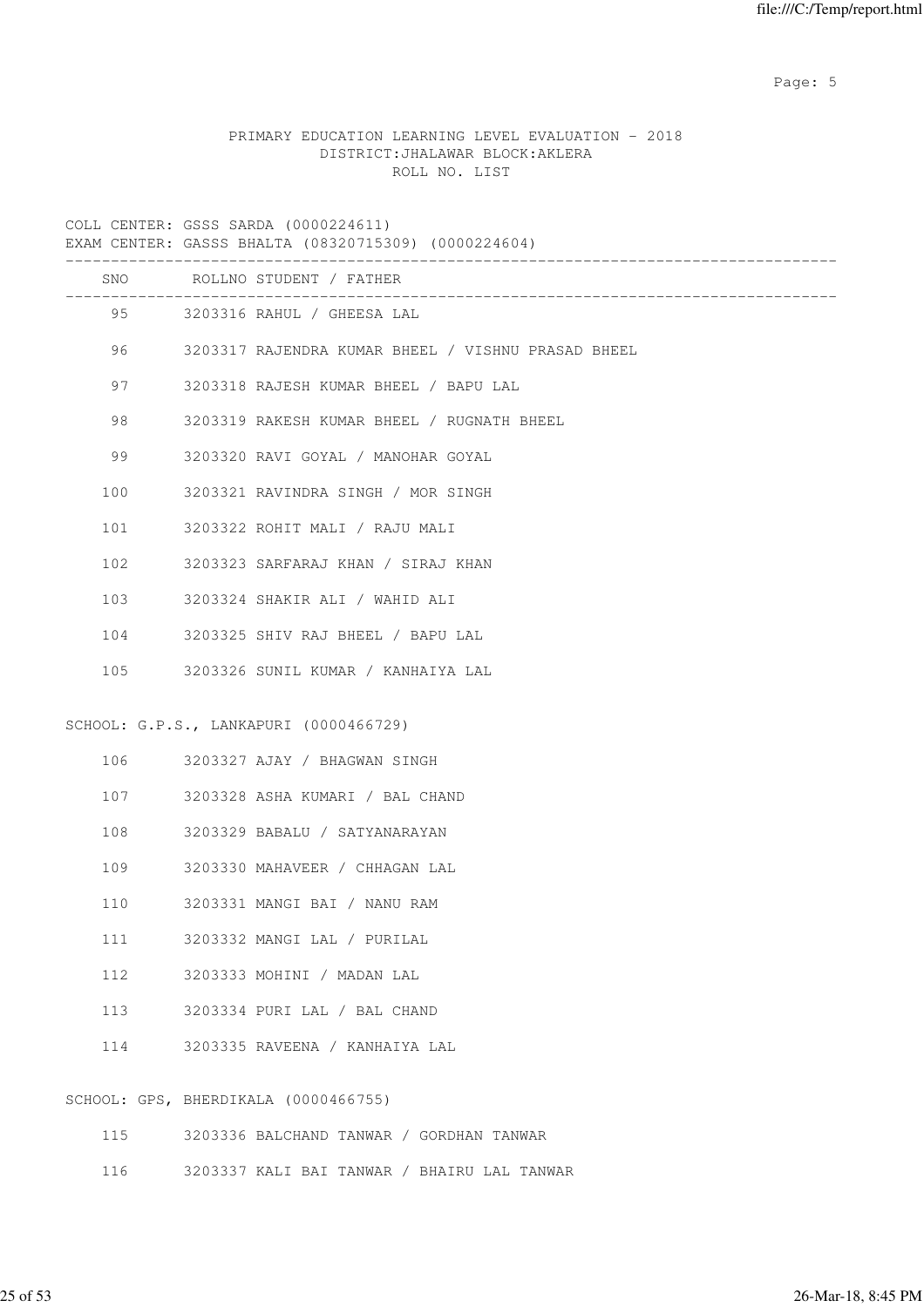Page: 5  $P$  and  $P$  and  $P$  and  $P$  and  $P$  and  $P$  and  $P$  and  $P$  and  $P$  and  $P$  and  $P$  and  $P$  and  $P$  and  $P$  and  $P$  and  $P$  and  $P$  and  $P$  and  $P$  and  $P$  and  $P$  and  $P$  and  $P$  and  $P$  and  $P$  and  $P$  and  $P$  an

# PRIMARY EDUCATION LEARNING LEVEL EVALUATION - 2018 DISTRICT:JHALAWAR BLOCK:AKLERA ROLL NO. LIST

COLL CENTER: GSSS SARDA (0000224611)

|     | EXAM CENTER: GASSS BHALTA (08320715309) (0000224604)          |
|-----|---------------------------------------------------------------|
| SNO | ROLLNO STUDENT / FATHER                                       |
|     | 95<br>3203316 RAHUL / GHEESA LAL                              |
|     | 96 — 10<br>3203317 RAJENDRA KUMAR BHEEL / VISHNU PRASAD BHEEL |
| 97  | 3203318 RAJESH KUMAR BHEEL / BAPU LAL                         |
| 98  | 3203319 RAKESH KUMAR BHEEL / RUGNATH BHEEL                    |
| 99  | 3203320 RAVI GOYAL / MANOHAR GOYAL                            |
| 100 | 3203321 RAVINDRA SINGH / MOR SINGH                            |
| 101 | 3203322 ROHIT MALI / RAJU MALI                                |
| 102 | 3203323 SARFARAJ KHAN / SIRAJ KHAN                            |
| 103 | 3203324 SHAKIR ALI / WAHID ALI                                |
| 104 | 3203325 SHIV RAJ BHEEL / BAPU LAL                             |
| 105 | 3203326 SUNIL KUMAR / KANHAIYA LAL                            |
|     | SCHOOL: G.P.S., LANKAPURI (0000466729)                        |
| 106 | 3203327 AJAY / BHAGWAN SINGH                                  |
|     | 3203328 ASHA KUMARI / BAL CHAND<br>107                        |
| 108 | 3203329 BABALU / SATYANARAYAN                                 |
| 109 | 3203330 MAHAVEER / CHHAGAN LAL                                |
| 110 | 3203331 MANGI BAI / NANU RAM                                  |
| 111 | 3203332 MANGI LAL / PURILAL                                   |
| 112 | 3203333 MOHINI / MADAN LAL                                    |
| 113 | 3203334 PURI LAL / BAL CHAND                                  |
| 114 | 3203335 RAVEENA / KANHAIYA LAL                                |
|     |                                                               |
|     | SCHOOL: GPS, BHERDIKALA (0000466755)                          |
| 115 | 3203336 BALCHAND TANWAR / GORDHAN TANWAR                      |

116 3203337 KALI BAI TANWAR / BHAIRU LAL TANWAR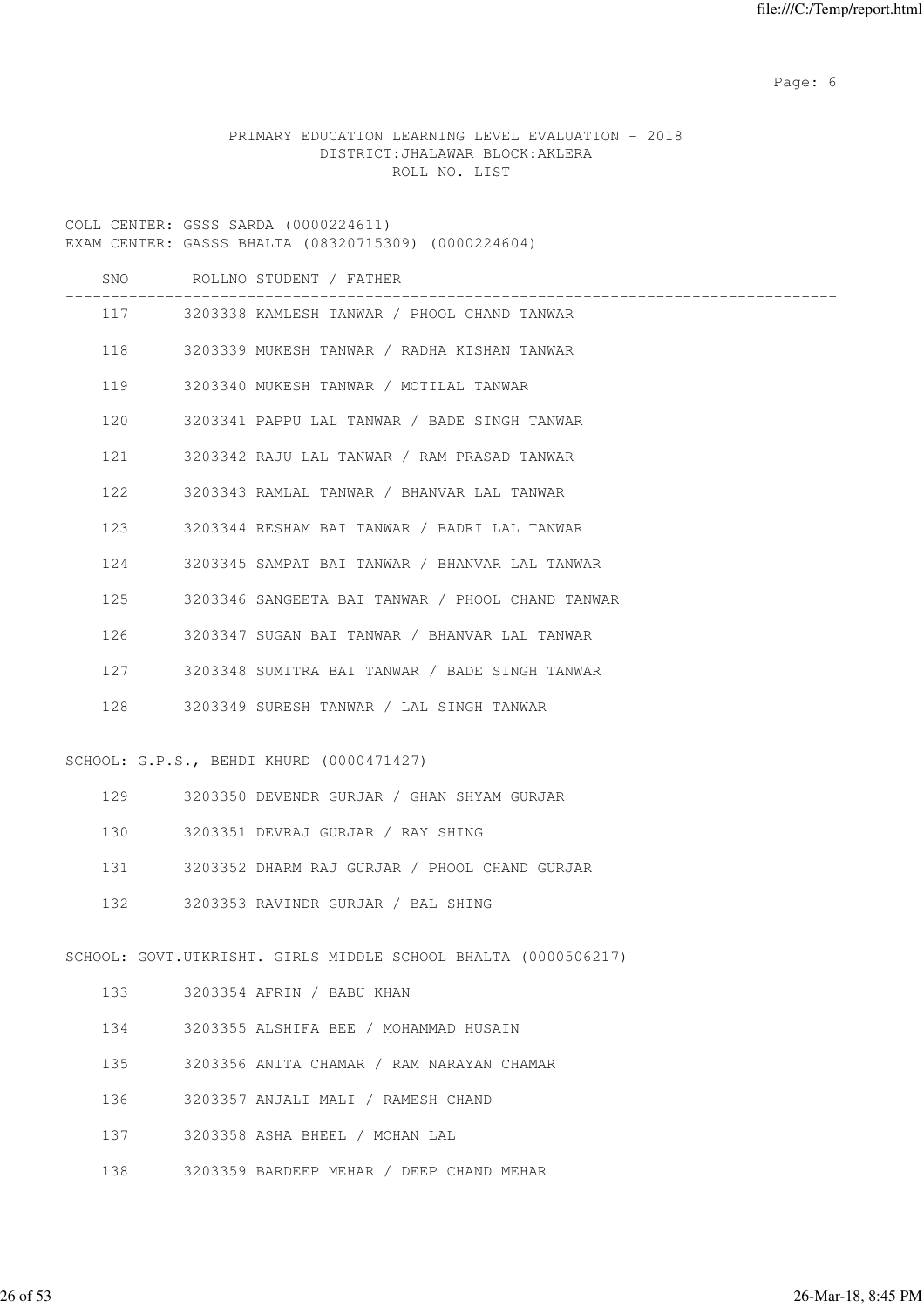Page: 6  $P$  and  $P$  and  $P$  and  $P$  and  $P$  and  $P$  and  $P$  and  $P$  and  $P$  and  $P$  and  $P$  and  $P$  and  $P$  and  $P$  and  $P$  and  $P$  and  $P$  and  $P$  and  $P$  and  $P$  and  $P$  and  $P$  and  $P$  and  $P$  and  $P$  and  $P$  and  $P$  an

# PRIMARY EDUCATION LEARNING LEVEL EVALUATION - 2018 DISTRICT:JHALAWAR BLOCK:AKLERA ROLL NO. LIST

|     | EXAM CENTER: GASSS BHALTA (08320715309) (0000224604)           |
|-----|----------------------------------------------------------------|
|     | SNO ROLLNO STUDENT / FATHER<br>______________________          |
|     | 117 3203338 KAMLESH TANWAR / PHOOL CHAND TANWAR                |
|     | 118<br>3203339 MUKESH TANWAR / RADHA KISHAN TANWAR             |
|     | 119<br>3203340 MUKESH TANWAR / MOTILAL TANWAR                  |
| 120 | 3203341 PAPPU LAL TANWAR / BADE SINGH TANWAR                   |
| 121 | 3203342 RAJU LAL TANWAR / RAM PRASAD TANWAR                    |
| 122 | 3203343 RAMLAL TANWAR / BHANVAR LAL TANWAR                     |
|     | 123<br>3203344 RESHAM BAI TANWAR / BADRI LAL TANWAR            |
| 124 | 3203345 SAMPAT BAI TANWAR / BHANVAR LAL TANWAR                 |
| 125 | 3203346 SANGEETA BAI TANWAR / PHOOL CHAND TANWAR               |
| 126 | 3203347 SUGAN BAI TANWAR / BHANVAR LAL TANWAR                  |
| 127 | 3203348 SUMITRA BAI TANWAR / BADE SINGH TANWAR                 |
| 128 | 3203349 SURESH TANWAR / LAL SINGH TANWAR                       |
|     | SCHOOL: G.P.S., BEHDI KHURD (0000471427)                       |
|     | 129<br>3203350 DEVENDR GURJAR / GHAN SHYAM GURJAR              |
|     | 130<br>3203351 DEVRAJ GURJAR / RAY SHING                       |
|     | 131<br>3203352 DHARM RAJ GURJAR / PHOOL CHAND GURJAR           |
| 132 | 3203353 RAVINDR GURJAR / BAL SHING                             |
|     |                                                                |
|     | SCHOOL: GOVT.UTKRISHT. GIRLS MIDDLE SCHOOL BHALTA (0000506217) |
| 133 | 3203354 AFRIN / BABU KHAN                                      |
| 134 | 3203355 ALSHIFA BEE / MOHAMMAD HUSAIN                          |
| 135 | 3203356 ANITA CHAMAR / RAM NARAYAN CHAMAR                      |
| 136 | 3203357 ANJALI MALI / RAMESH CHAND                             |
| 137 | 3203358 ASHA BHEEL / MOHAN LAL                                 |
| 138 | 3203359 BARDEEP MEHAR / DEEP CHAND MEHAR                       |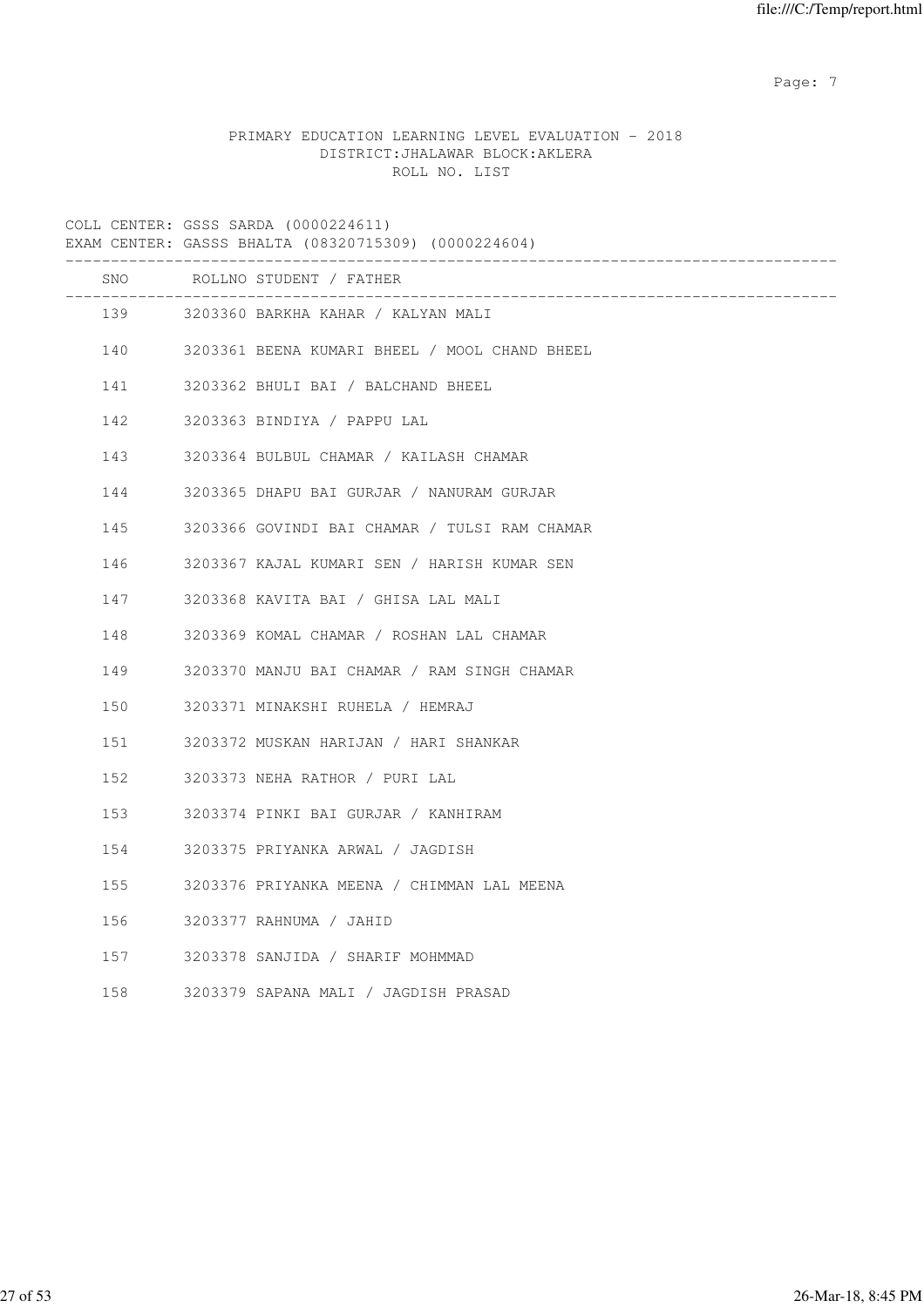Page: 7  $P$  and  $P$  and  $P$  and  $P$  and  $P$  and  $P$  and  $P$  and  $P$  and  $P$  and  $P$  and  $P$  and  $P$  and  $P$  and  $P$  and  $P$  and  $P$  and  $P$  and  $P$  and  $P$  and  $P$  and  $P$  and  $P$  and  $P$  and  $P$  and  $P$  and  $P$  and  $P$  an

# PRIMARY EDUCATION LEARNING LEVEL EVALUATION - 2018 DISTRICT:JHALAWAR BLOCK:AKLERA ROLL NO. LIST

|     | EXAM CENTER: GASSS BHALTA (08320715309) (0000224604) |
|-----|------------------------------------------------------|
| SNO | ROLLNO STUDENT / FATHER                              |
|     | 139 3203360 BARKHA KAHAR / KALYAN MALI               |
|     | 140 3203361 BEENA KUMARI BHEEL / MOOL CHAND BHEEL    |
| 141 | 3203362 BHULI BAI / BALCHAND BHEEL                   |
| 142 | 3203363 BINDIYA / PAPPU LAL                          |
| 143 | 3203364 BULBUL CHAMAR / KAILASH CHAMAR               |
| 144 | 3203365 DHAPU BAI GURJAR / NANURAM GURJAR            |
| 145 | 3203366 GOVINDI BAI CHAMAR / TULSI RAM CHAMAR        |
| 146 | 3203367 KAJAL KUMARI SEN / HARISH KUMAR SEN          |
| 147 | 3203368 KAVITA BAI / GHISA LAL MALI                  |
| 148 | 3203369 KOMAL CHAMAR / ROSHAN LAL CHAMAR             |
| 149 | 3203370 MANJU BAI CHAMAR / RAM SINGH CHAMAR          |
| 150 | 3203371 MINAKSHI RUHELA / HEMRAJ                     |
| 151 | 3203372 MUSKAN HARIJAN / HARI SHANKAR                |
| 152 | 3203373 NEHA RATHOR / PURI LAL                       |
| 153 | 3203374 PINKI BAI GURJAR / KANHIRAM                  |
| 154 | 3203375 PRIYANKA ARWAL / JAGDISH                     |
| 155 | 3203376 PRIYANKA MEENA / CHIMMAN LAL MEENA           |
| 156 | 3203377 RAHNUMA / JAHID                              |
| 157 | 3203378 SANJIDA / SHARIF MOHMMAD                     |
| 158 | 3203379 SAPANA MALI / JAGDISH PRASAD                 |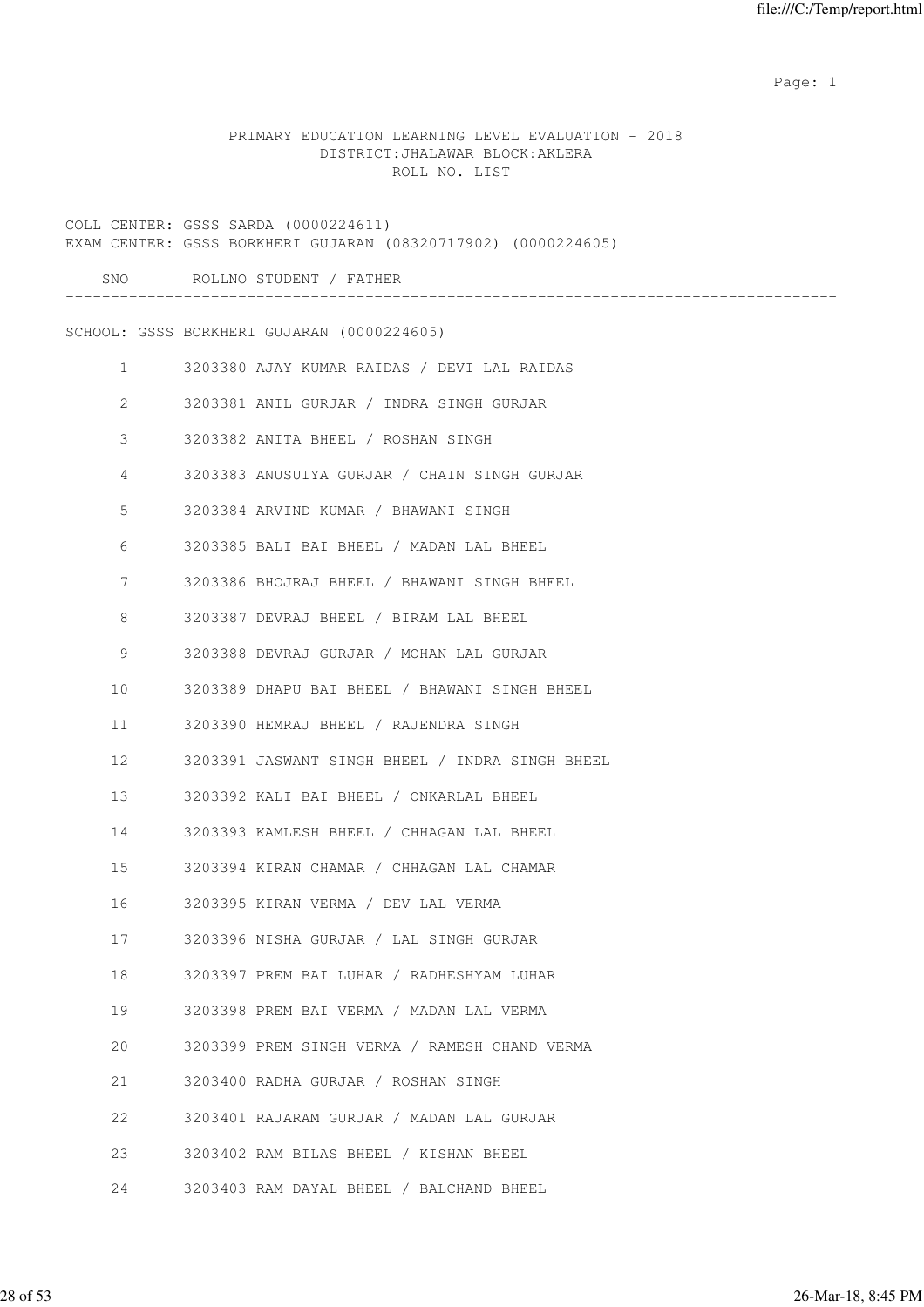example of the state of the state of the state of the state of the state of the state of the state of the state of the state of the state of the state of the state of the state of the state of the state of the state of the

# PRIMARY EDUCATION LEARNING LEVEL EVALUATION - 2018 DISTRICT:JHALAWAR BLOCK:AKLERA ROLL NO. LIST

|              | COLL CENTER: GSSS SARDA (0000224611)<br>EXAM CENTER: GSSS BORKHERI GUJARAN (08320717902) (0000224605) |
|--------------|-------------------------------------------------------------------------------------------------------|
|              | SNO ROLLNO STUDENT / FATHER                                                                           |
|              | SCHOOL: GSSS BORKHERI GUJARAN (0000224605)                                                            |
| $\mathbf{1}$ | 3203380 AJAY KUMAR RAIDAS / DEVI LAL RAIDAS                                                           |
| 2            | 3203381 ANIL GURJAR / INDRA SINGH GURJAR                                                              |
| 3            | 3203382 ANITA BHEEL / ROSHAN SINGH                                                                    |
| 4            | 3203383 ANUSUIYA GURJAR / CHAIN SINGH GURJAR                                                          |
| 5            | 3203384 ARVIND KUMAR / BHAWANI SINGH                                                                  |
| 6            | 3203385 BALI BAI BHEEL / MADAN LAL BHEEL                                                              |
| 7            | 3203386 BHOJRAJ BHEEL / BHAWANI SINGH BHEEL                                                           |
| 8            | 3203387 DEVRAJ BHEEL / BIRAM LAL BHEEL                                                                |
| 9            | 3203388 DEVRAJ GURJAR / MOHAN LAL GURJAR                                                              |
| 10           | 3203389 DHAPU BAI BHEEL / BHAWANI SINGH BHEEL                                                         |
| 11           | 3203390 HEMRAJ BHEEL / RAJENDRA SINGH                                                                 |
| 12           | 3203391 JASWANT SINGH BHEEL / INDRA SINGH BHEEL                                                       |
| 13           | 3203392 KALI BAI BHEEL / ONKARLAL BHEEL                                                               |
| 14           | 3203393 KAMLESH BHEEL / CHHAGAN LAL BHEEL                                                             |
| 15           | 3203394 KIRAN CHAMAR / CHHAGAN LAL CHAMAR                                                             |
| 16           | 3203395 KIRAN VERMA / DEV LAL VERMA                                                                   |
| 17           | 3203396 NISHA GURJAR / LAL SINGH GURJAR                                                               |
| 18           | 3203397 PREM BAI LUHAR / RADHESHYAM LUHAR                                                             |
| 19           | 3203398 PREM BAI VERMA / MADAN LAL VERMA                                                              |
| 20           | 3203399 PREM SINGH VERMA / RAMESH CHAND VERMA                                                         |
| 21           | 3203400 RADHA GURJAR / ROSHAN SINGH                                                                   |
| 22           | 3203401 RAJARAM GURJAR / MADAN LAL GURJAR                                                             |
| 23           | 3203402 RAM BILAS BHEEL / KISHAN BHEEL                                                                |
| 24           | 3203403 RAM DAYAL BHEEL / BALCHAND BHEEL                                                              |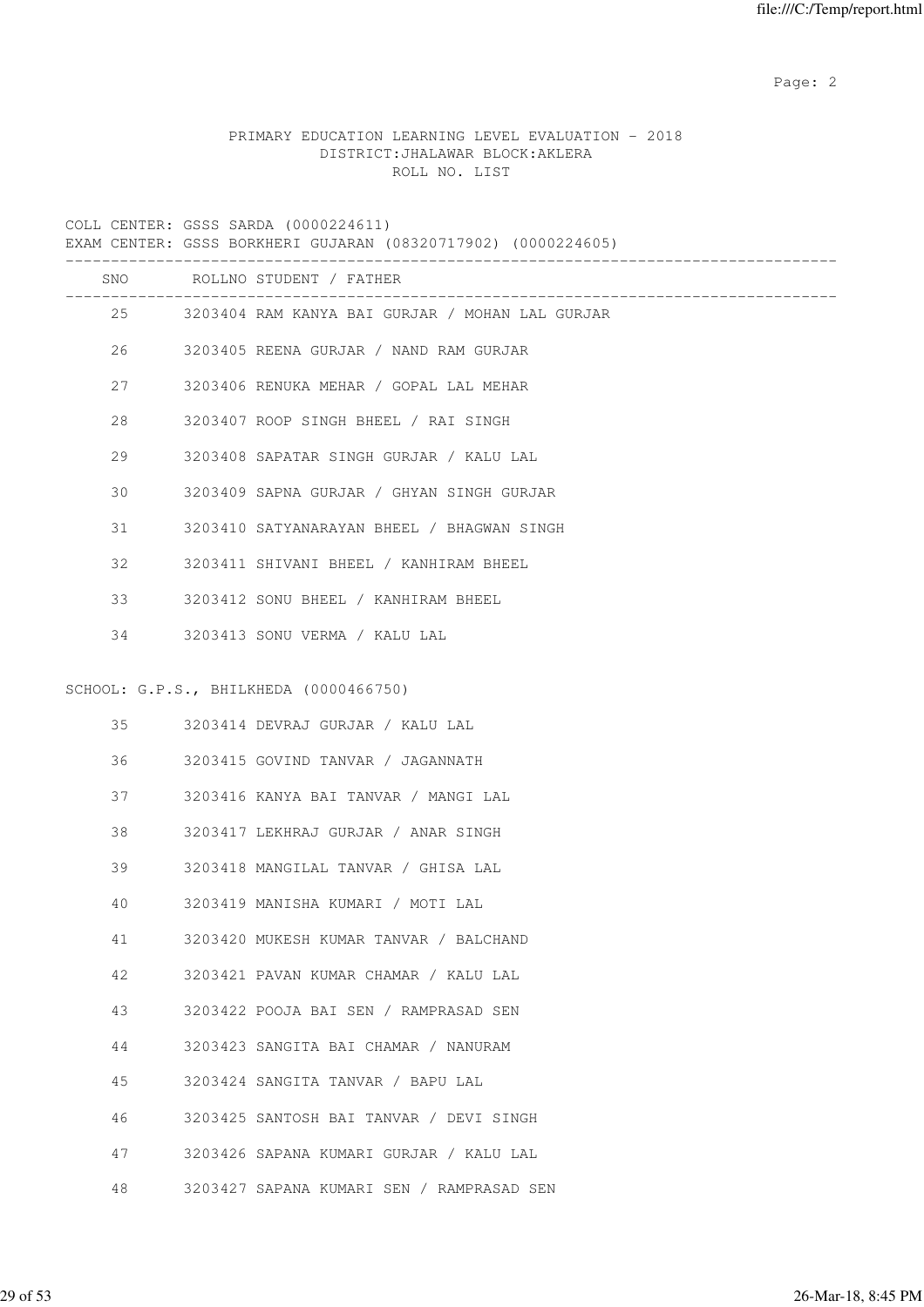Page: 2  $P$  and 2  $P$  and 2  $P$  and 2  $P$  and 2  $P$  and 2  $P$  and 2  $P$  and 2  $P$  and 2  $P$  and 2  $P$  and 2  $P$  and 2  $P$  and 2  $P$  and 2  $P$  and 2  $P$  and 2  $P$  and 2  $P$  and 2  $P$  and 2  $P$  and 2  $P$  and 2  $P$  and 2  $P$ 

# PRIMARY EDUCATION LEARNING LEVEL EVALUATION - 2018 DISTRICT:JHALAWAR BLOCK:AKLERA ROLL NO. LIST

COLL CENTER: GSSS SARDA (0000224611)

|     | EXAM CENTER: GSSS BORKHERI GUJARAN (08320717902) (0000224605) |
|-----|---------------------------------------------------------------|
|     | SNO ROLLNO STUDENT / FATHER                                   |
|     | 25 3203404 RAM KANYA BAI GURJAR / MOHAN LAL GURJAR            |
| 26  | 3203405 REENA GURJAR / NAND RAM GURJAR                        |
| 27  | 3203406 RENUKA MEHAR / GOPAL LAL MEHAR                        |
| 2.8 | 3203407 ROOP SINGH BHEEL / RAI SINGH                          |
| 29  | 3203408 SAPATAR SINGH GURJAR / KALU LAL                       |
| 30  | 3203409 SAPNA GURJAR / GHYAN SINGH GURJAR                     |
| 31  | 3203410 SATYANARAYAN BHEEL / BHAGWAN SINGH                    |
| 32  | 3203411 SHIVANI BHEEL / KANHIRAM BHEEL                        |
| 33  | 3203412 SONU BHEEL / KANHIRAM BHEEL                           |
|     | 34 3203413 SONU VERMA / KALU LAL                              |
|     |                                                               |
|     | SCHOOL: G.P.S., BHILKHEDA (0000466750)                        |
|     | 35 3203414 DEVRAJ GURJAR / KALU LAL                           |

|  | 3203415 GOVIND TANVAR |  |  |  | JAGANNATH |
|--|-----------------------|--|--|--|-----------|
|--|-----------------------|--|--|--|-----------|

37 3203416 KANYA BAI TANVAR / MANGI LAL

38 3203417 LEKHRAJ GURJAR / ANAR SINGH

- 39 3203418 MANGILAL TANVAR / GHISA LAL
- 40 3203419 MANISHA KUMARI / MOTI LAL
- 41 3203420 MUKESH KUMAR TANVAR / BALCHAND
- 42 3203421 PAVAN KUMAR CHAMAR / KALU LAL
- 43 3203422 POOJA BAI SEN / RAMPRASAD SEN
- 44 3203423 SANGITA BAI CHAMAR / NANURAM
- 45 3203424 SANGITA TANVAR / BAPU LAL
- 46 3203425 SANTOSH BAI TANVAR / DEVI SINGH
- 47 3203426 SAPANA KUMARI GURJAR / KALU LAL
- 48 3203427 SAPANA KUMARI SEN / RAMPRASAD SEN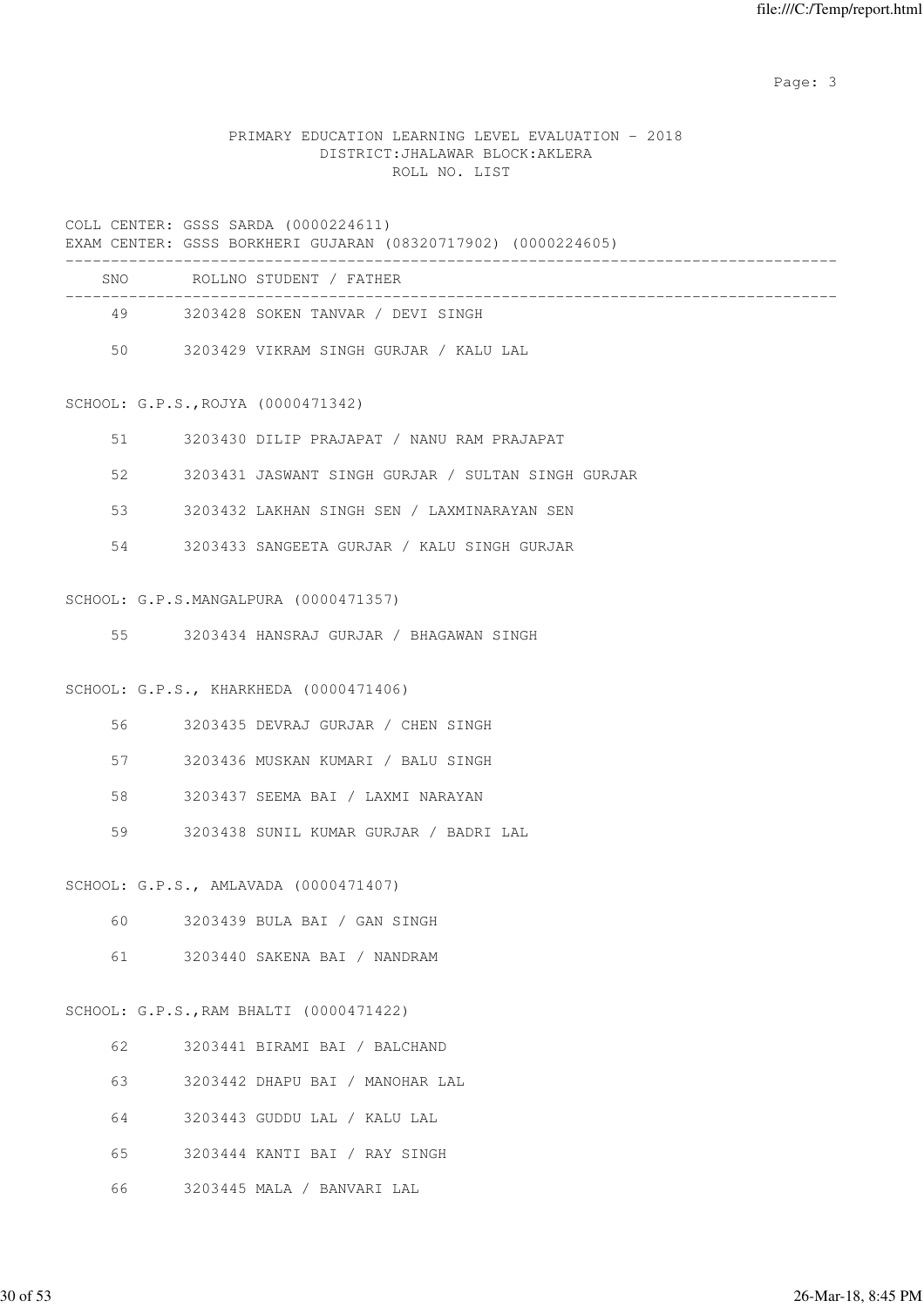Page: 3

# PRIMARY EDUCATION LEARNING LEVEL EVALUATION - 2018 DISTRICT:JHALAWAR BLOCK:AKLERA ROLL NO. LIST

#### COLL CENTER: GSSS SARDA (0000224611)

|     | EXAM CENTER: GSSS BORKHERI GUJARAN (08320717902) (0000224605) |
|-----|---------------------------------------------------------------|
| SNO | ROLLNO STUDENT / FATHER                                       |
| 49  | 3203428 SOKEN TANVAR / DEVI SINGH                             |
| 50  | 3203429 VIKRAM SINGH GURJAR / KALU LAL                        |

# SCHOOL: G.P.S.,ROJYA (0000471342)

| 51 | 3203430 DILIP PRAJAPAT / NANU RAM PRAJAPAT         |
|----|----------------------------------------------------|
| 52 | 3203431 JASWANT SINGH GURJAR / SULTAN SINGH GURJAR |
| 53 | 3203432 LAKHAN SINGH SEN / LAXMINARAYAN SEN        |
| 54 | 3203433 SANGEETA GURJAR / KALU SINGH GURJAR        |

#### SCHOOL: G.P.S.MANGALPURA (0000471357)

55 3203434 HANSRAJ GURJAR / BHAGAWAN SINGH

# SCHOOL: G.P.S., KHARKHEDA (0000471406)

| 56 —    | 3203435 DEVRAJ GURJAR / CHEN SINGH |  |  |  |
|---------|------------------------------------|--|--|--|
| 57 - 57 | 3203436 MUSKAN KUMARI / BALU SINGH |  |  |  |

- 58 3203437 SEEMA BAI / LAXMI NARAYAN
- 59 3203438 SUNIL KUMAR GURJAR / BADRI LAL

# SCHOOL: G.P.S., AMLAVADA (0000471407)

- 60 3203439 BULA BAI / GAN SINGH
- 61 3203440 SAKENA BAI / NANDRAM

# SCHOOL: G.P.S.,RAM BHALTI (0000471422)

| 62. | 3203441 BIRAMI BAI / BALCHAND   |
|-----|---------------------------------|
| 63  | 3203442 DHAPU BAI / MANOHAR LAL |
| 64  | 3203443 GUDDU LAL / KALU LAL    |
| 65  | 3203444 KANTI BAI / RAY SINGH   |
| 66  | 3203445 MALA / BANVARI LAL      |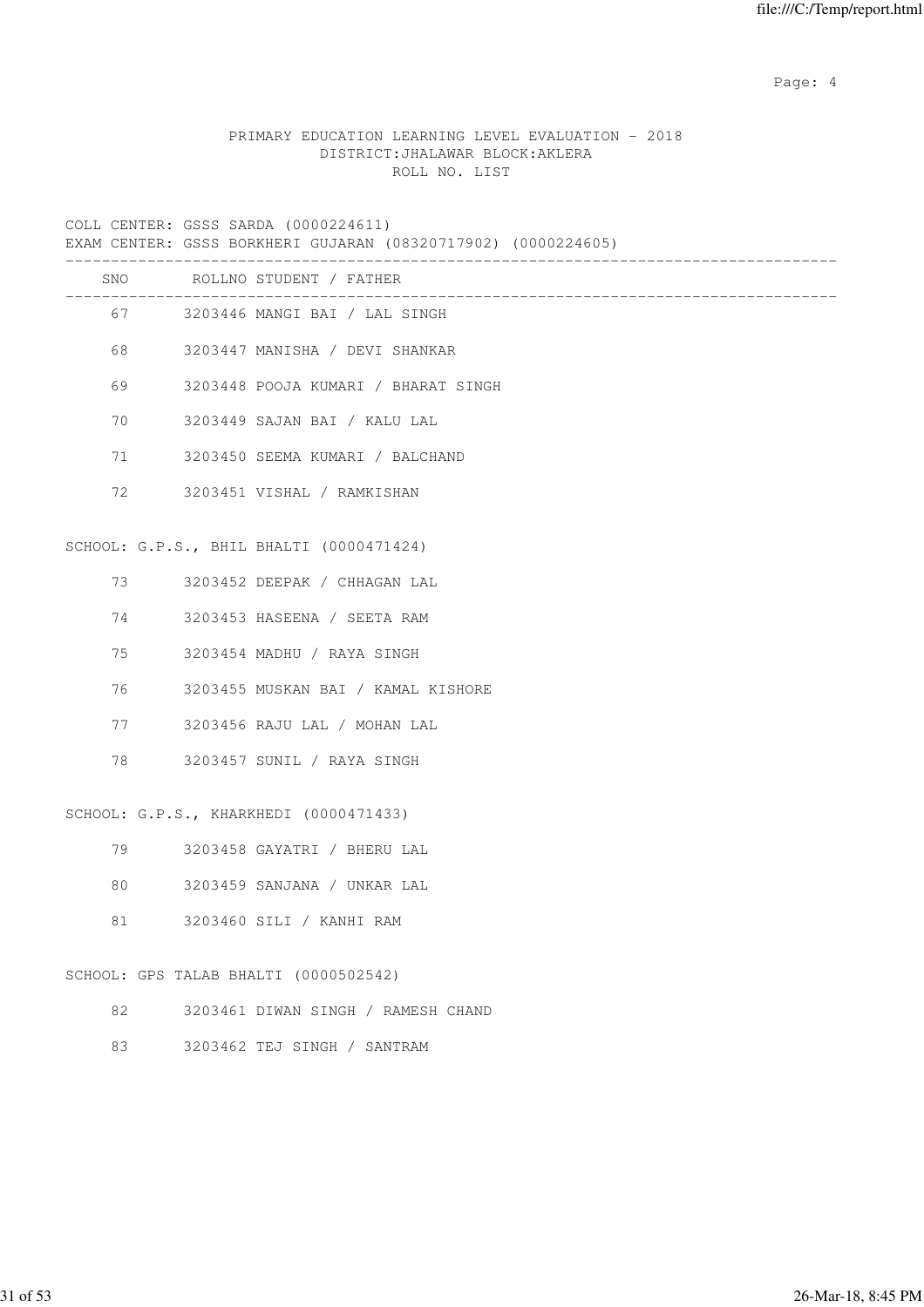Page: 4  $P$ 

# PRIMARY EDUCATION LEARNING LEVEL EVALUATION - 2018 DISTRICT:JHALAWAR BLOCK:AKLERA ROLL NO. LIST

COLL CENTER: GSSS SARDA (0000224611)

|          | COLL CENTER: GSSS SARDA (0000224611)<br>EXAM CENTER: GSSS BORKHERI GUJARAN (08320717902) (0000224605) |
|----------|-------------------------------------------------------------------------------------------------------|
|          | SNO ROLLNO STUDENT / FATHER                                                                           |
|          | 67 3203446 MANGI BAI / LAL SINGH                                                                      |
|          | 68 3203447 MANISHA / DEVI SHANKAR                                                                     |
| 69 — 10  | 3203448 POOJA KUMARI / BHARAT SINGH                                                                   |
| 70       | 3203449 SAJAN BAI / KALU LAL                                                                          |
| 71       | 3203450 SEEMA KUMARI / BALCHAND                                                                       |
| 72       | 3203451 VISHAL / RAMKISHAN                                                                            |
|          | SCHOOL: G.P.S., BHIL BHALTI (0000471424)                                                              |
| 73       | 3203452 DEEPAK / CHHAGAN LAL                                                                          |
| 74 — 200 | 3203453 HASEENA / SEETA RAM                                                                           |
| 75 —     | 3203454 MADHU / RAYA SINGH                                                                            |
| 76 —     | 3203455 MUSKAN BAI / KAMAL KISHORE                                                                    |
| 77       | 3203456 RAJU LAL / MOHAN LAL                                                                          |
| 78       | 3203457 SUNIL / RAYA SINGH                                                                            |
|          | SCHOOL: G.P.S., KHARKHEDI (0000471433)                                                                |
| 79 — 10  | 3203458 GAYATRI / BHERU LAL                                                                           |
| 80       | 3203459 SANJANA / UNKAR LAL                                                                           |
| 81       | 3203460 SILI / KANHI RAM                                                                              |

# SCHOOL: GPS TALAB BHALTI (0000502542)

- 82 3203461 DIWAN SINGH / RAMESH CHAND
- 83 3203462 TEJ SINGH / SANTRAM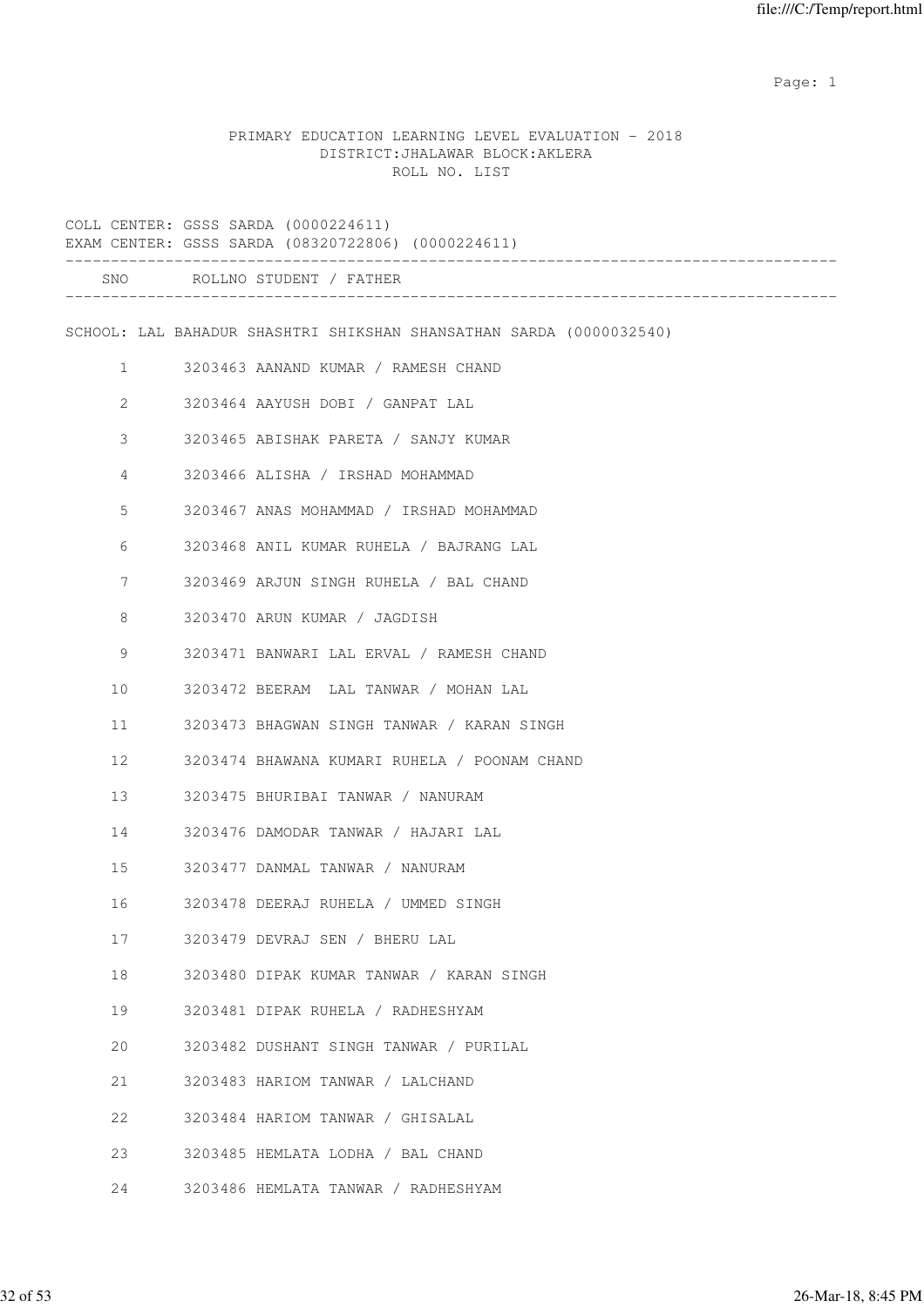example of the state of the state of the state of the state of the state of the state of the state of the state of the state of the state of the state of the state of the state of the state of the state of the state of the

# PRIMARY EDUCATION LEARNING LEVEL EVALUATION - 2018 DISTRICT:JHALAWAR BLOCK:AKLERA ROLL NO. LIST

|    |                       | COLL CENTER: GSSS SARDA (0000224611)<br>EXAM CENTER: GSSS SARDA (08320722806) (0000224611) |
|----|-----------------------|--------------------------------------------------------------------------------------------|
|    |                       | SNO ROLLNO STUDENT / FATHER                                                                |
|    |                       | SCHOOL: LAL BAHADUR SHASHTRI SHIKSHAN SHANSATHAN SARDA (0000032540)                        |
|    | $\mathbf{1}$          | 3203463 AANAND KUMAR / RAMESH CHAND                                                        |
|    | $\mathbf{2}^{\prime}$ | 3203464 AAYUSH DOBI / GANPAT LAL                                                           |
|    | 3                     | 3203465 ABISHAK PARETA / SANJY KUMAR                                                       |
|    | 4                     | 3203466 ALISHA / IRSHAD MOHAMMAD                                                           |
|    | 5                     | 3203467 ANAS MOHAMMAD / IRSHAD MOHAMMAD                                                    |
|    | 6                     | 3203468 ANIL KUMAR RUHELA / BAJRANG LAL                                                    |
|    | 7                     | 3203469 ARJUN SINGH RUHELA / BAL CHAND                                                     |
|    | 8                     | 3203470 ARUN KUMAR / JAGDISH                                                               |
|    | 9                     | 3203471 BANWARI LAL ERVAL / RAMESH CHAND                                                   |
| 10 |                       | 3203472 BEERAM LAL TANWAR / MOHAN LAL                                                      |
| 11 |                       | 3203473 BHAGWAN SINGH TANWAR / KARAN SINGH                                                 |
| 12 |                       | 3203474 BHAWANA KUMARI RUHELA / POONAM CHAND                                               |
| 13 |                       | 3203475 BHURIBAI TANWAR / NANURAM                                                          |
| 14 |                       | 3203476 DAMODAR TANWAR / HAJARI LAL                                                        |
| 15 |                       | 3203477 DANMAL TANWAR / NANURAM                                                            |
| 16 |                       | 3203478 DEERAJ RUHELA / UMMED SINGH                                                        |
| 17 |                       | 3203479 DEVRAJ SEN / BHERU LAL                                                             |
| 18 |                       | 3203480 DIPAK KUMAR TANWAR / KARAN SINGH                                                   |
| 19 |                       | 3203481 DIPAK RUHELA / RADHESHYAM                                                          |
| 20 |                       | 3203482 DUSHANT SINGH TANWAR / PURILAL                                                     |
| 21 |                       | 3203483 HARIOM TANWAR / LALCHAND                                                           |
| 22 |                       | 3203484 HARIOM TANWAR / GHISALAL                                                           |
| 23 |                       | 3203485 HEMLATA LODHA / BAL CHAND                                                          |
| 24 |                       | 3203486 HEMLATA TANWAR / RADHESHYAM                                                        |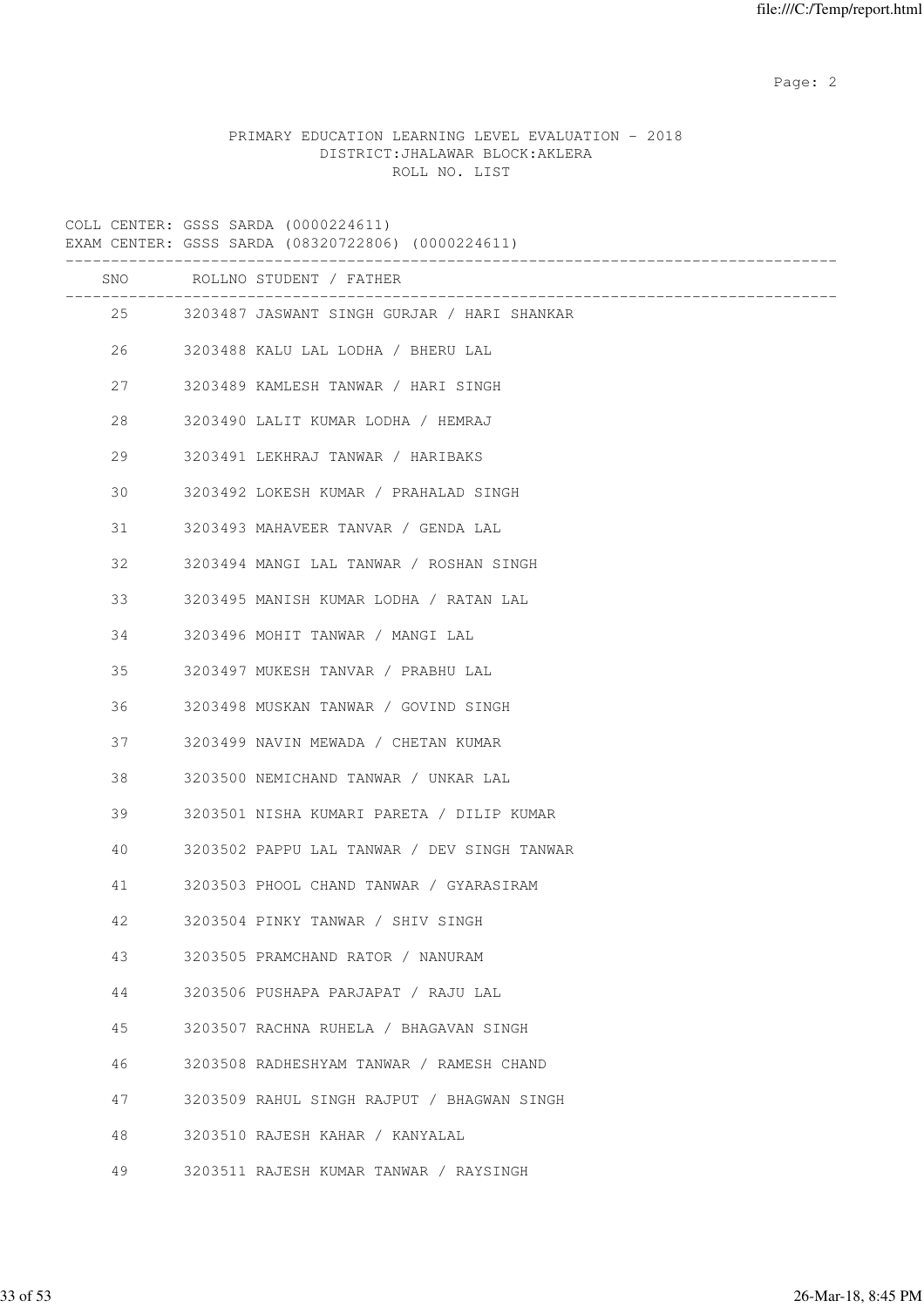Page: 2  $P$  and 2  $P$  and 2  $P$  and 2  $P$  and 2  $P$  and 2  $P$  and 2  $P$  and 2  $P$  and 2  $P$  and 2  $P$  and 2  $P$  and 2  $P$  and 2  $P$  and 2  $P$  and 2  $P$  and 2  $P$  and 2  $P$  and 2  $P$  and 2  $P$  and 2  $P$  and 2  $P$  and 2  $P$ 

# PRIMARY EDUCATION LEARNING LEVEL EVALUATION - 2018 DISTRICT:JHALAWAR BLOCK:AKLERA ROLL NO. LIST

|    | COLL CENTER: GSSS SARDA (0000224611)<br>EXAM CENTER: GSSS SARDA (08320722806) (0000224611) |
|----|--------------------------------------------------------------------------------------------|
|    | SNO ROLLNO STUDENT / FATHER                                                                |
|    | 25 3203487 JASWANT SINGH GURJAR / HARI SHANKAR                                             |
| 26 | 3203488 KALU LAL LODHA / BHERU LAL                                                         |
| 27 | 3203489 KAMLESH TANWAR / HARI SINGH                                                        |
| 28 | 3203490 LALIT KUMAR LODHA / HEMRAJ                                                         |
| 29 | 3203491 LEKHRAJ TANWAR / HARIBAKS                                                          |
| 30 | 3203492 LOKESH KUMAR / PRAHALAD SINGH                                                      |
| 31 | 3203493 MAHAVEER TANVAR / GENDA LAL                                                        |
| 32 | 3203494 MANGI LAL TANWAR / ROSHAN SINGH                                                    |
| 33 | 3203495 MANISH KUMAR LODHA / RATAN LAL                                                     |
| 34 | 3203496 MOHIT TANWAR / MANGI LAL                                                           |
| 35 | 3203497 MUKESH TANVAR / PRABHU LAL                                                         |
| 36 | 3203498 MUSKAN TANWAR / GOVIND SINGH                                                       |
| 37 | 3203499 NAVIN MEWADA / CHETAN KUMAR                                                        |
| 38 | 3203500 NEMICHAND TANWAR / UNKAR LAL                                                       |
| 39 | 3203501 NISHA KUMARI PARETA / DILIP KUMAR                                                  |
| 40 | 3203502 PAPPU LAL TANWAR / DEV SINGH TANWAR                                                |
| 41 | 3203503 PHOOL CHAND TANWAR / GYARASIRAM                                                    |
| 42 | 3203504 PINKY TANWAR / SHIV SINGH                                                          |
| 43 | 3203505 PRAMCHAND RATOR / NANURAM                                                          |
| 44 | 3203506 PUSHAPA PARJAPAT / RAJU LAL                                                        |
| 45 | 3203507 RACHNA RUHELA / BHAGAVAN SINGH                                                     |
| 46 | 3203508 RADHESHYAM TANWAR / RAMESH CHAND                                                   |
| 47 | 3203509 RAHUL SINGH RAJPUT / BHAGWAN SINGH                                                 |
| 48 | 3203510 RAJESH KAHAR / KANYALAL                                                            |
| 49 | 3203511 RAJESH KUMAR TANWAR / RAYSINGH                                                     |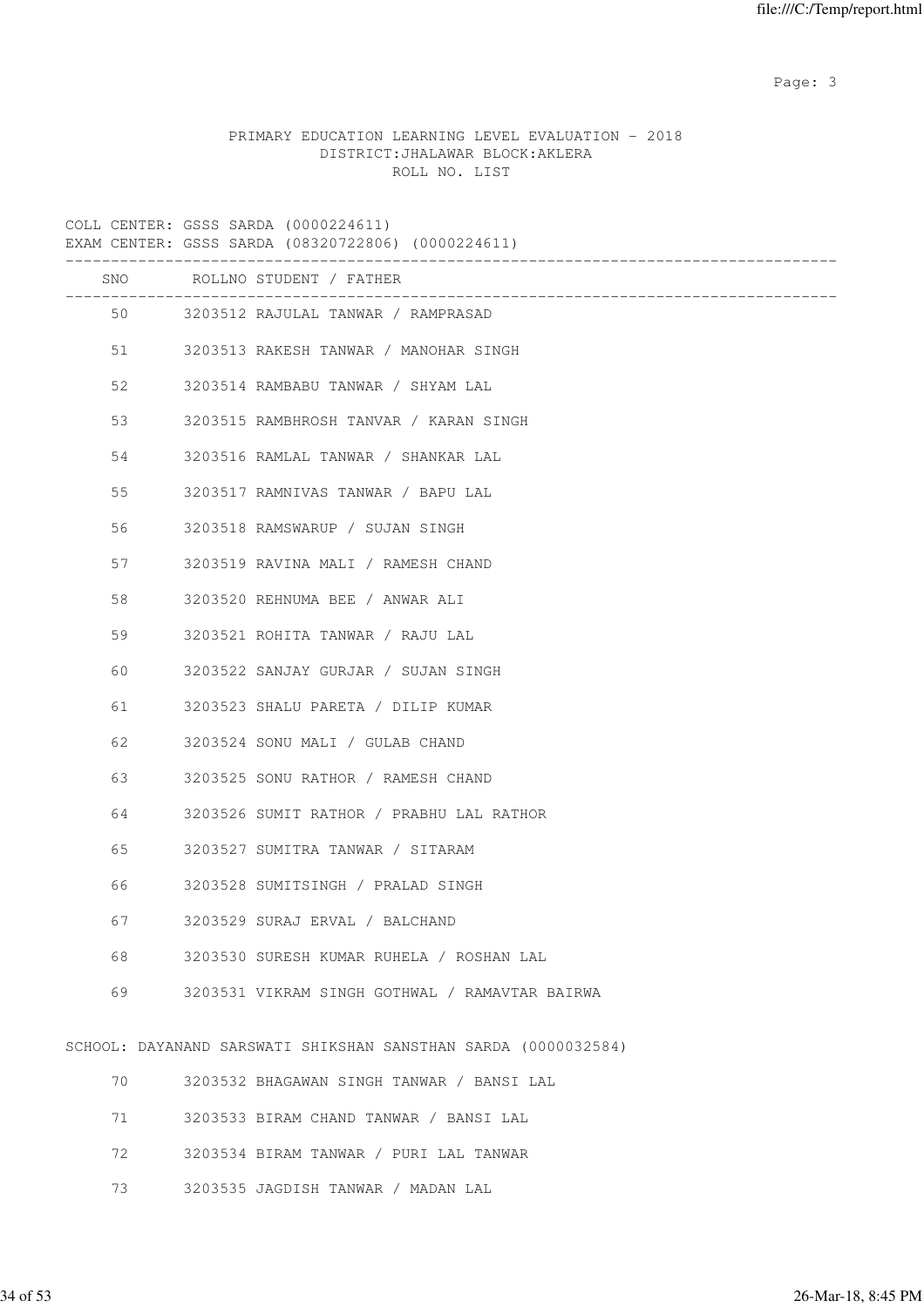Page: 3

# PRIMARY EDUCATION LEARNING LEVEL EVALUATION - 2018 DISTRICT:JHALAWAR BLOCK:AKLERA ROLL NO. LIST

|    | COLL CENTER: GSSS SARDA (0000224611)<br>EXAM CENTER: GSSS SARDA (08320722806) (0000224611) |
|----|--------------------------------------------------------------------------------------------|
|    | SNO ROLLNO STUDENT / FATHER                                                                |
|    | 50 3203512 RAJULAL TANWAR / RAMPRASAD                                                      |
| 51 | 3203513 RAKESH TANWAR / MANOHAR SINGH                                                      |
| 52 | 3203514 RAMBABU TANWAR / SHYAM LAL                                                         |
| 53 | 3203515 RAMBHROSH TANVAR / KARAN SINGH                                                     |
| 54 | 3203516 RAMLAL TANWAR / SHANKAR LAL                                                        |
| 55 | 3203517 RAMNIVAS TANWAR / BAPU LAL                                                         |
| 56 | 3203518 RAMSWARUP / SUJAN SINGH                                                            |
| 57 | 3203519 RAVINA MALI / RAMESH CHAND                                                         |
| 58 | 3203520 REHNUMA BEE / ANWAR ALI                                                            |
| 59 | 3203521 ROHITA TANWAR / RAJU LAL                                                           |
| 60 | 3203522 SANJAY GURJAR / SUJAN SINGH                                                        |
| 61 | 3203523 SHALU PARETA / DILIP KUMAR                                                         |
| 62 | 3203524 SONU MALI / GULAB CHAND                                                            |
| 63 | 3203525 SONU RATHOR / RAMESH CHAND                                                         |
| 64 | 3203526 SUMIT RATHOR / PRABHU LAL RATHOR                                                   |
| 65 | 3203527 SUMITRA TANWAR / SITARAM                                                           |
| 66 | 3203528 SUMITSINGH / PRALAD SINGH                                                          |
| 67 | 3203529 SURAJ ERVAL / BALCHAND                                                             |
| 68 | 3203530 SURESH KUMAR RUHELA / ROSHAN LAL                                                   |
| 69 | 3203531 VIKRAM SINGH GOTHWAL / RAMAVTAR BAIRWA                                             |
|    | SCHOOL: DAYANAND SARSWATI SHIKSHAN SANSTHAN SARDA (0000032584)                             |
| 70 | 3203532 BHAGAWAN SINGH TANWAR / BANSI LAL                                                  |
| 71 | 3203533 BIRAM CHAND TANWAR / BANSI LAL                                                     |
| 72 | 3203534 BIRAM TANWAR / PURI LAL TANWAR                                                     |

73 3203535 JAGDISH TANWAR / MADAN LAL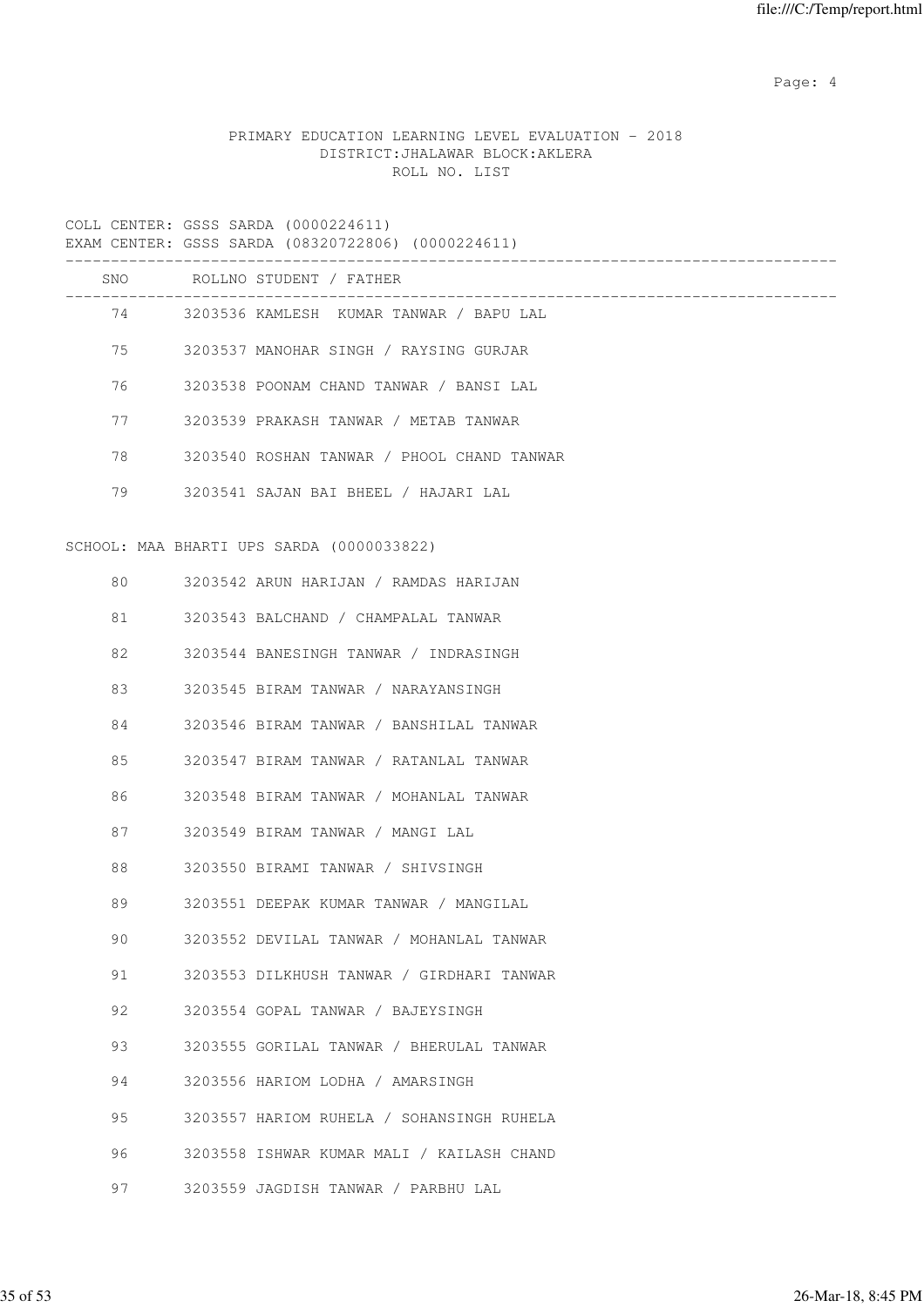Page: 4  $P$ 

# PRIMARY EDUCATION LEARNING LEVEL EVALUATION - 2018 DISTRICT:JHALAWAR BLOCK:AKLERA ROLL NO. LIST

|     | EXAM CENTER: GSSS SARDA (08320722806) (0000224611) |
|-----|----------------------------------------------------|
| SNO | ROLLNO STUDENT / FATHER                            |
|     | 74 3203536 KAMLESH KUMAR TANWAR / BAPU LAL         |
|     | 75 3203537 MANOHAR SINGH / RAYSING GURJAR          |
| 76  | 3203538 POONAM CHAND TANWAR / BANSI LAL            |
| 77  | 3203539 PRAKASH TANWAR / METAB TANWAR              |
| 78  | 3203540 ROSHAN TANWAR / PHOOL CHAND TANWAR         |
| 79  | 3203541 SAJAN BAI BHEEL / HAJARI LAL               |
|     | SCHOOL: MAA BHARTI UPS SARDA (0000033822)          |
| 80  | 3203542 ARUN HARIJAN / RAMDAS HARIJAN              |
| 81  | 3203543 BALCHAND / CHAMPALAL TANWAR                |
| 82  | 3203544 BANESINGH TANWAR / INDRASINGH              |
| 83  | 3203545 BIRAM TANWAR / NARAYANSINGH                |
| 84  | 3203546 BIRAM TANWAR / BANSHILAL TANWAR            |
| 85  | 3203547 BIRAM TANWAR / RATANLAL TANWAR             |
| 86  | 3203548 BIRAM TANWAR / MOHANLAL TANWAR             |
| 87  | 3203549 BIRAM TANWAR / MANGI LAL                   |
| 88  | 3203550 BIRAMI TANWAR / SHIVSINGH                  |
| 89  | 3203551 DEEPAK KUMAR TANWAR / MANGILAL             |
| 90  | 3203552 DEVILAL TANWAR / MOHANLAL TANWAR           |
| 91  | 3203553 DILKHUSH TANWAR / GIRDHARI TANWAR          |
| 92  | 3203554 GOPAL TANWAR / BAJEYSINGH                  |
| 93  | 3203555 GORILAL TANWAR / BHERULAL TANWAR           |
| 94  | 3203556 HARIOM LODHA / AMARSINGH                   |
| 95  | 3203557 HARIOM RUHELA / SOHANSINGH RUHELA          |
| 96  | 3203558 ISHWAR KUMAR MALI / KAILASH CHAND          |
| 97  | 3203559 JAGDISH TANWAR / PARBHU LAL                |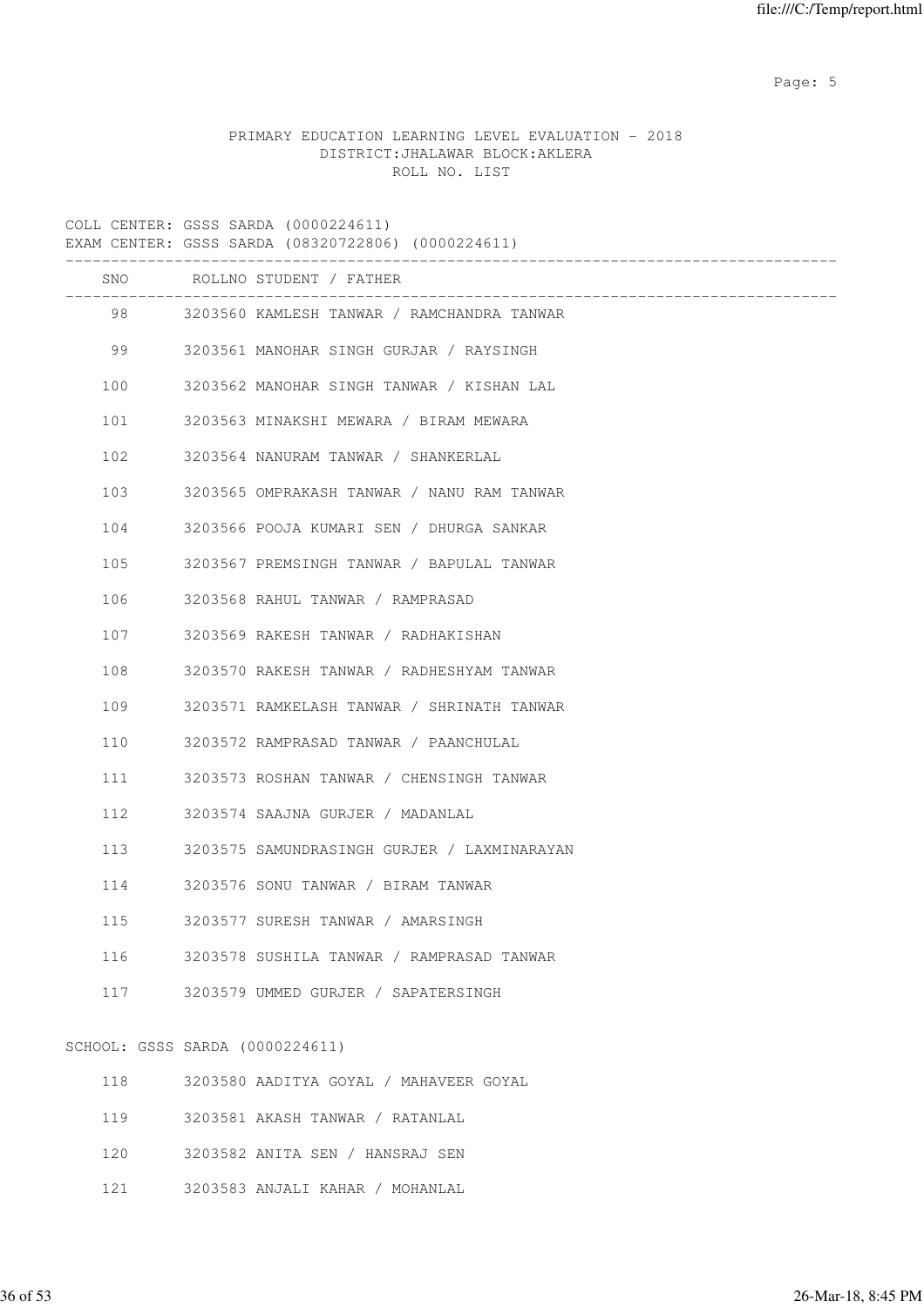Page: 5  $P$  and  $P$  and  $P$  and  $P$  and  $P$  and  $P$  and  $P$  and  $P$  and  $P$  and  $P$  and  $P$  and  $P$  and  $P$  and  $P$  and  $P$  and  $P$  and  $P$  and  $P$  and  $P$  and  $P$  and  $P$  and  $P$  and  $P$  and  $P$  and  $P$  and  $P$  and  $P$  an

# PRIMARY EDUCATION LEARNING LEVEL EVALUATION - 2018 DISTRICT:JHALAWAR BLOCK:AKLERA ROLL NO. LIST

|     | COLL CENTER: GSSS SARDA (0000224611)<br>EXAM CENTER: GSSS SARDA (08320722806) (0000224611) |
|-----|--------------------------------------------------------------------------------------------|
|     | SNO ROLLNO STUDENT / FATHER                                                                |
|     | 98 3203560 KAMLESH TANWAR / RAMCHANDRA TANWAR                                              |
| 99  | 3203561 MANOHAR SINGH GURJAR / RAYSINGH                                                    |
| 100 | 3203562 MANOHAR SINGH TANWAR / KISHAN LAL                                                  |
| 101 | 3203563 MINAKSHI MEWARA / BIRAM MEWARA                                                     |
| 102 | 3203564 NANURAM TANWAR / SHANKERLAL                                                        |
| 103 | 3203565 OMPRAKASH TANWAR / NANU RAM TANWAR                                                 |
| 104 | 3203566 POOJA KUMARI SEN / DHURGA SANKAR                                                   |
| 105 | 3203567 PREMSINGH TANWAR / BAPULAL TANWAR                                                  |
| 106 | 3203568 RAHUL TANWAR / RAMPRASAD                                                           |
| 107 | 3203569 RAKESH TANWAR / RADHAKISHAN                                                        |
| 108 | 3203570 RAKESH TANWAR / RADHESHYAM TANWAR                                                  |
| 109 | 3203571 RAMKELASH TANWAR / SHRINATH TANWAR                                                 |
| 110 | 3203572 RAMPRASAD TANWAR / PAANCHULAL                                                      |
| 111 | 3203573 ROSHAN TANWAR / CHENSINGH TANWAR                                                   |
| 112 | 3203574 SAAJNA GURJER / MADANLAL                                                           |
| 113 | 3203575 SAMUNDRASINGH GURJER / LAXMINARAYAN                                                |
| 114 | 3203576 SONU TANWAR / BIRAM TANWAR                                                         |
| 115 | 3203577 SURESH TANWAR / AMARSINGH                                                          |
| 116 | 3203578 SUSHILA TANWAR / RAMPRASAD TANWAR                                                  |
| 117 | 3203579 UMMED GURJER / SAPATERSINGH                                                        |
|     | SCHOOL: GSSS SARDA (0000224611)                                                            |
| 118 | 3203580 AADITYA GOYAL / MAHAVEER GOYAL                                                     |
| 119 | 3203581 AKASH TANWAR / RATANLAL                                                            |

- 120 3203582 ANITA SEN / HANSRAJ SEN
- 121 3203583 ANJALI KAHAR / MOHANLAL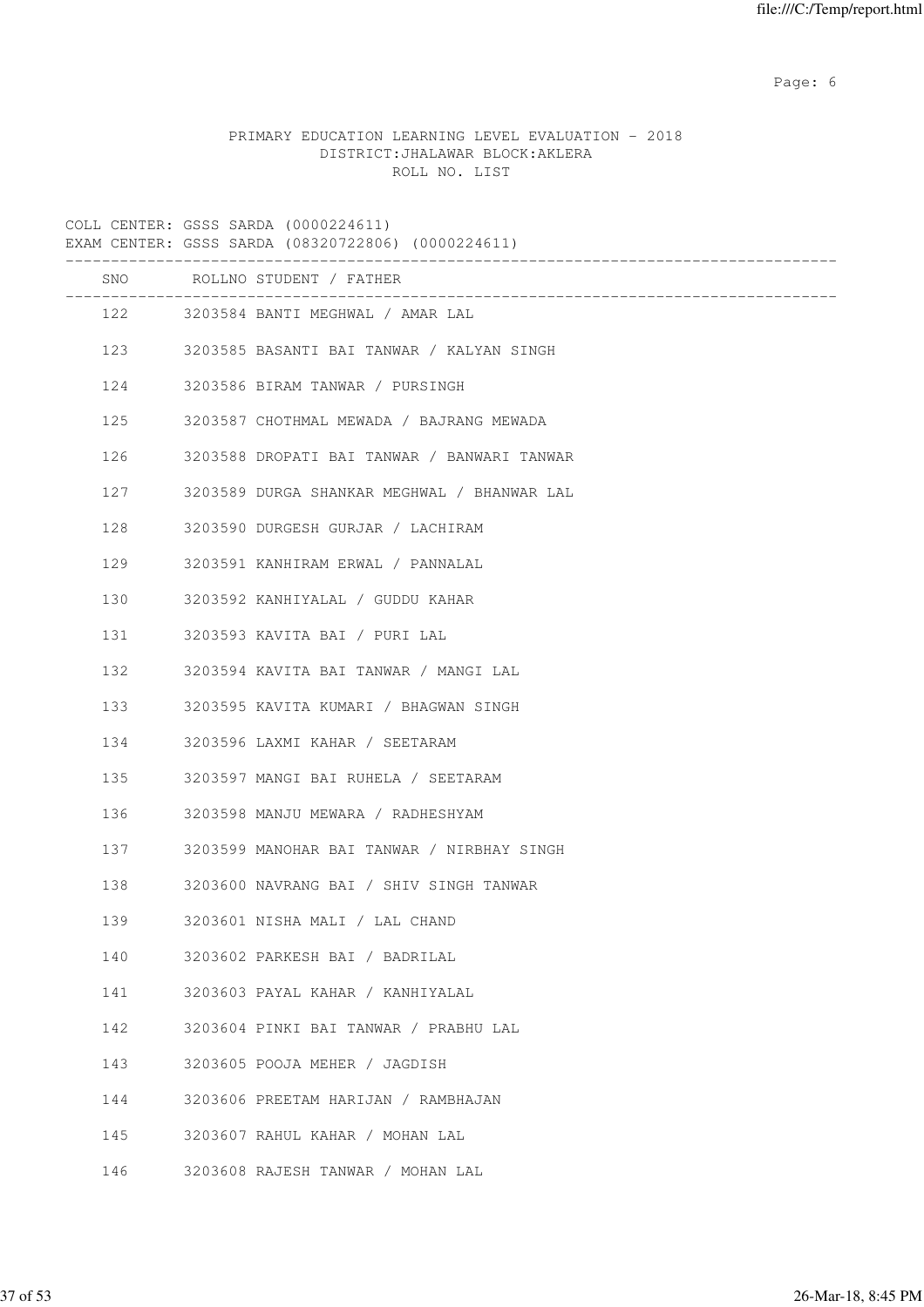Page: 6  $P$  and  $P$  and  $P$  and  $P$  and  $P$  and  $P$  and  $P$  and  $P$  and  $P$  and  $P$  and  $P$  and  $P$  and  $P$  and  $P$  and  $P$  and  $P$  and  $P$  and  $P$  and  $P$  and  $P$  and  $P$  and  $P$  and  $P$  and  $P$  and  $P$  and  $P$  and  $P$  an

# PRIMARY EDUCATION LEARNING LEVEL EVALUATION - 2018 DISTRICT:JHALAWAR BLOCK:AKLERA ROLL NO. LIST

COLL CENTER: GSSS SARDA (0000224611) EXAM CENTER: GSSS SARDA (08320722806) (0000224611) ------------------------------------------------------------------------------------- SNO ROLLNO STUDENT / FATHER ------------------------------------------------------------------------------------- 122 3203584 BANTI MEGHWAL / AMAR LAL 123 3203585 BASANTI BAI TANWAR / KALYAN SINGH 124 3203586 BIRAM TANWAR / PURSINGH 125 3203587 CHOTHMAL MEWADA / BAJRANG MEWADA 126 3203588 DROPATI BAI TANWAR / BANWARI TANWAR 127 3203589 DURGA SHANKAR MEGHWAL / BHANWAR LAL 128 3203590 DURGESH GURJAR / LACHIRAM 129 3203591 KANHIRAM ERWAL / PANNALAL 130 3203592 KANHIYALAL / GUDDU KAHAR 131 3203593 KAVITA BAI / PURI LAL 132 3203594 KAVITA BAI TANWAR / MANGI LAL 133 3203595 KAVITA KUMARI / BHAGWAN SINGH 134 3203596 LAXMI KAHAR / SEETARAM 135 3203597 MANGI BAI RUHELA / SEETARAM 136 3203598 MANJU MEWARA / RADHESHYAM 137 3203599 MANOHAR BAI TANWAR / NIRBHAY SINGH 138 3203600 NAVRANG BAI / SHIV SINGH TANWAR 139 3203601 NISHA MALI / LAL CHAND 140 3203602 PARKESH BAI / BADRILAL 141 3203603 PAYAL KAHAR / KANHIYALAL 142 3203604 PINKI BAI TANWAR / PRABHU LAL 143 3203605 POOJA MEHER / JAGDISH 144 3203606 PREETAM HARIJAN / RAMBHAJAN 145 3203607 RAHUL KAHAR / MOHAN LAL 146 3203608 RAJESH TANWAR / MOHAN LAL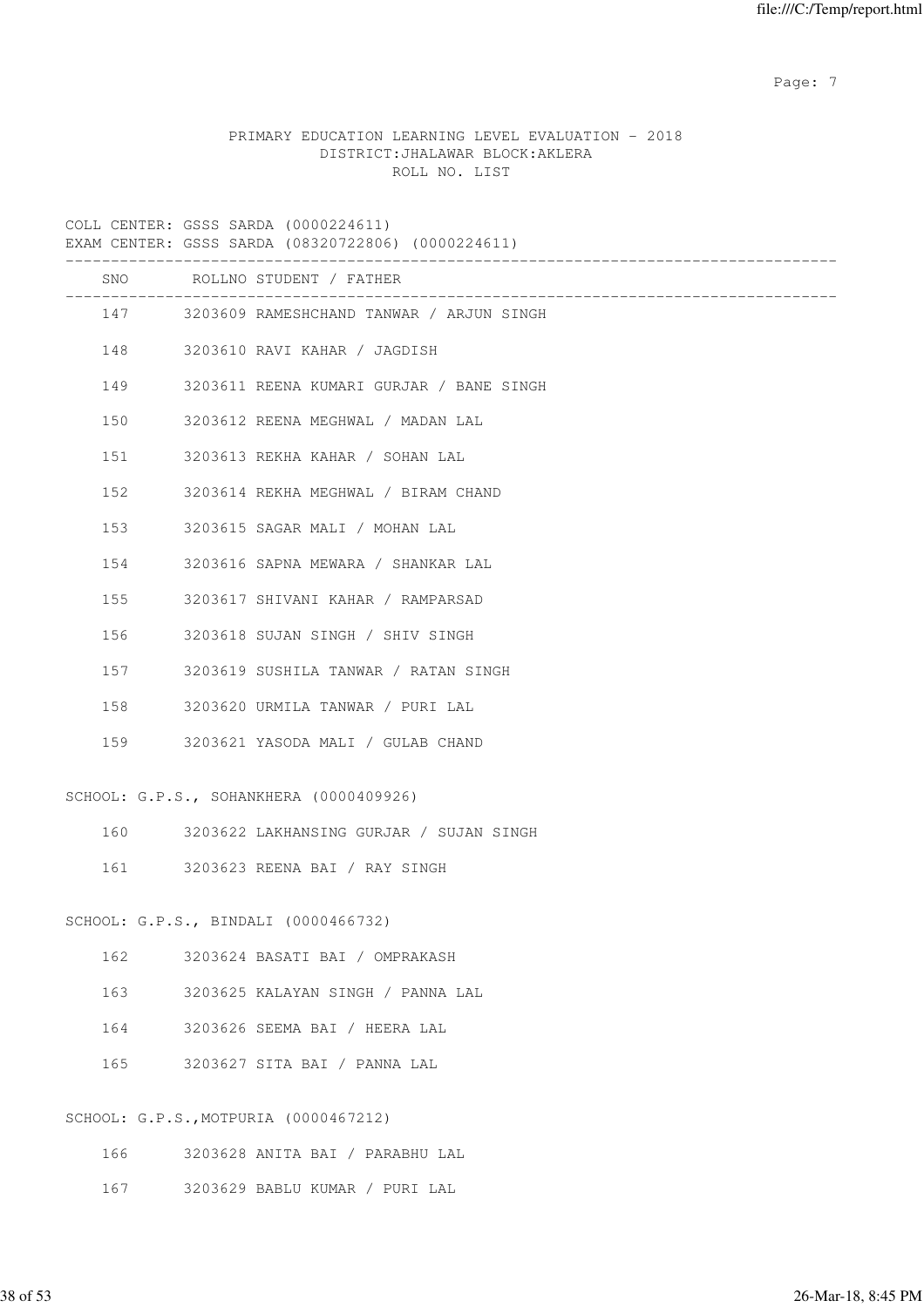Page: 7  $P$  and  $P$  and  $P$  and  $P$  and  $P$  and  $P$  and  $P$  and  $P$  and  $P$  and  $P$  and  $P$  and  $P$  and  $P$  and  $P$  and  $P$  and  $P$  and  $P$  and  $P$  and  $P$  and  $P$  and  $P$  and  $P$  and  $P$  and  $P$  and  $P$  and  $P$  and  $P$  an

# PRIMARY EDUCATION LEARNING LEVEL EVALUATION - 2018 DISTRICT:JHALAWAR BLOCK:AKLERA ROLL NO. LIST

COLL CENTER: GSSS SARDA (0000224611)

|     | EXAM CENTER: GSSS SARDA (08320722806) (0000224611)            |
|-----|---------------------------------------------------------------|
|     | SNO ROLLNO STUDENT / FATHER<br>------------------------------ |
|     | 147 3203609 RAMESHCHAND TANWAR / ARJUN SINGH                  |
|     | 148<br>3203610 RAVI KAHAR / JAGDISH                           |
|     | 149<br>3203611 REENA KUMARI GURJAR / BANE SINGH               |
| 150 | 3203612 REENA MEGHWAL / MADAN LAL                             |
|     | 151<br>3203613 REKHA KAHAR / SOHAN LAL                        |
| 152 | 3203614 REKHA MEGHWAL / BIRAM CHAND                           |
|     | 153<br>3203615 SAGAR MALI / MOHAN LAL                         |
|     | 154<br>3203616 SAPNA MEWARA / SHANKAR LAL                     |
| 155 | 3203617 SHIVANI KAHAR / RAMPARSAD                             |
| 156 | 3203618 SUJAN SINGH / SHIV SINGH                              |
| 157 | 3203619 SUSHILA TANWAR / RATAN SINGH                          |
| 158 | 3203620 URMILA TANWAR / PURI LAL                              |
|     | 159<br>3203621 YASODA MALI / GULAB CHAND                      |
|     | SCHOOL: G.P.S., SOHANKHERA (0000409926)                       |
|     | 160<br>3203622 LAKHANSING GURJAR / SUJAN SINGH                |
|     | 161 \<br>3203623 REENA BAI / RAY SINGH                        |
|     | SCHOOL: G.P.S., BINDALI (0000466732)                          |
| 162 | 3203624 BASATI BAI / OMPRAKASH                                |
| 163 | 3203625 KALAYAN SINGH / PANNA LAL                             |
| 164 | 3203626 SEEMA BAI / HEERA LAL                                 |
| 165 | 3203627 SITA BAI / PANNA LAL                                  |
|     | SCHOOL: G.P.S., MOTPURIA (0000467212)                         |
| 166 | 3203628 ANITA BAI / PARABHU LAL                               |

167 3203629 BABLU KUMAR / PURI LAL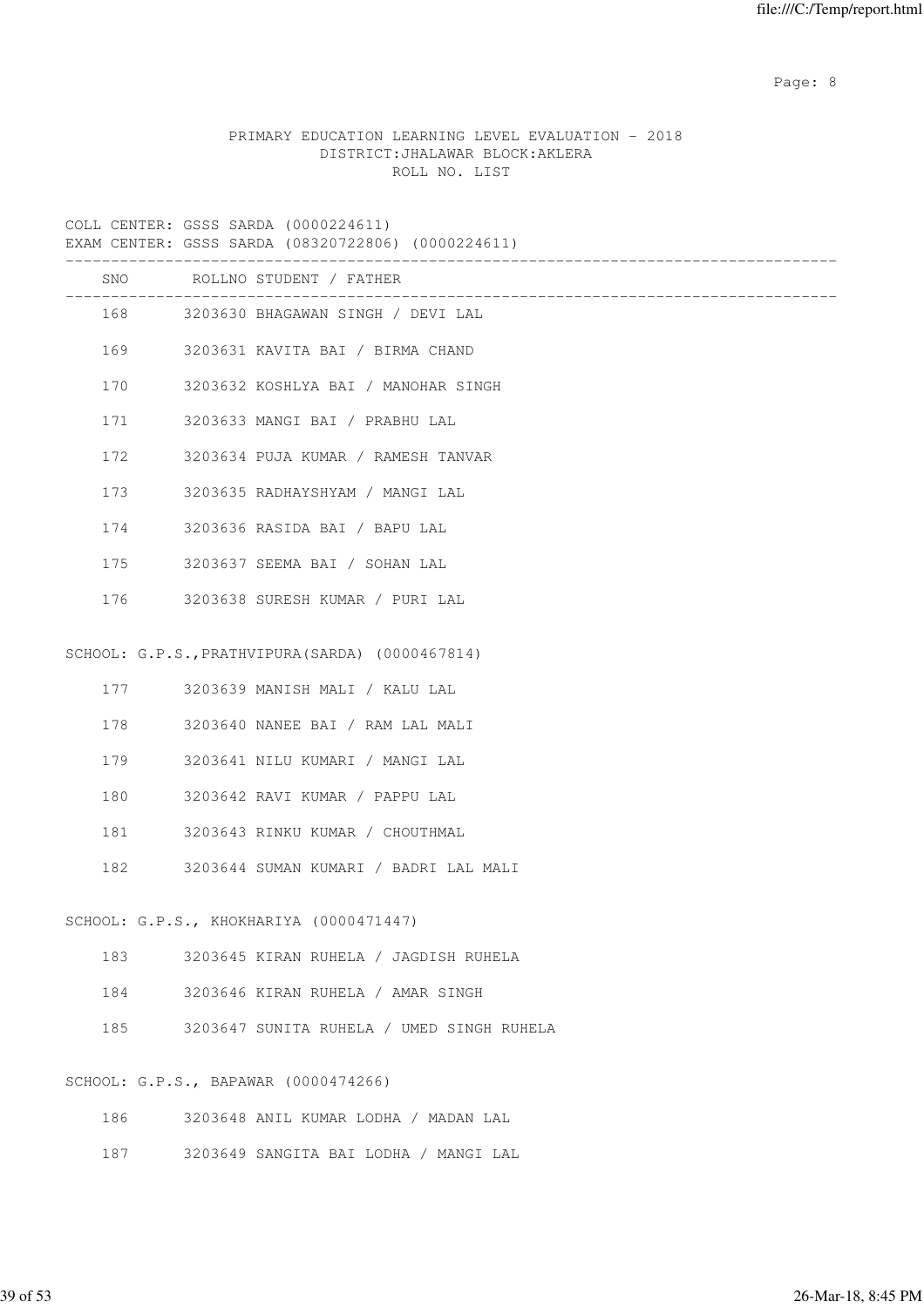Page: 8 and 20 and 20 and 20 and 20 and 20 and 20 and 20 and 20 and 20 and 20 and 20 and 20 and 20 and 20 and

|  |                                  |  | PRIMARY EDUCATION LEARNING LEVEL EVALUATION - 2018 |  |
|--|----------------------------------|--|----------------------------------------------------|--|
|  | DISTRICT: JHALAWAR BLOCK: AKLERA |  |                                                    |  |
|  | ROLL NO. LIST                    |  |                                                    |  |

|     | EXAM CENTER: GSSS SARDA (08320722806) (0000224611) |
|-----|----------------------------------------------------|
|     | SNO ROLLNO STUDENT / FATHER<br>__________________  |
|     | 168 3203630 BHAGAWAN SINGH / DEVI LAL              |
|     | 169<br>3203631 KAVITA BAI / BIRMA CHAND            |
| 170 | 3203632 KOSHLYA BAI / MANOHAR SINGH                |
| 171 | 3203633 MANGI BAI / PRABHU LAL                     |
| 172 | 3203634 PUJA KUMAR / RAMESH TANVAR                 |
| 173 | 3203635 RADHAYSHYAM / MANGI LAL                    |
| 174 | 3203636 RASIDA BAI / BAPU LAL                      |
| 175 | 3203637 SEEMA BAI / SOHAN LAL                      |
| 176 | 3203638 SURESH KUMAR / PURI LAL                    |
|     |                                                    |
|     | SCHOOL: G.P.S., PRATHVIPURA (SARDA) (0000467814)   |
|     | 177<br>3203639 MANISH MALI / KALU LAL              |
| 178 | 3203640 NANEE BAI / RAM LAL MALI                   |
| 179 | 3203641 NILU KUMARI / MANGI LAL                    |
| 180 | 3203642 RAVI KUMAR / PAPPU LAL                     |
| 181 | 3203643 RINKU KUMAR / CHOUTHMAL                    |
| 182 | 3203644 SUMAN KUMARI / BADRI LAL MALI              |
|     | SCHOOL: G.P.S., KHOKHARIYA (0000471447)            |
|     |                                                    |
|     | 183<br>3203645 KIRAN RUHELA / JAGDISH RUHELA       |
|     | 184<br>3203646 KIRAN RUHELA / AMAR SINGH           |
| 185 | 3203647 SUNITA RUHELA / UMED SINGH RUHELA          |
|     | SCHOOL: G.P.S., BAPAWAR (0000474266)               |
| 186 | 3203648 ANIL KUMAR LODHA / MADAN LAL               |
| 187 | 3203649 SANGITA BAI LODHA / MANGI LAL              |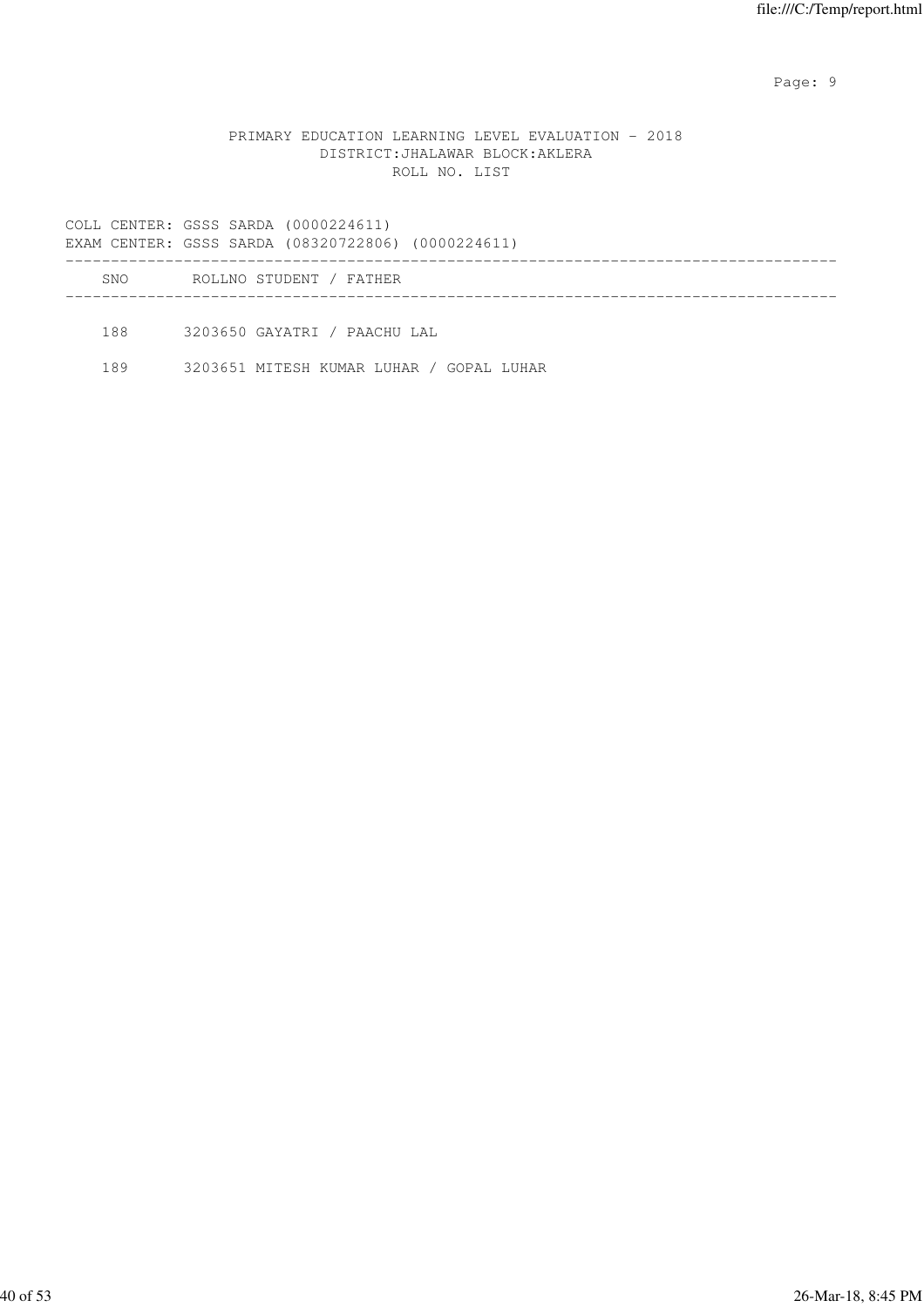en de la provincia de la provincia de la provincia de la provincia de la provincia de la provincia de la provi

#### PRIMARY EDUCATION LEARNING LEVEL EVALUATION - 2018 DISTRICT:JHALAWAR BLOCK:AKLERA ROLL NO. LIST

COLL CENTER: GSSS SARDA (0000224611) EXAM CENTER: GSSS SARDA (08320722806) (0000224611) ------------------------------------------------------------------------------------- SNO ROLLNO STUDENT / FATHER -------------------------------------------------------------------------------------

188 3203650 GAYATRI / PAACHU LAL

189 3203651 MITESH KUMAR LUHAR / GOPAL LUHAR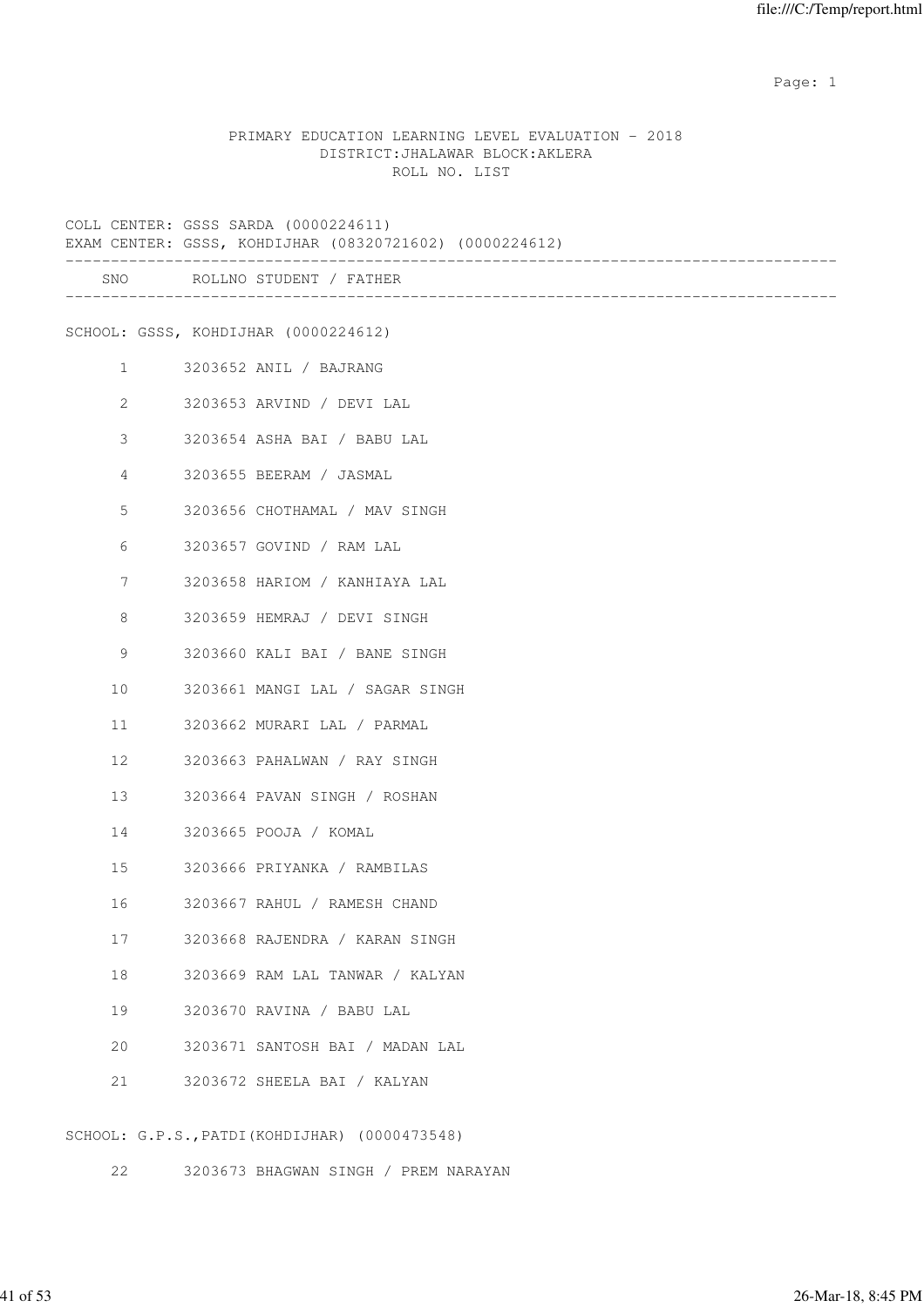example of the state of the state of the state of the state of the state of the state of the state of the state of the state of the state of the state of the state of the state of the state of the state of the state of the

#### PRIMARY EDUCATION LEARNING LEVEL EVALUATION - 2018 DISTRICT:JHALAWAR BLOCK:AKLERA ROLL NO. LIST

|                                | COLL CENTER: GSSS SARDA (0000224611)<br>EXAM CENTER: GSSS, KOHDIJHAR (08320721602) (0000224612) |
|--------------------------------|-------------------------------------------------------------------------------------------------|
|                                | SNO ROLLNO STUDENT / FATHER                                                                     |
|                                | SCHOOL: GSSS, KOHDIJHAR (0000224612)                                                            |
| $1 \qquad \qquad$              | 3203652 ANIL / BAJRANG                                                                          |
| $2 \left( \frac{1}{2} \right)$ | 3203653 ARVIND / DEVI LAL                                                                       |
| 3                              | 3203654 ASHA BAI / BABU LAL                                                                     |
| 4                              | 3203655 BEERAM / JASMAL                                                                         |
| 5                              | 3203656 CHOTHAMAL / MAV SINGH                                                                   |
| 6                              | 3203657 GOVIND / RAM LAL                                                                        |
| $7\phantom{.0}$                | 3203658 HARIOM / KANHIAYA LAL                                                                   |
| 8                              | 3203659 HEMRAJ / DEVI SINGH                                                                     |
| 9                              | 3203660 KALI BAI / BANE SINGH                                                                   |
| 10                             | 3203661 MANGI LAL / SAGAR SINGH                                                                 |
| 11                             | 3203662 MURARI LAL / PARMAL                                                                     |
| 12 <sup>°</sup>                | 3203663 PAHALWAN / RAY SINGH                                                                    |
| 13                             | 3203664 PAVAN SINGH / ROSHAN                                                                    |
|                                | 3203665 POOJA / KOMAL                                                                           |
| 15                             | 3203666 PRIYANKA / RAMBILAS                                                                     |
|                                | 3203667 RAHUL / RAMESH CHAND                                                                    |
| 17                             | 3203668 RAJENDRA / KARAN SINGH                                                                  |
| 18                             | 3203669 RAM LAL TANWAR / KALYAN                                                                 |
| 19                             | 3203670 RAVINA / BABU LAL                                                                       |
| 20                             | 3203671 SANTOSH BAI / MADAN LAL                                                                 |
| 21                             | 3203672 SHEELA BAI / KALYAN                                                                     |
|                                | (1)                                                                                             |

SCHOOL: G.P.S.,PATDI(KOHDIJHAR) (0000473548)

22 3203673 BHAGWAN SINGH / PREM NARAYAN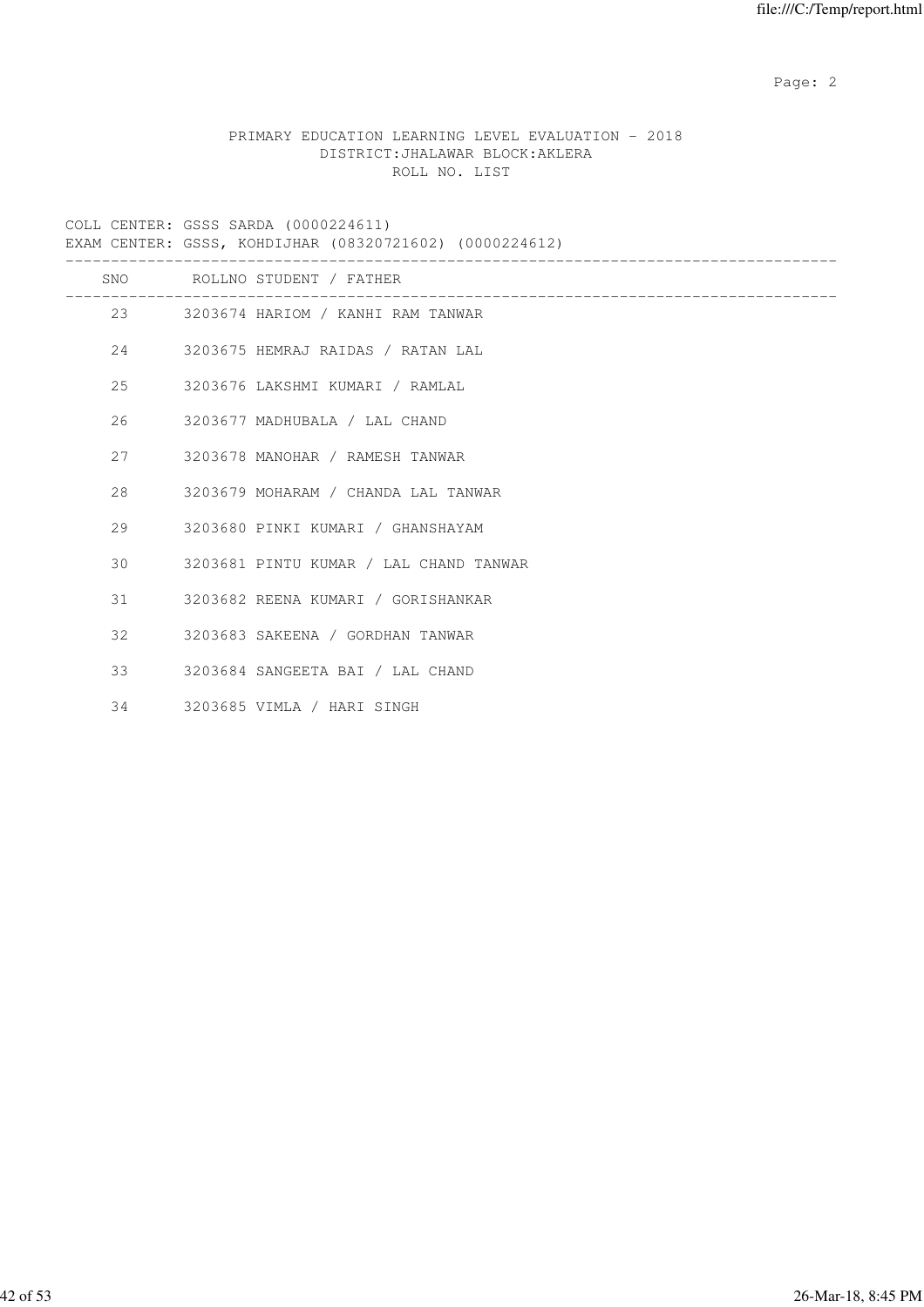Page: 2  $P$  and 2  $P$  and 2  $P$  and 2  $P$  and 2  $P$  and 2  $P$  and 2  $P$  and 2  $P$  and 2  $P$  and 2  $P$  and 2  $P$  and 2  $P$  and 2  $P$  and 2  $P$  and 2  $P$  and 2  $P$  and 2  $P$  and 2  $P$  and 2  $P$  and 2  $P$  and 2  $P$  and 2  $P$ 

# PRIMARY EDUCATION LEARNING LEVEL EVALUATION - 2018 DISTRICT:JHALAWAR BLOCK:AKLERA ROLL NO. LIST

| EXAM CENTER: GSSS, KOHDIJHAR (08320721602) (0000224612) |  |  |  |  |  |  |
|---------------------------------------------------------|--|--|--|--|--|--|
|---------------------------------------------------------|--|--|--|--|--|--|

|     | SNO ROLLNO STUDENT / FATHER            |
|-----|----------------------------------------|
|     | 23 3203674 HARIOM / KANHI RAM TANWAR   |
| 2.4 | 3203675 HEMRAJ RAIDAS / RATAN LAL      |
| 25  | 3203676 LAKSHMI KUMARI / RAMLAL        |
| 26  | 3203677 MADHUBALA / LAL CHAND          |
| 2.7 | 3203678 MANOHAR / RAMESH TANWAR        |
| 2.8 | 3203679 MOHARAM / CHANDA LAL TANWAR    |
| 29  | 3203680 PINKI KUMARI / GHANSHAYAM      |
| 30  | 3203681 PINTU KUMAR / LAL CHAND TANWAR |
| 31  | 3203682 REENA KUMARI / GORISHANKAR     |
| 32  | 3203683 SAKEENA / GORDHAN TANWAR       |
| 33  | 3203684 SANGEETA BAI / LAL CHAND       |
| 34  | 3203685 VIMLA / HARI SINGH             |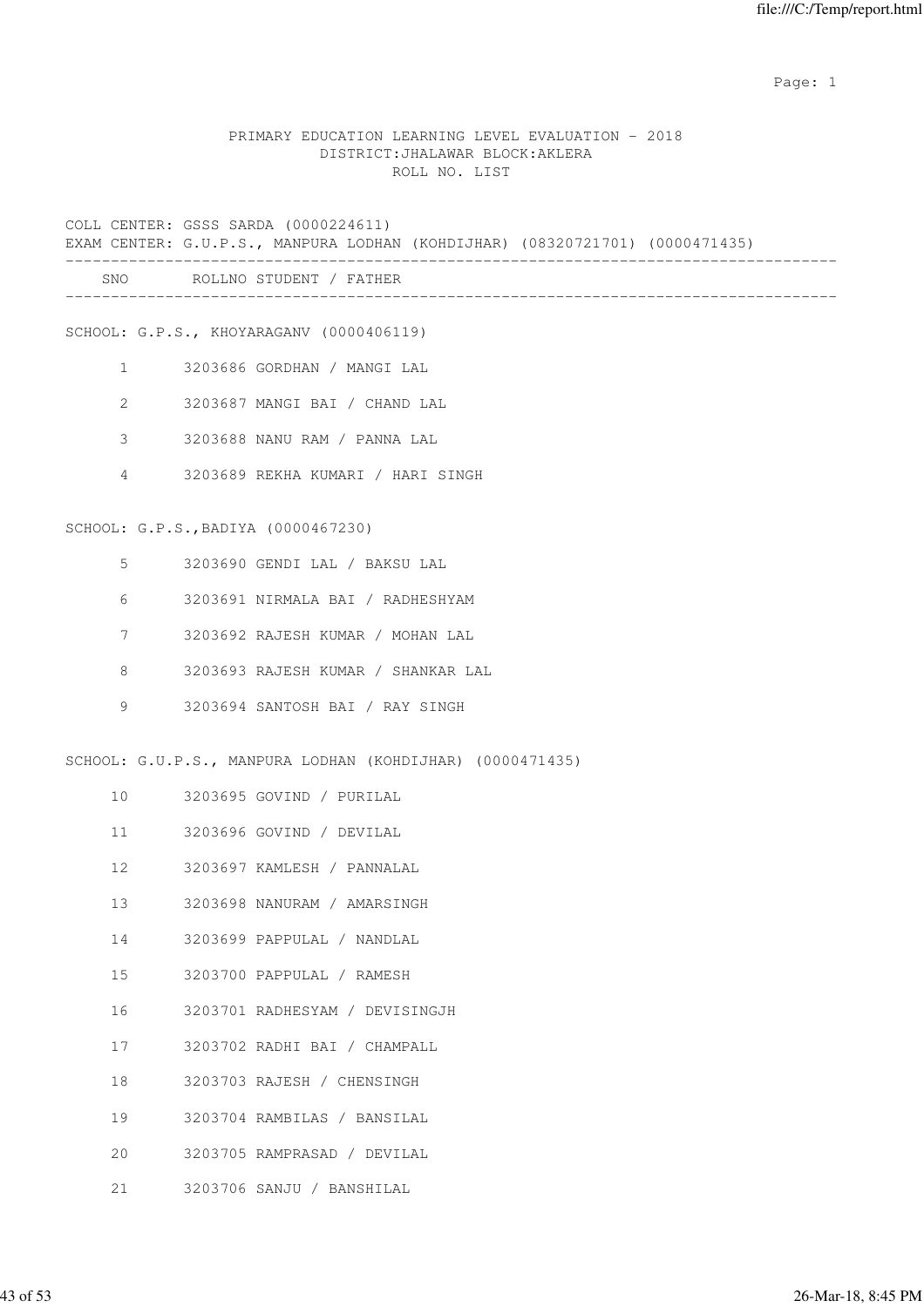example of the state of the state of the state of the state of the state of the state of the state of the state of the state of the state of the state of the state of the state of the state of the state of the state of the

#### PRIMARY EDUCATION LEARNING LEVEL EVALUATION - 2018 DISTRICT:JHALAWAR BLOCK:AKLERA ROLL NO. LIST

COLL CENTER: GSSS SARDA (0000224611)

EXAM CENTER: G.U.P.S., MANPURA LODHAN (KOHDIJHAR) (08320721701) (0000471435)

| SNC | ÞЛ<br>NK<br>N<br>$\sim$ $\sim$ |  |
|-----|--------------------------------|--|
|     |                                |  |

SCHOOL: G.P.S., KHOYARAGANV (0000406119)

- 1 3203686 GORDHAN / MANGI LAL
- 2 3203687 MANGI BAI / CHAND LAL
- 3 3203688 NANU RAM / PANNA LAL
- 4 3203689 REKHA KUMARI / HARI SINGH

#### SCHOOL: G.P.S.,BADIYA (0000467230)

- 5 3203690 GENDI LAL / BAKSU LAL
- 6 3203691 NIRMALA BAI / RADHESHYAM
- 7 3203692 RAJESH KUMAR / MOHAN LAL
- 8 3203693 RAJESH KUMAR / SHANKAR LAL
- 9 3203694 SANTOSH BAI / RAY SINGH

SCHOOL: G.U.P.S., MANPURA LODHAN (KOHDIJHAR) (0000471435)

- 10 3203695 GOVIND / PURILAL
- 11 3203696 GOVIND / DEVILAL
- 12 3203697 KAMLESH / PANNALAL
- 13 3203698 NANURAM / AMARSINGH
- 14 3203699 PAPPULAL / NANDLAL
- 15 3203700 PAPPULAL / RAMESH
- 16 3203701 RADHESYAM / DEVISINGJH
- 17 3203702 RADHI BAI / CHAMPALL
- 18 3203703 RAJESH / CHENSINGH
- 19 3203704 RAMBILAS / BANSILAL
- 20 3203705 RAMPRASAD / DEVILAL
- 21 3203706 SANJU / BANSHILAL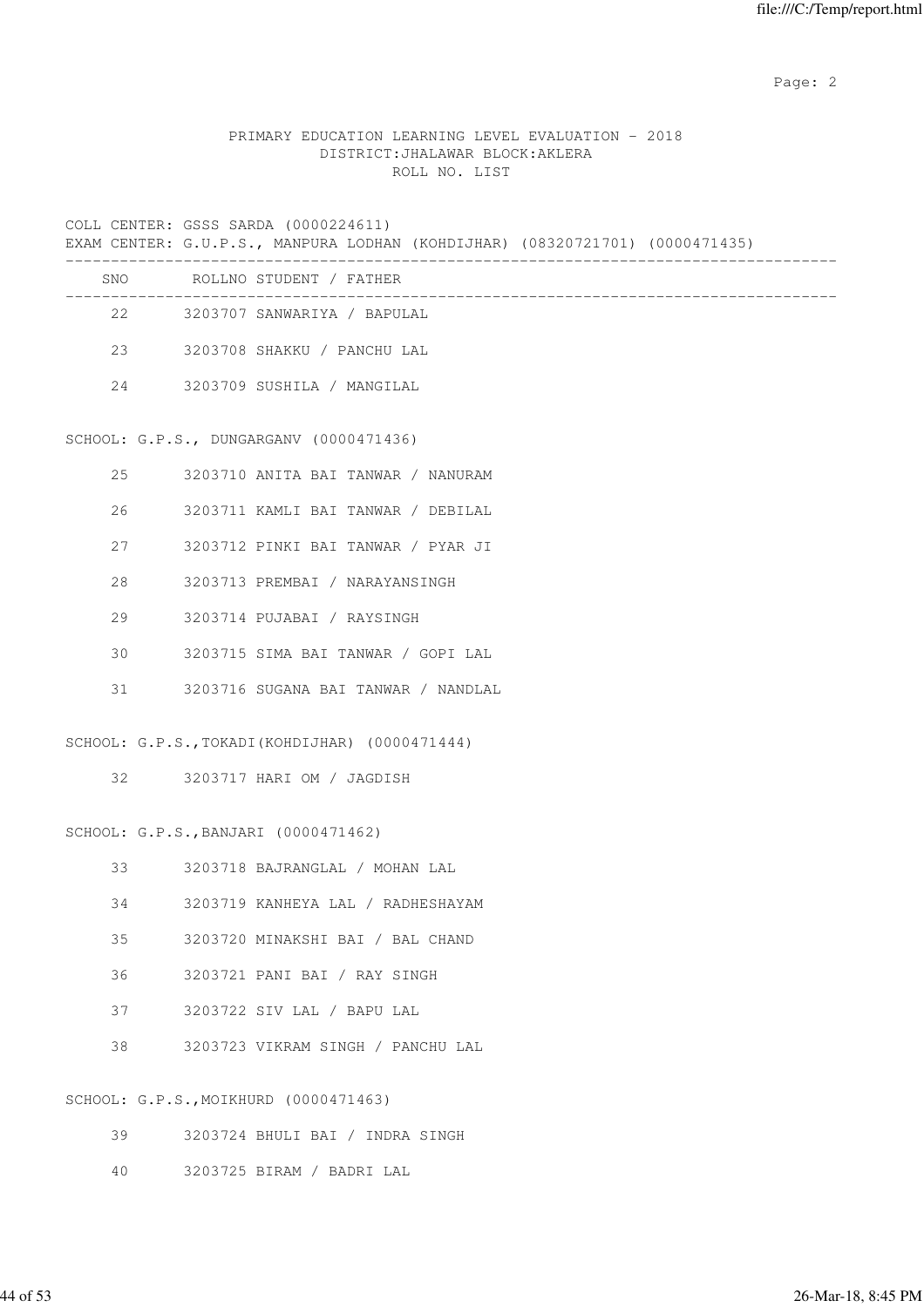Page: 2  $P$  and 2  $P$  and 2  $P$  and 2  $P$  and 2  $P$  and 2  $P$  and 2  $P$  and 2  $P$  and 2  $P$  and 2  $P$  and 2  $P$  and 2  $P$  and 2  $P$  and 2  $P$  and 2  $P$  and 2  $P$  and 2  $P$  and 2  $P$  and 2  $P$  and 2  $P$  and 2  $P$  and 2  $P$ 

## PRIMARY EDUCATION LEARNING LEVEL EVALUATION - 2018 DISTRICT:JHALAWAR BLOCK:AKLERA ROLL NO. LIST

COLL CENTER: GSSS SARDA (0000224611)

EXAM CENTER: G.U.P.S., MANPURA LODHAN (KOHDIJHAR) (08320721701) (0000471435)

| SNO | ROLLNO STUDENT / FATHER     |  |
|-----|-----------------------------|--|
| 2.2 | 3203707 SANWARIYA / BAPULAL |  |
| 23  | 3203708 SHAKKU / PANCHU LAL |  |
| 2.4 | 3203709 SUSHILA / MANGILAL  |  |

#### SCHOOL: G.P.S., DUNGARGANV (0000471436)

| 2.5 | 3203710 ANITA BAI TANWAR / NANURAM  |
|-----|-------------------------------------|
| 26  | 3203711 KAMLI BAI TANWAR / DEBILAL  |
| 27  | 3203712 PINKI BAI TANWAR / PYAR JI  |
| 2.8 | 3203713 PREMBAI / NARAYANSINGH      |
| 29  | 3203714 PUJABAI / RAYSINGH          |
| 30  | 3203715 SIMA BAI TANWAR / GOPI LAL  |
| 31  | 3203716 SUGANA BAI TANWAR / NANDLAL |

SCHOOL: G.P.S.,TOKADI(KOHDIJHAR) (0000471444)

32 3203717 HARI OM / JAGDISH

#### SCHOOL: G.P.S.,BANJARI (0000471462)

|  |  | 3203718 BAJRANGLAL |  | MOHAN LAL |  |
|--|--|--------------------|--|-----------|--|
|--|--|--------------------|--|-----------|--|

- 34 3203719 KANHEYA LAL / RADHESHAYAM
- 35 3203720 MINAKSHI BAI / BAL CHAND
- 36 3203721 PANI BAI / RAY SINGH
- 37 3203722 SIV LAL / BAPU LAL
- 38 3203723 VIKRAM SINGH / PANCHU LAL

#### SCHOOL: G.P.S.,MOIKHURD (0000471463)

- 39 3203724 BHULI BAI / INDRA SINGH
- 40 3203725 BIRAM / BADRI LAL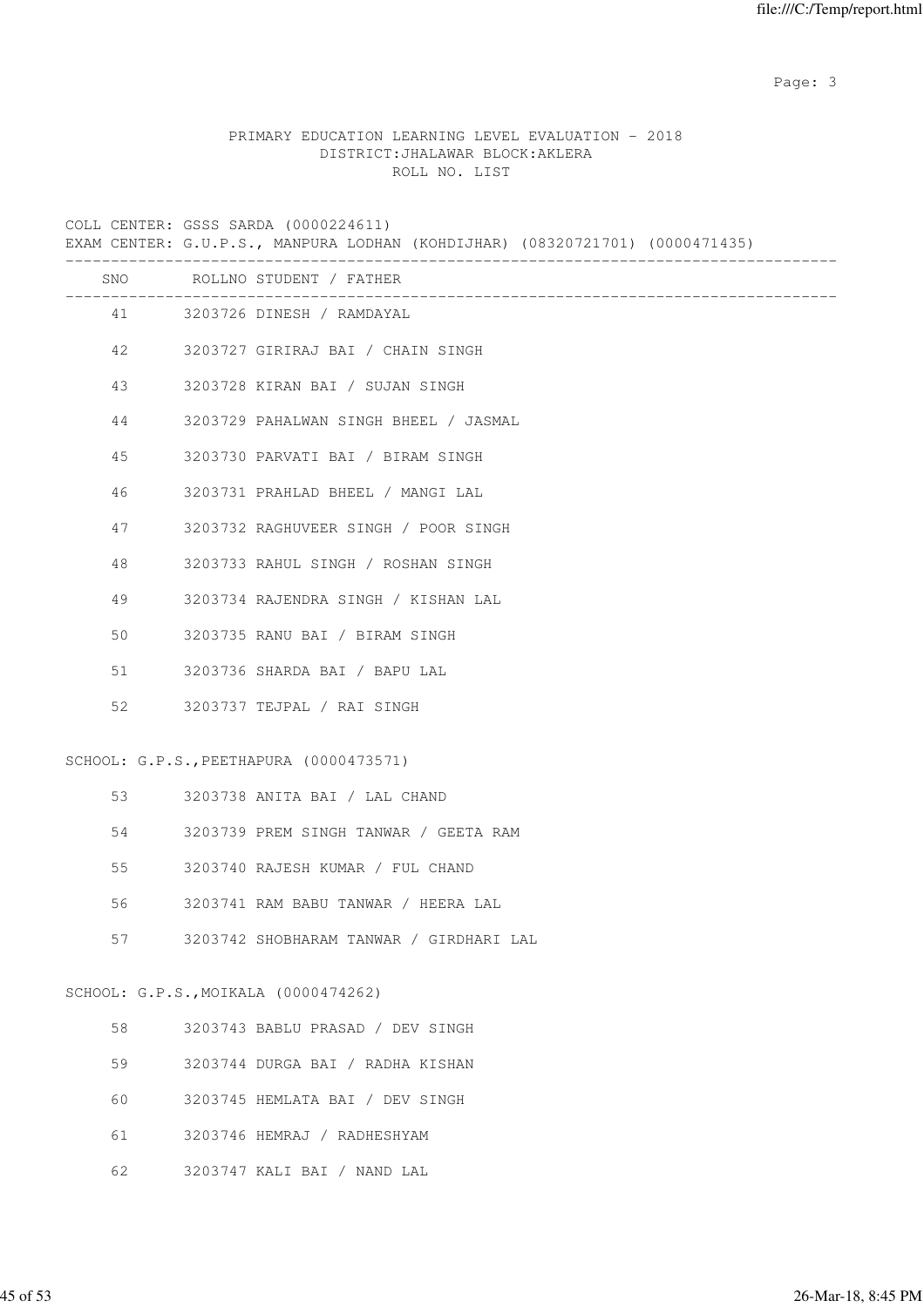Page: 3

## PRIMARY EDUCATION LEARNING LEVEL EVALUATION - 2018 DISTRICT:JHALAWAR BLOCK:AKLERA ROLL NO. LIST

COLL CENTER: GSSS SARDA (0000224611)

EXAM CENTER: G.U.P.S., MANPURA LODHAN (KOHDIJHAR) (08320721701) (0000471435)

|    |                       | SNO ROLLNO STUDENT / FATHER             |
|----|-----------------------|-----------------------------------------|
|    |                       | 41 3203726 DINESH / RAMDAYAL            |
|    | 42 and $\overline{a}$ | 3203727 GIRIRAJ BAI / CHAIN SINGH       |
| 43 |                       | 3203728 KIRAN BAI / SUJAN SINGH         |
| 44 |                       | 3203729 PAHALWAN SINGH BHEEL / JASMAL   |
| 45 |                       | 3203730 PARVATI BAI / BIRAM SINGH       |
| 46 |                       | 3203731 PRAHLAD BHEEL / MANGI LAL       |
| 47 |                       | 3203732 RAGHUVEER SINGH / POOR SINGH    |
| 48 |                       | 3203733 RAHUL SINGH / ROSHAN SINGH      |
| 49 |                       | 3203734 RAJENDRA SINGH / KISHAN LAL     |
| 50 |                       | 3203735 RANU BAI / BIRAM SINGH          |
| 51 |                       | 3203736 SHARDA BAI / BAPU LAL           |
|    |                       | 52 3203737 TEJPAL / RAI SINGH           |
|    |                       | SCHOOL: G.P.S., PEETHAPURA (0000473571) |
|    |                       | 3203738 ANITA BAI / LAL CHAND           |
| 54 |                       | 3203739 PREM SINGH TANWAR / GEETA RAM   |
| 55 |                       | 3203740 RAJESH KUMAR / FUL CHAND        |
| 56 |                       | 3203741 RAM BABU TANWAR / HEERA LAL     |
| 57 |                       | 3203742 SHOBHARAM TANWAR / GIRDHARI LAL |
|    |                       | SCHOOL: G.P.S., MOIKALA (0000474262)    |
| 58 |                       | 3203743 BABLU PRASAD / DEV SINGH        |
| 59 |                       | 3203744 DURGA BAI / RADHA KISHAN        |
| 60 |                       | 3203745 HEMLATA BAI / DEV SINGH         |
| 61 |                       | 3203746 HEMRAJ / RADHESHYAM             |

62 3203747 KALI BAI / NAND LAL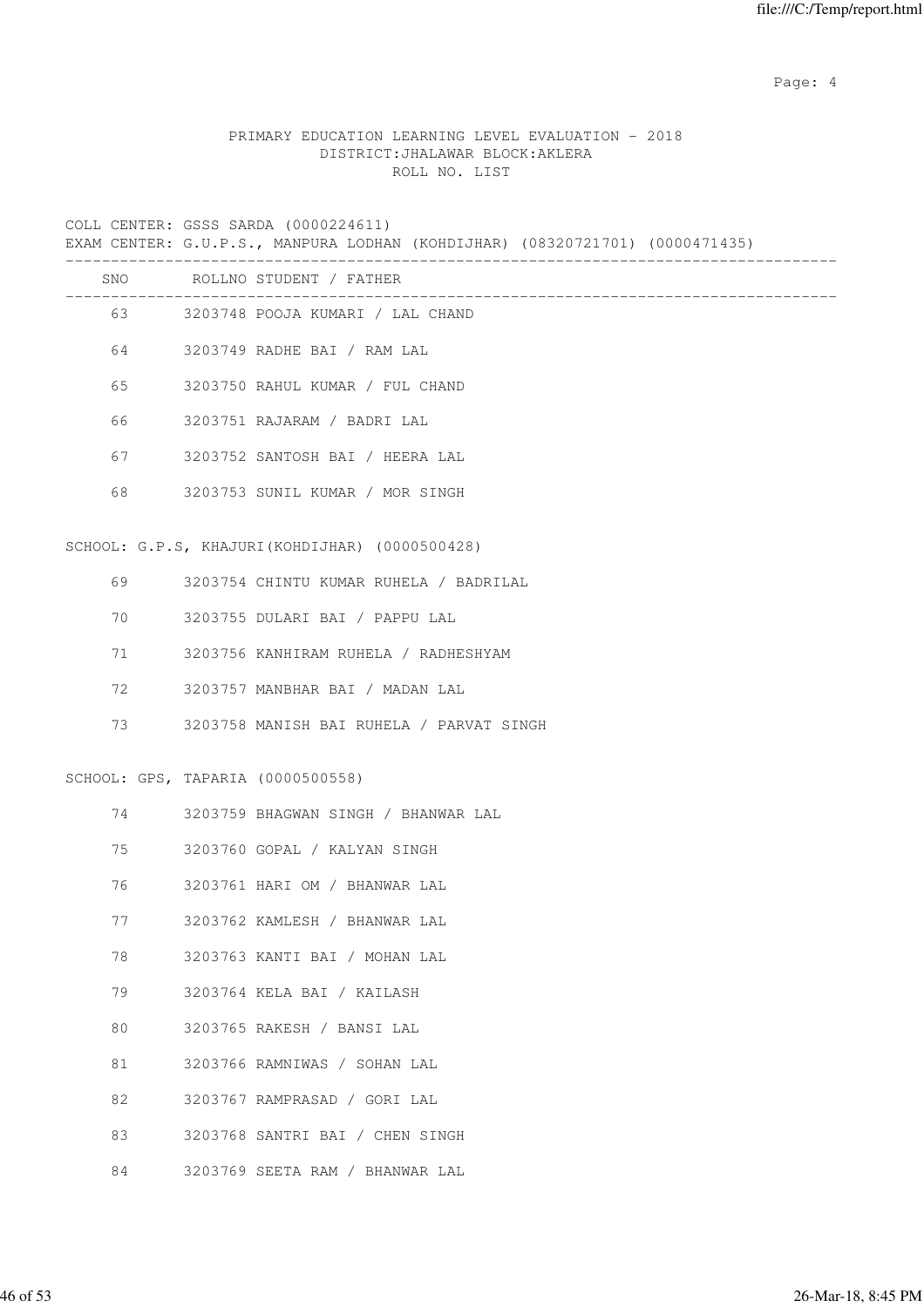Page: 4  $P$ 

# PRIMARY EDUCATION LEARNING LEVEL EVALUATION - 2018 DISTRICT:JHALAWAR BLOCK:AKLERA ROLL NO. LIST

COLL CENTER: GSSS SARDA (0000224611)

EXAM CENTER: G.U.P.S., MANPURA LODHAN (KOHDIJHAR) (08320721701) (0000471435)

|    |                                   | 63 3203748 POOJA KUMARI / LAL CHAND            |
|----|-----------------------------------|------------------------------------------------|
|    |                                   | 64 3203749 RADHE BAI / RAM LAL                 |
| 65 |                                   | 3203750 RAHUL KUMAR / FUL CHAND                |
| 66 |                                   | 3203751 RAJARAM / BADRI LAL                    |
| 67 |                                   | 3203752 SANTOSH BAI / HEERA LAL                |
| 68 |                                   | 3203753 SUNIL KUMAR / MOR SINGH                |
|    |                                   | SCHOOL: G.P.S, KHAJURI(KOHDIJHAR) (0000500428) |
| 69 |                                   | 3203754 CHINTU KUMAR RUHELA / BADRILAL         |
| 70 |                                   | 3203755 DULARI BAI / PAPPU LAL                 |
| 71 |                                   | 3203756 KANHIRAM RUHELA / RADHESHYAM           |
| 72 |                                   | 3203757 MANBHAR BAI / MADAN LAL                |
| 73 |                                   | 3203758 MANISH BAI RUHELA / PARVAT SINGH       |
|    | SCHOOL: GPS, TAPARIA (0000500558) |                                                |
| 74 |                                   | 3203759 BHAGWAN SINGH / BHANWAR LAL            |
| 75 |                                   | 3203760 GOPAL / KALYAN SINGH                   |
| 76 |                                   | 3203761 HARI OM / BHANWAR LAL                  |
| 77 |                                   | 3203762 KAMLESH / BHANWAR LAL                  |
| 78 |                                   | 3203763 KANTI BAI / MOHAN LAL                  |
| 79 |                                   | 3203764 KELA BAI / KAILASH                     |
| 80 |                                   | 3203765 RAKESH / BANSI LAL                     |
| 81 |                                   | 3203766 RAMNIWAS / SOHAN LAL                   |
| 82 |                                   | 3203767 RAMPRASAD / GORI LAL                   |
| 83 |                                   | 3203768 SANTRI BAI / CHEN SINGH                |
| 84 |                                   | 3203769 SEETA RAM / BHANWAR LAL                |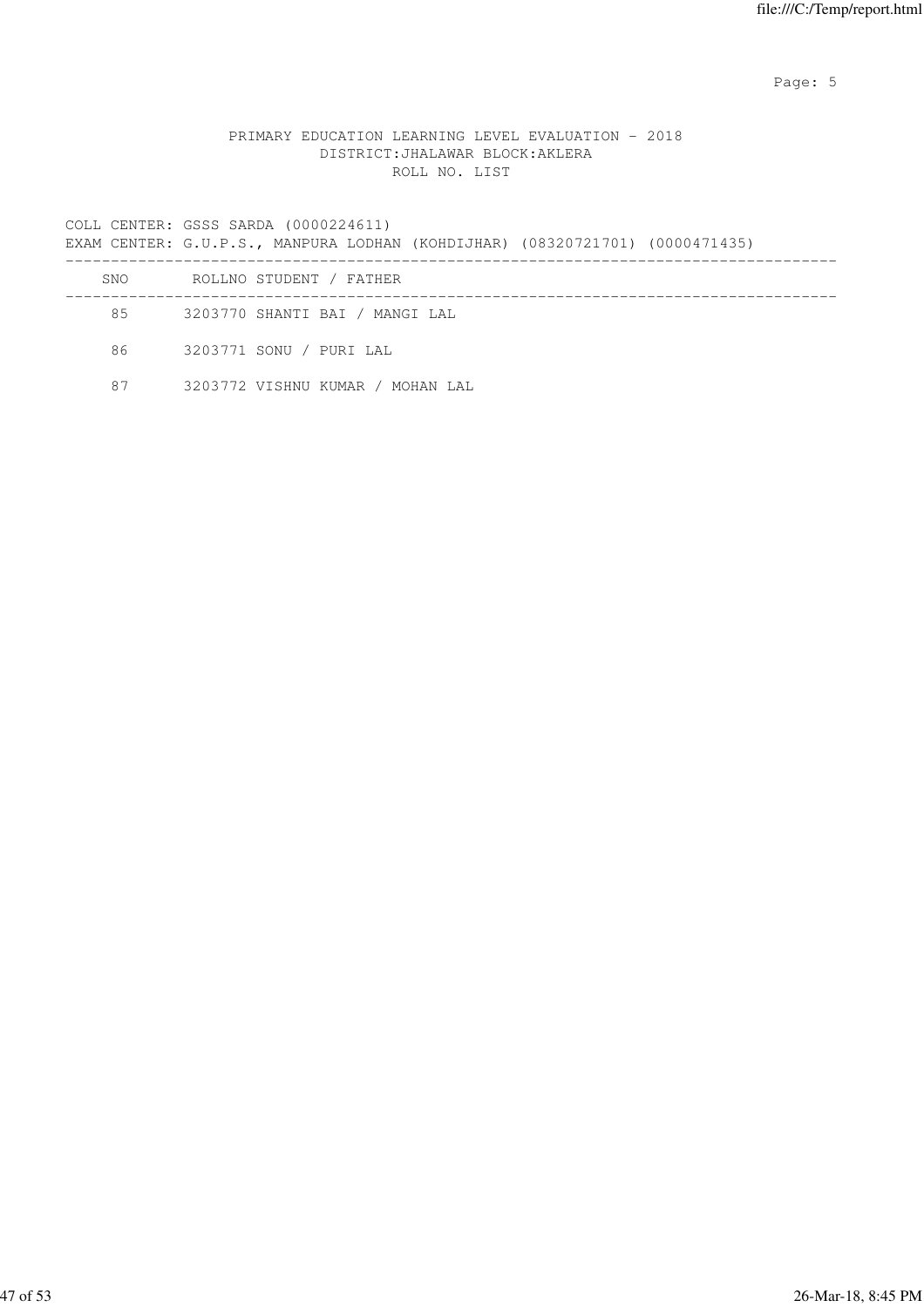Page: 5  $P$  and  $P$  and  $P$  and  $P$  and  $P$  and  $P$  and  $P$  and  $P$  and  $P$  and  $P$  and  $P$  and  $P$  and  $P$  and  $P$  and  $P$  and  $P$  and  $P$  and  $P$  and  $P$  and  $P$  and  $P$  and  $P$  and  $P$  and  $P$  and  $P$  and  $P$  and  $P$  an

#### PRIMARY EDUCATION LEARNING LEVEL EVALUATION - 2018 DISTRICT:JHALAWAR BLOCK:AKLERA ROLL NO. LIST

COLL CENTER: GSSS SARDA (0000224611)

EXAM CENTER: G.U.P.S., MANPURA LODHAN (KOHDIJHAR) (08320721701) (0000471435)

| SNO | ROLLNO STUDENT / FATHER          |
|-----|----------------------------------|
| 85  | 3203770 SHANTI BAI / MANGI LAL   |
| 86  | 3203771 SONU / PURI LAL          |
| 87  | 3203772 VISHNU KUMAR / MOHAN LAL |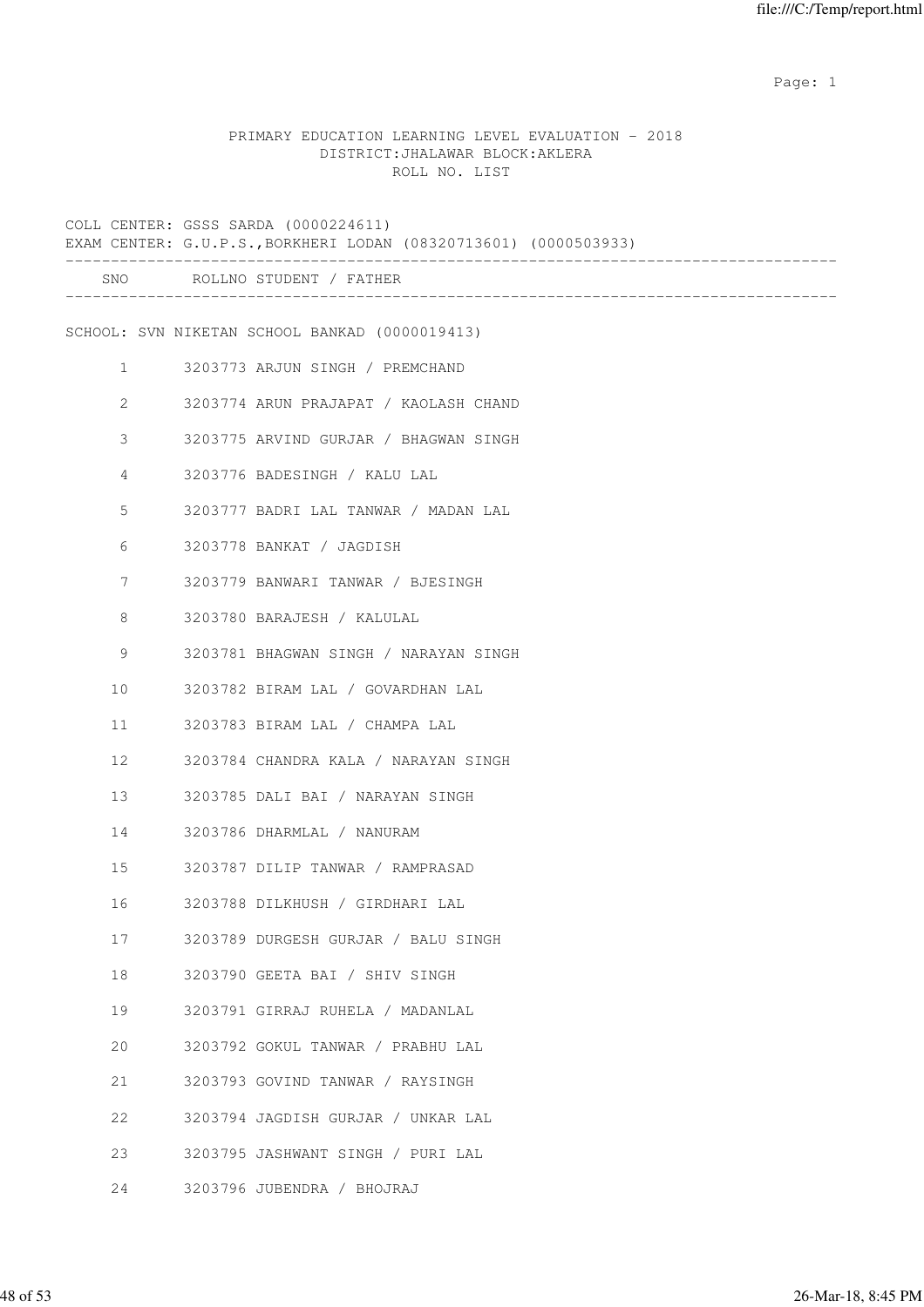example of the state of the state of the state of the state of the state of the state of the state of the state of the state of the state of the state of the state of the state of the state of the state of the state of the

# PRIMARY EDUCATION LEARNING LEVEL EVALUATION - 2018 DISTRICT:JHALAWAR BLOCK:AKLERA ROLL NO. LIST

|                   | COLL CENTER: GSSS SARDA (0000224611)<br>EXAM CENTER: G.U.P.S., BORKHERI LODAN (08320713601) (0000503933) |
|-------------------|----------------------------------------------------------------------------------------------------------|
|                   | SNO ROLLNO STUDENT / FATHER                                                                              |
|                   | SCHOOL: SVN NIKETAN SCHOOL BANKAD (0000019413)                                                           |
| $1 \qquad \qquad$ | 3203773 ARJUN SINGH / PREMCHAND                                                                          |
| $\overline{2}$    | 3203774 ARUN PRAJAPAT / KAOLASH CHAND                                                                    |
| 3                 | 3203775 ARVIND GURJAR / BHAGWAN SINGH                                                                    |
| 4                 | 3203776 BADESINGH / KALU LAL                                                                             |
| 5                 | 3203777 BADRI LAL TANWAR / MADAN LAL                                                                     |
| 6                 | 3203778 BANKAT / JAGDISH                                                                                 |
| $7\phantom{.0}$   | 3203779 BANWARI TANWAR / BJESINGH                                                                        |
| 8                 | 3203780 BARAJESH / KALULAL                                                                               |
| 9                 | 3203781 BHAGWAN SINGH / NARAYAN SINGH                                                                    |
| 10                | 3203782 BIRAM LAL / GOVARDHAN LAL                                                                        |
| 11                | 3203783 BIRAM LAL / CHAMPA LAL                                                                           |
| 12                | 3203784 CHANDRA KALA / NARAYAN SINGH                                                                     |
| 13                | 3203785 DALI BAI / NARAYAN SINGH                                                                         |
| 14                | 3203786 DHARMLAL / NANURAM                                                                               |
| 15                | 3203787 DILIP TANWAR / RAMPRASAD                                                                         |
| 16 16             | 3203788 DILKHUSH / GIRDHARI LAL                                                                          |
| 17                | 3203789 DURGESH GURJAR / BALU SINGH                                                                      |
| 18                | 3203790 GEETA BAI / SHIV SINGH                                                                           |
| 19                | 3203791 GIRRAJ RUHELA / MADANLAL                                                                         |
| 20                | 3203792 GOKUL TANWAR / PRABHU LAL                                                                        |
| 21                | 3203793 GOVIND TANWAR / RAYSINGH                                                                         |
| 22                | 3203794 JAGDISH GURJAR / UNKAR LAL                                                                       |
| 23                | 3203795 JASHWANT SINGH / PURI LAL                                                                        |
| 24                | 3203796 JUBENDRA / BHOJRAJ                                                                               |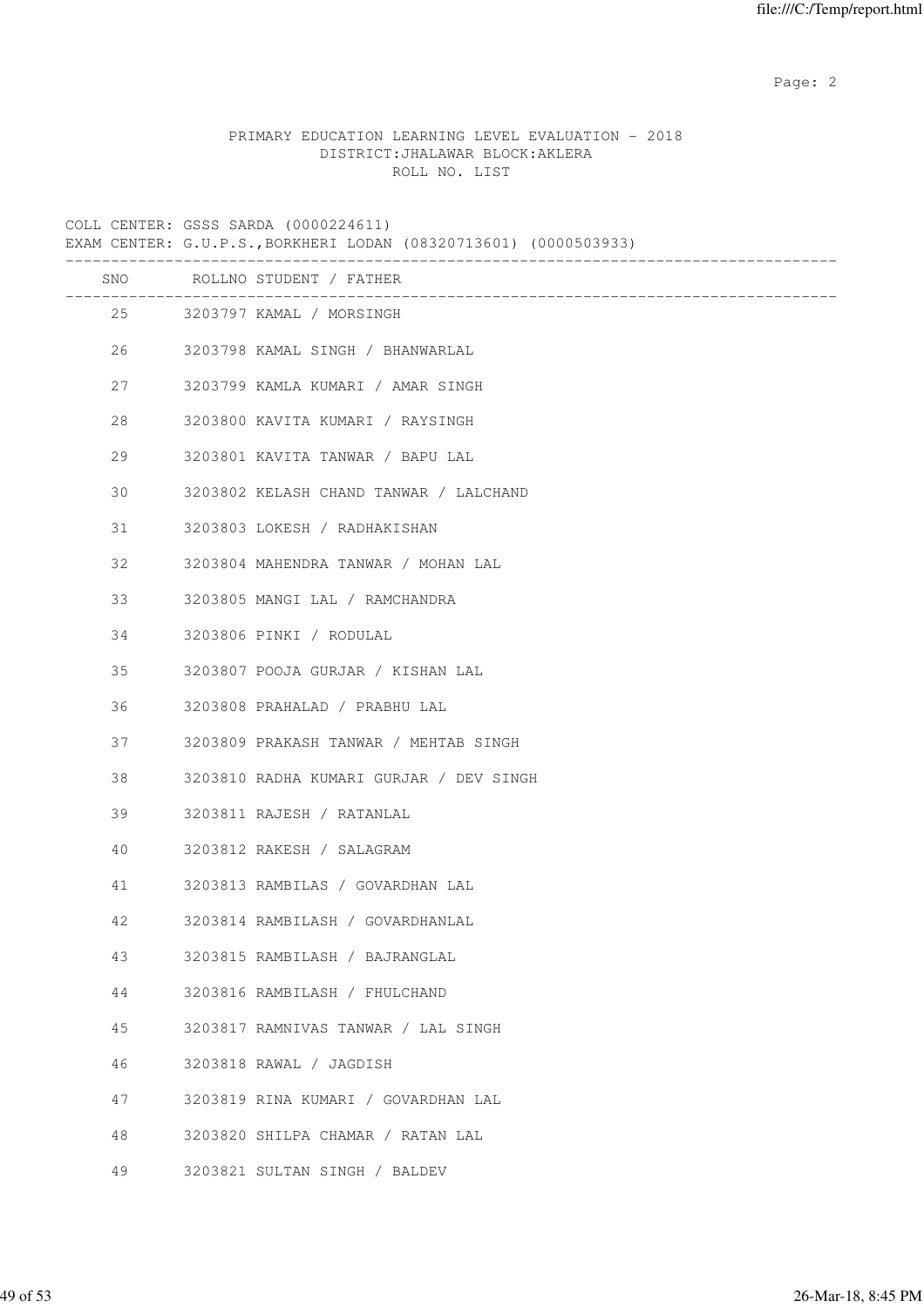Page: 2  $P$  and 2  $P$  and 2  $P$  and 2  $P$  and 2  $P$  and 2  $P$  and 2  $P$  and 2  $P$  and 2  $P$  and 2  $P$  and 2  $P$  and 2  $P$  and 2  $P$  and 2  $P$  and 2  $P$  and 2  $P$  and 2  $P$  and 2  $P$  and 2  $P$  and 2  $P$  and 2  $P$  and 2  $P$ 

### PRIMARY EDUCATION LEARNING LEVEL EVALUATION - 2018 DISTRICT:JHALAWAR BLOCK:AKLERA ROLL NO. LIST

COLL CENTER: GSSS SARDA (0000224611)

EXAM CENTER: G.U.P.S.,BORKHERI LODAN (08320713601) (0000503933)

|    | SNO ROLLNO STUDENT / FATHER             |
|----|-----------------------------------------|
|    | 25 3203797 KAMAL / MORSINGH             |
| 26 | 3203798 KAMAL SINGH / BHANWARLAL        |
| 27 | 3203799 KAMLA KUMARI / AMAR SINGH       |
| 28 | 3203800 KAVITA KUMARI / RAYSINGH        |
| 29 | 3203801 KAVITA TANWAR / BAPU LAL        |
| 30 | 3203802 KELASH CHAND TANWAR / LALCHAND  |
| 31 | 3203803 LOKESH / RADHAKISHAN            |
| 32 | 3203804 MAHENDRA TANWAR / MOHAN LAL     |
| 33 | 3203805 MANGI LAL / RAMCHANDRA          |
| 34 | 3203806 PINKI / RODULAL                 |
| 35 | 3203807 POOJA GURJAR / KISHAN LAL       |
| 36 | 3203808 PRAHALAD / PRABHU LAL           |
| 37 | 3203809 PRAKASH TANWAR / MEHTAB SINGH   |
| 38 | 3203810 RADHA KUMARI GURJAR / DEV SINGH |
| 39 | 3203811 RAJESH / RATANLAL               |
| 40 | 3203812 RAKESH / SALAGRAM               |
| 41 | 3203813 RAMBILAS / GOVARDHAN LAL        |
| 42 | 3203814 RAMBILASH / GOVARDHANLAL        |
| 43 | 3203815 RAMBILASH / BAJRANGLAL          |
| 44 | 3203816 RAMBILASH / FHULCHAND           |
| 45 | 3203817 RAMNIVAS TANWAR / LAL SINGH     |
| 46 | 3203818 RAWAL / JAGDISH                 |
| 47 | 3203819 RINA KUMARI / GOVARDHAN LAL     |
| 48 | 3203820 SHILPA CHAMAR / RATAN LAL       |
| 49 | 3203821 SULTAN SINGH / BALDEV           |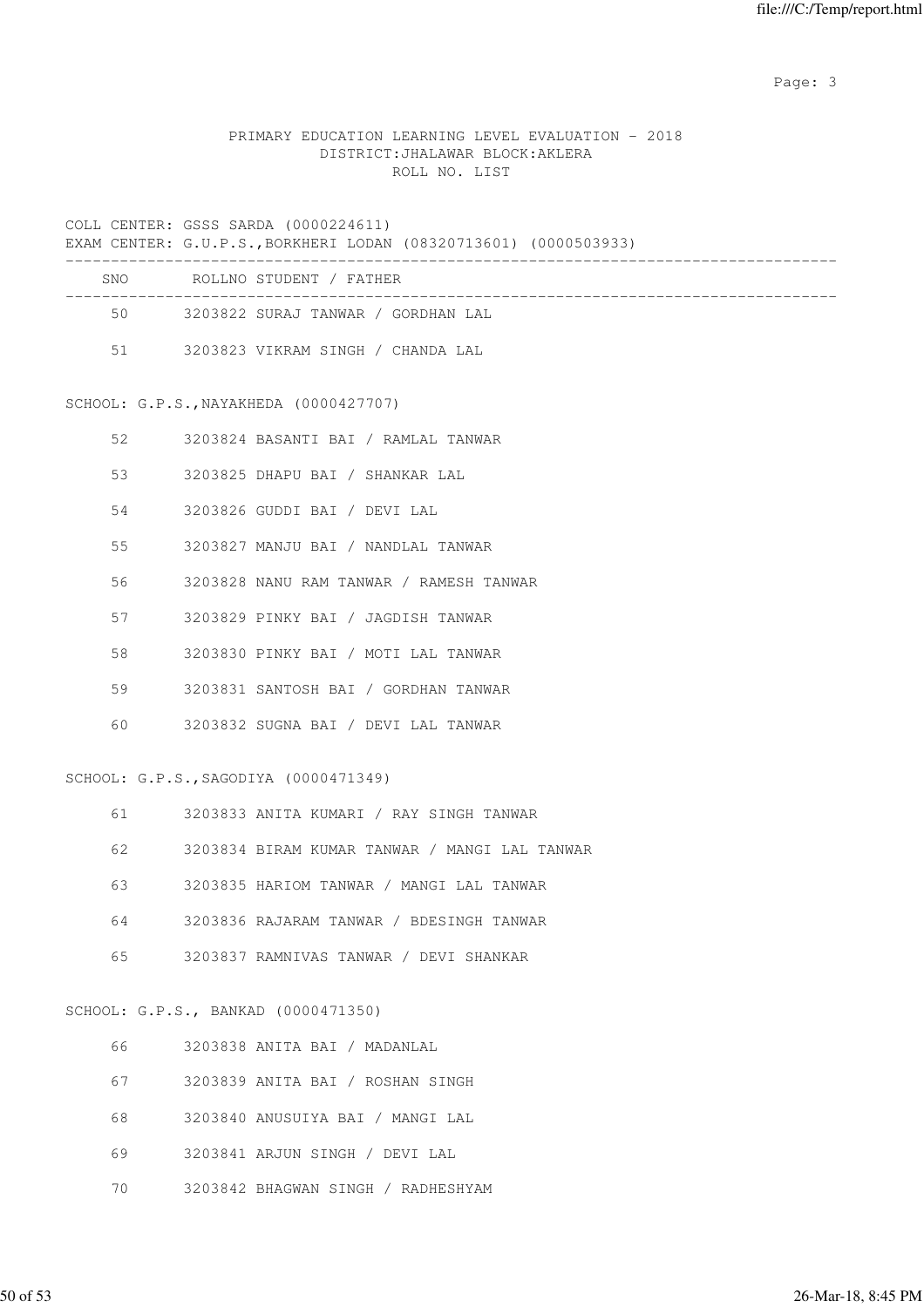Page: 3

# PRIMARY EDUCATION LEARNING LEVEL EVALUATION - 2018 DISTRICT:JHALAWAR BLOCK:AKLERA ROLL NO. LIST

#### COLL CENTER: GSSS SARDA (0000224611)

|     | EXAM CENTER: G.U.P.S., BORKHERI LODAN (08320713601) (0000503933) |
|-----|------------------------------------------------------------------|
| SNO | ROLLNO STUDENT / FATHER                                          |
| 50  | 3203822 SURAJ TANWAR / GORDHAN LAL                               |
| 51  | 3203823 VIKRAM SINGH / CHANDA LAL                                |

#### SCHOOL: G.P.S.,NAYAKHEDA (0000427707)

| 52 | 3203824 BASANTI BAI / RAMLAL TANWAR     |  |
|----|-----------------------------------------|--|
| 53 | 3203825 DHAPU BAI / SHANKAR LAL         |  |
| 54 | 3203826 GUDDI BAI / DEVI LAL            |  |
| 55 | 3203827 MANJU BAI / NANDLAL TANWAR      |  |
| 56 | 3203828 NANU RAM TANWAR / RAMESH TANWAR |  |
| 57 | 3203829 PINKY BAI / JAGDISH TANWAR      |  |
| 58 | 3203830 PINKY BAI / MOTI LAL TANWAR     |  |
| 59 | 3203831 SANTOSH BAI / GORDHAN TANWAR    |  |
| 60 | 3203832 SUGNA BAI / DEVI LAL TANWAR     |  |

#### SCHOOL: G.P.S.,SAGODIYA (0000471349)

| 61 | 3203833 ANITA KUMARI / RAY SINGH TANWAR       |
|----|-----------------------------------------------|
| 62 | 3203834 BIRAM KUMAR TANWAR / MANGI LAL TANWAR |
| 63 | 3203835 HARIOM TANWAR / MANGI LAL TANWAR      |
| 64 | 3203836 RAJARAM TANWAR / BDESINGH TANWAR      |
| 65 | 3203837 RAMNIVAS TANWAR / DEVI SHANKAR        |
|    |                                               |
|    | SCHOOL: G.P.S., BANKAD (0000471350)           |
| 66 | 3203838 ANITA BAI / MADANLAL                  |

| U U | JAVJ0J0 ANIIA DAI / MADANIAI       |
|-----|------------------------------------|
| 67  | 3203839 ANITA BAI / ROSHAN SINGH   |
| 68  | 3203840 ANUSUIYA BAI / MANGI LAL   |
| 69  | 3203841 ARJUN SINGH / DEVI LAL     |
| 70  | 3203842 BHAGWAN SINGH / RADHESHYAM |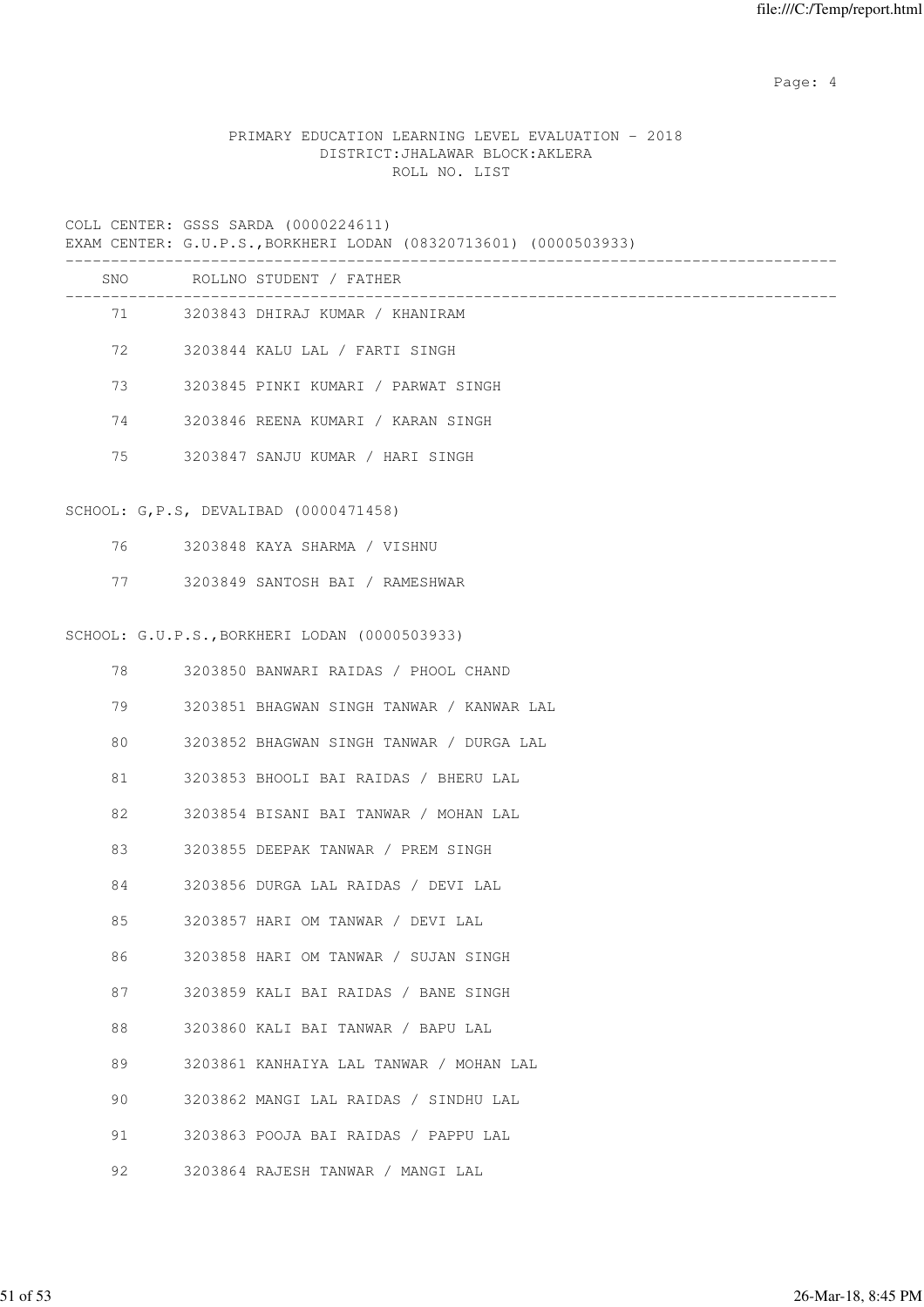Page: 4  $P$ 

# PRIMARY EDUCATION LEARNING LEVEL EVALUATION - 2018 DISTRICT:JHALAWAR BLOCK:AKLERA ROLL NO. LIST

|         | COLL CENTER: GSSS SARDA (0000224611)<br>EXAM CENTER: G.U.P.S., BORKHERI LODAN (08320713601) (0000503933) |
|---------|----------------------------------------------------------------------------------------------------------|
|         | SNO ROLLNO STUDENT / FATHER                                                                              |
| 71 — 20 | 3203843 DHIRAJ KUMAR / KHANIRAM                                                                          |
| 72 — 20 | 3203844 KALU LAL / FARTI SINGH                                                                           |
| 73      | 3203845 PINKI KUMARI / PARWAT SINGH                                                                      |
| 74      | 3203846 REENA KUMARI / KARAN SINGH                                                                       |
| 75      | 3203847 SANJU KUMAR / HARI SINGH                                                                         |
|         | SCHOOL: G, P.S, DEVALIBAD (0000471458)                                                                   |
| 76 — 17 | 3203848 KAYA SHARMA / VISHNU                                                                             |
| 77 — 20 | 3203849 SANTOSH BAI / RAMESHWAR                                                                          |
|         | SCHOOL: G.U.P.S., BORKHERI LODAN (0000503933)                                                            |
| 78      | 3203850 BANWARI RAIDAS / PHOOL CHAND                                                                     |
| 79      | 3203851 BHAGWAN SINGH TANWAR / KANWAR LAL                                                                |
| 80      | 3203852 BHAGWAN SINGH TANWAR / DURGA LAL                                                                 |
| 81      | 3203853 BHOOLI BAI RAIDAS / BHERU LAL                                                                    |
| 82      | 3203854 BISANI BAI TANWAR / MOHAN LAL                                                                    |
| 83      | 3203855 DEEPAK TANWAR / PREM SINGH                                                                       |
| 84      | 3203856 DURGA LAL RAIDAS / DEVI LAL                                                                      |
| 85      | 3203857 HARI OM TANWAR / DEVI LAL                                                                        |
| 86      | 3203858 HARI OM TANWAR / SUJAN SINGH                                                                     |
| 87      | 3203859 KALI BAI RAIDAS / BANE SINGH                                                                     |
| 88      | 3203860 KALI BAI TANWAR / BAPU LAL                                                                       |
| 89      | 3203861 KANHAIYA LAL TANWAR / MOHAN LAL                                                                  |
| 90      | 3203862 MANGI LAL RAIDAS / SINDHU LAL                                                                    |

- 91 3203863 POOJA BAI RAIDAS / PAPPU LAL
- 92 3203864 RAJESH TANWAR / MANGI LAL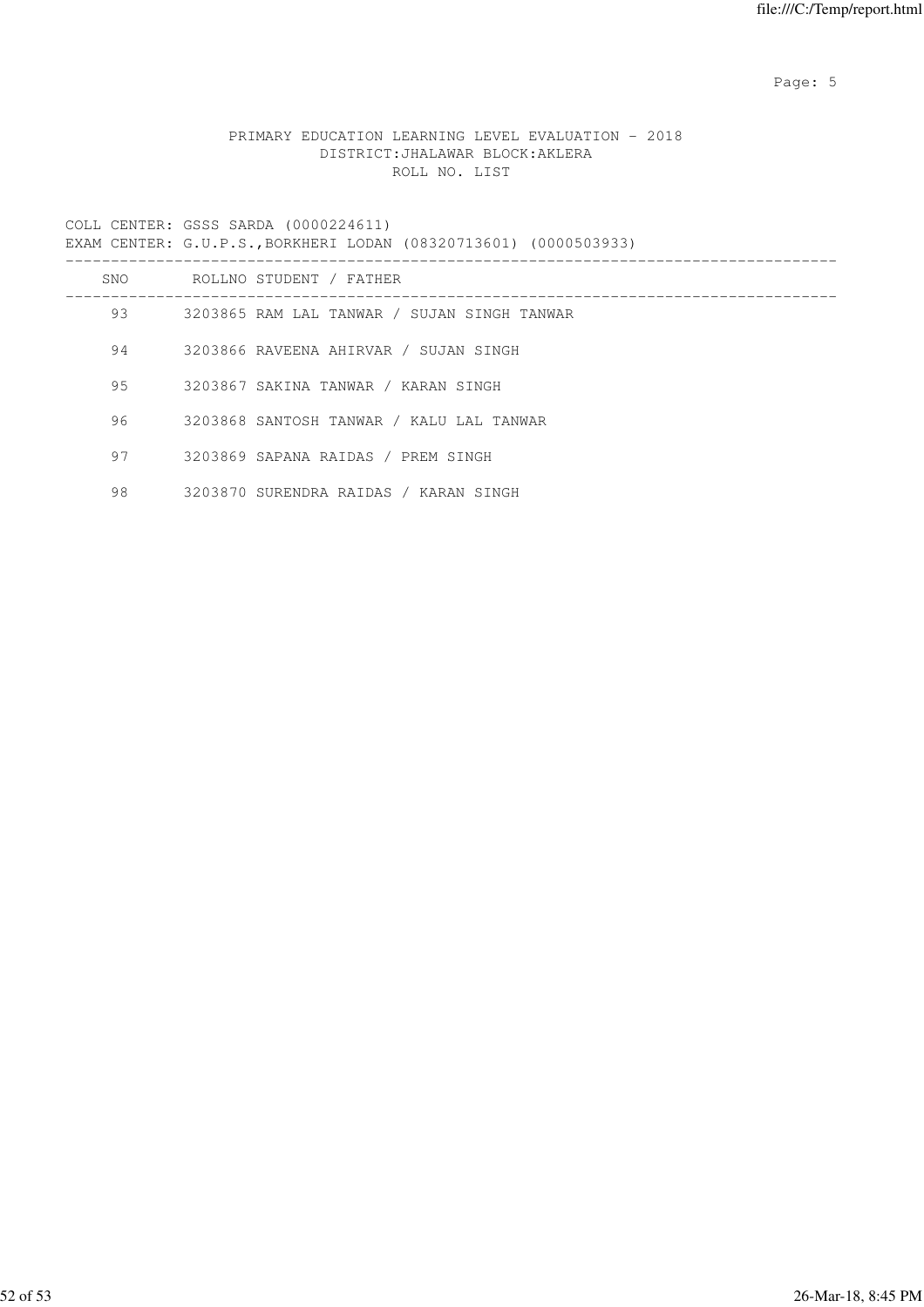Page: 5  $P$  and  $P$  and  $P$  and  $P$  and  $P$  and  $P$  and  $P$  and  $P$  and  $P$  and  $P$  and  $P$  and  $P$  and  $P$  and  $P$  and  $P$  and  $P$  and  $P$  and  $P$  and  $P$  and  $P$  and  $P$  and  $P$  and  $P$  and  $P$  and  $P$  and  $P$  and  $P$  an

# PRIMARY EDUCATION LEARNING LEVEL EVALUATION - 2018 DISTRICT:JHALAWAR BLOCK:AKLERA ROLL NO. LIST

|     | EXAM CENTER: G.U.P.S., BORKHERI LODAN (08320713601) (0000503933) |
|-----|------------------------------------------------------------------|
| SNO | ROLLNO STUDENT / FATHER                                          |
| 93  | 3203865 RAM LAL TANWAR / SUJAN SINGH TANWAR                      |
| 94  | 3203866 RAVEENA AHIRVAR / SUJAN SINGH                            |
| 95  | 3203867 SAKINA TANWAR / KARAN SINGH                              |
| 96  | 3203868 SANTOSH TANWAR / KALU LAL TANWAR                         |
| 97  | 3203869 SAPANA RAIDAS / PREM SINGH                               |
| 98  | 3203870 SURENDRA RAIDAS / KARAN SINGH                            |